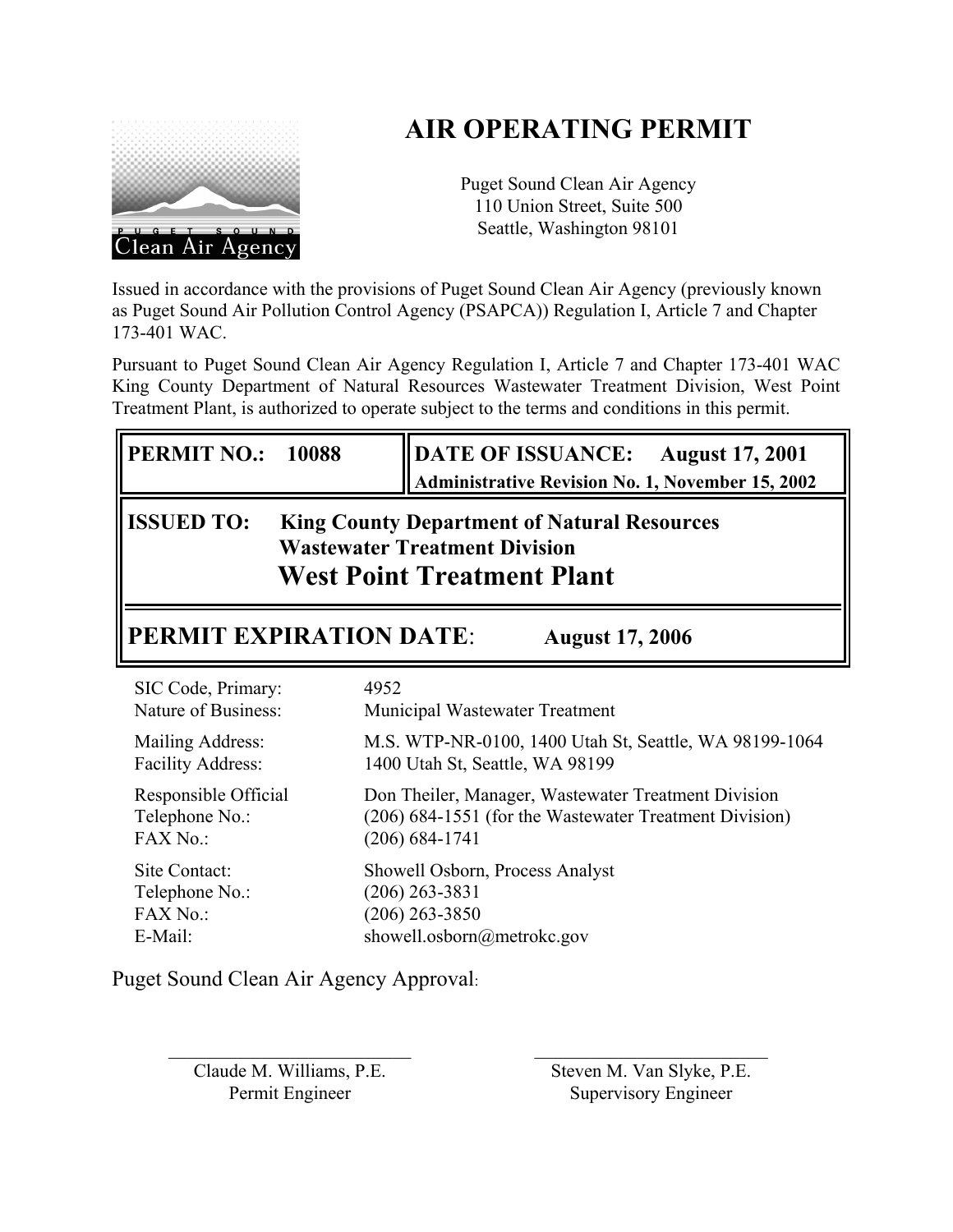# **AIR OPERATING PERMIT**



Puget Sound Clean Air Agency 110 Union Street, Suite 500 Seattle, Washington 98101

Issued in accordance with the provisions of Puget Sound Clean Air Agency (previously known as Puget Sound Air Pollution Control Agency (PSAPCA)) Regulation I, Article 7 and Chapter 173-401 WAC.

Pursuant to Puget Sound Clean Air Agency Regulation I, Article 7 and Chapter 173-401 WAC King County Department of Natural Resources Wastewater Treatment Division, West Point Treatment Plant, is authorized to operate subject to the terms and conditions in this permit.

| <b>PERMIT NO.:</b>                                                                                                                                                                        | DATE OF ISSUANCE: August 17, 2001                       |  |  |  |  |  |  |
|-------------------------------------------------------------------------------------------------------------------------------------------------------------------------------------------|---------------------------------------------------------|--|--|--|--|--|--|
| 10088                                                                                                                                                                                     | <b>Administrative Revision No. 1, November 15, 2002</b> |  |  |  |  |  |  |
| <b>ISSUED TO:</b><br><b>King County Department of Natural Resources</b><br><b>Wastewater Treatment Division</b><br><b>West Point Treatment Plant</b>                                      |                                                         |  |  |  |  |  |  |
| <b>PERMIT EXPIRATION DATE:</b><br><b>August 17, 2006</b>                                                                                                                                  |                                                         |  |  |  |  |  |  |
| SIC Code, Primary:                                                                                                                                                                        | 4952                                                    |  |  |  |  |  |  |
| Nature of Business:                                                                                                                                                                       | Municipal Wastewater Treatment                          |  |  |  |  |  |  |
| Mailing Address:                                                                                                                                                                          | M.S. WTP-NR-0100, 1400 Utah St, Seattle, WA 98199-1064  |  |  |  |  |  |  |
| <b>Facility Address:</b>                                                                                                                                                                  | 1400 Utah St, Seattle, WA 98199                         |  |  |  |  |  |  |
| Responsible Official<br>Don Theiler, Manager, Wastewater Treatment Division<br>(206) 684-1551 (for the Wastewater Treatment Division)<br>Telephone No.:<br>FAX No.:<br>$(206) 684 - 1741$ |                                                         |  |  |  |  |  |  |
| Site Contact:                                                                                                                                                                             | Showell Osborn, Process Analyst                         |  |  |  |  |  |  |
| Telephone No.:                                                                                                                                                                            | $(206)$ 263-3831                                        |  |  |  |  |  |  |
| FAX No.:                                                                                                                                                                                  | $(206)$ 263-3850                                        |  |  |  |  |  |  |
| E-Mail:                                                                                                                                                                                   | showell.osborn@metrokc.gov                              |  |  |  |  |  |  |

Puget Sound Clean Air Agency Approval:

Claude M. Williams, P.E. Permit Engineer

 $\overline{\phantom{a}}$  , where  $\overline{\phantom{a}}$  , where  $\overline{\phantom{a}}$  , where  $\overline{\phantom{a}}$ 

Steven M. Van Slyke, P.E. Supervisory Engineer

 $\mathcal{L}_\text{max}$  , where  $\mathcal{L}_\text{max}$  , we are the set of the set of the set of the set of the set of the set of the set of the set of the set of the set of the set of the set of the set of the set of the set of the set of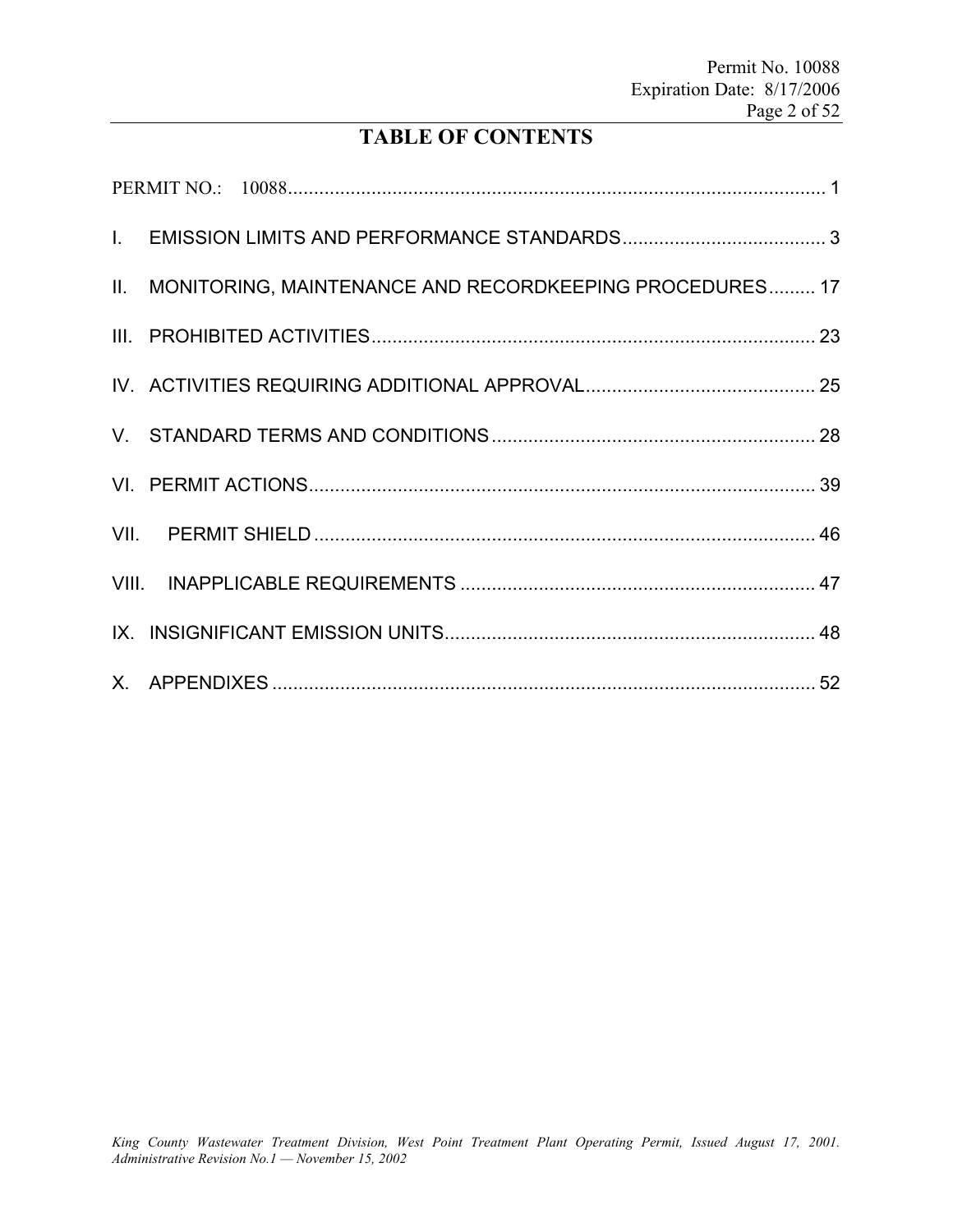# **TABLE OF CONTENTS**

| II. MONITORING, MAINTENANCE AND RECORDKEEPING PROCEDURES 17 |  |
|-------------------------------------------------------------|--|
|                                                             |  |
|                                                             |  |
|                                                             |  |
|                                                             |  |
|                                                             |  |
|                                                             |  |
|                                                             |  |
|                                                             |  |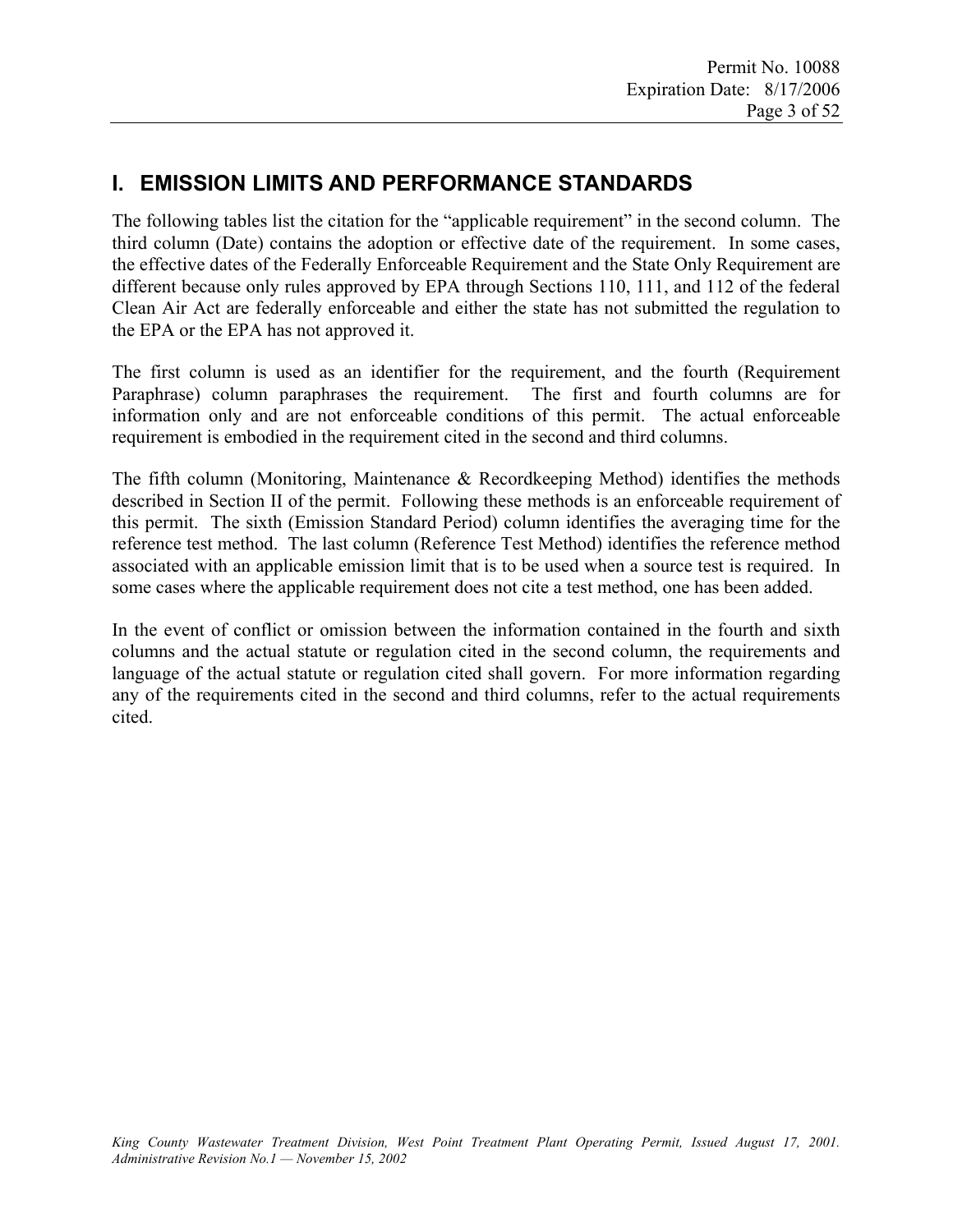# **I. EMISSION LIMITS AND PERFORMANCE STANDARDS**

The following tables list the citation for the "applicable requirement" in the second column. The third column (Date) contains the adoption or effective date of the requirement. In some cases, the effective dates of the Federally Enforceable Requirement and the State Only Requirement are different because only rules approved by EPA through Sections 110, 111, and 112 of the federal Clean Air Act are federally enforceable and either the state has not submitted the regulation to the EPA or the EPA has not approved it.

The first column is used as an identifier for the requirement, and the fourth (Requirement Paraphrase) column paraphrases the requirement. The first and fourth columns are for information only and are not enforceable conditions of this permit. The actual enforceable requirement is embodied in the requirement cited in the second and third columns.

The fifth column (Monitoring, Maintenance & Recordkeeping Method) identifies the methods described in Section II of the permit. Following these methods is an enforceable requirement of this permit. The sixth (Emission Standard Period) column identifies the averaging time for the reference test method. The last column (Reference Test Method) identifies the reference method associated with an applicable emission limit that is to be used when a source test is required. In some cases where the applicable requirement does not cite a test method, one has been added.

In the event of conflict or omission between the information contained in the fourth and sixth columns and the actual statute or regulation cited in the second column, the requirements and language of the actual statute or regulation cited shall govern. For more information regarding any of the requirements cited in the second and third columns, refer to the actual requirements cited.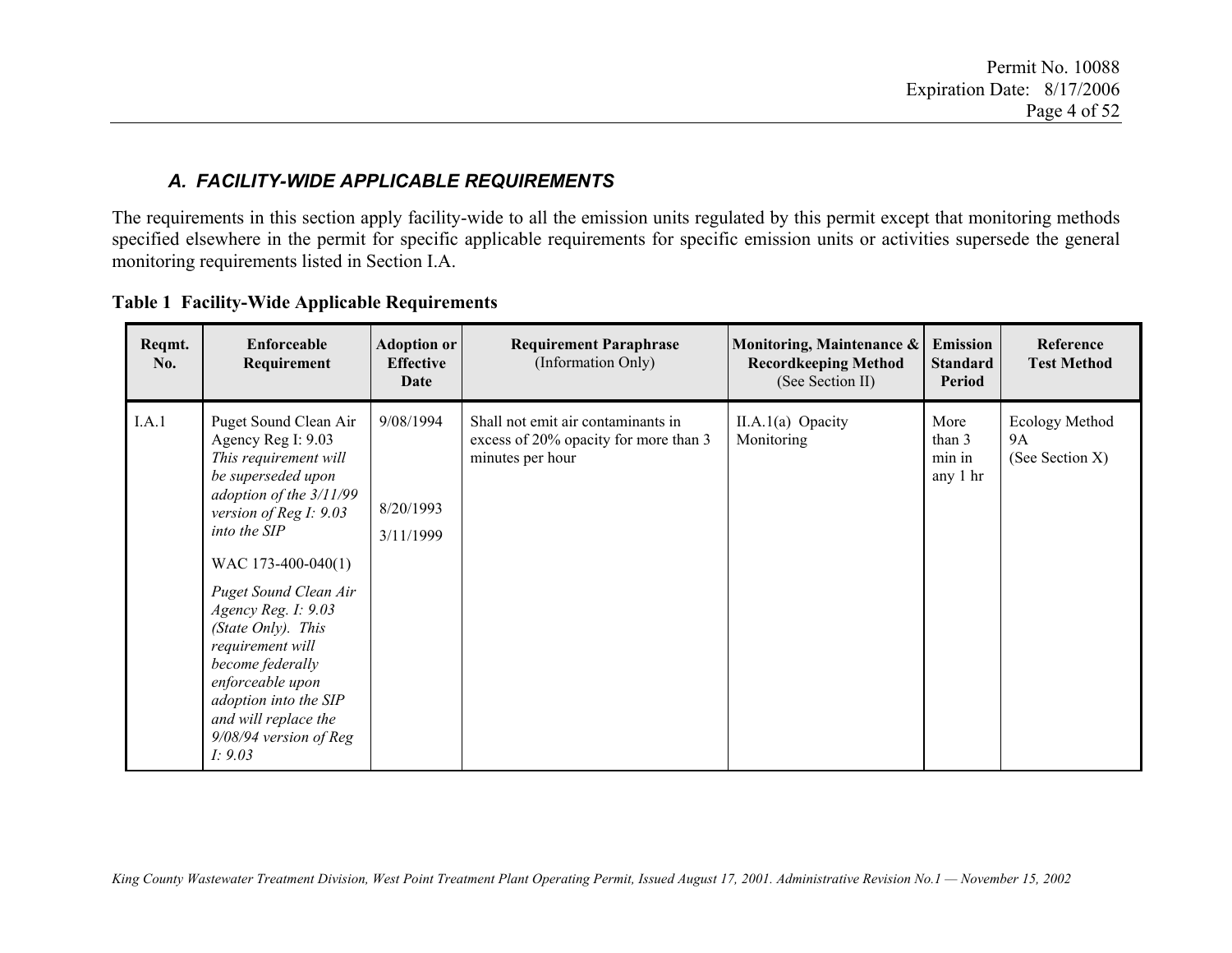### *A. FACILITY-WIDE APPLICABLE REQUIREMENTS*

The requirements in this section apply facility-wide to all the emission units regulated by this permit except that monitoring methods specified elsewhere in the permit for specific applicable requirements for specific emission units or activities supersede the general monitoring requirements listed in Section I.A.

| <b>Table 1 Facility-Wide Applicable Requirements</b> |  |  |  |  |
|------------------------------------------------------|--|--|--|--|
|------------------------------------------------------|--|--|--|--|

| Reqmt.<br>No. | Enforceable<br>Requirement                                                                                                                                                                                                                                                                                                                                                                                      | <b>Adoption or</b><br><b>Effective</b><br>Date | <b>Requirement Paraphrase</b><br>(Information Only)                                             | Monitoring, Maintenance &<br><b>Recordkeeping Method</b><br>(See Section II) | <b>Emission</b><br><b>Standard</b><br>Period | Reference<br><b>Test Method</b>         |
|---------------|-----------------------------------------------------------------------------------------------------------------------------------------------------------------------------------------------------------------------------------------------------------------------------------------------------------------------------------------------------------------------------------------------------------------|------------------------------------------------|-------------------------------------------------------------------------------------------------|------------------------------------------------------------------------------|----------------------------------------------|-----------------------------------------|
| I.A.1         | Puget Sound Clean Air<br>Agency Reg I: 9.03<br>This requirement will<br>be superseded upon<br>adoption of the 3/11/99<br>version of Reg I: $9.03$<br>into the SIP<br>WAC 173-400-040(1)<br>Puget Sound Clean Air<br>Agency Reg. I: 9.03<br>(State Only). This<br>requirement will<br>become federally<br>enforceable upon<br>adoption into the SIP<br>and will replace the<br>9/08/94 version of Reg<br>I: 9.03 | 9/08/1994<br>8/20/1993<br>3/11/1999            | Shall not emit air contaminants in<br>excess of 20% opacity for more than 3<br>minutes per hour | $II.A.1(a)$ Opacity<br>Monitoring                                            | More<br>than 3<br>min in<br>any 1 hr         | Ecology Method<br>9A<br>(See Section X) |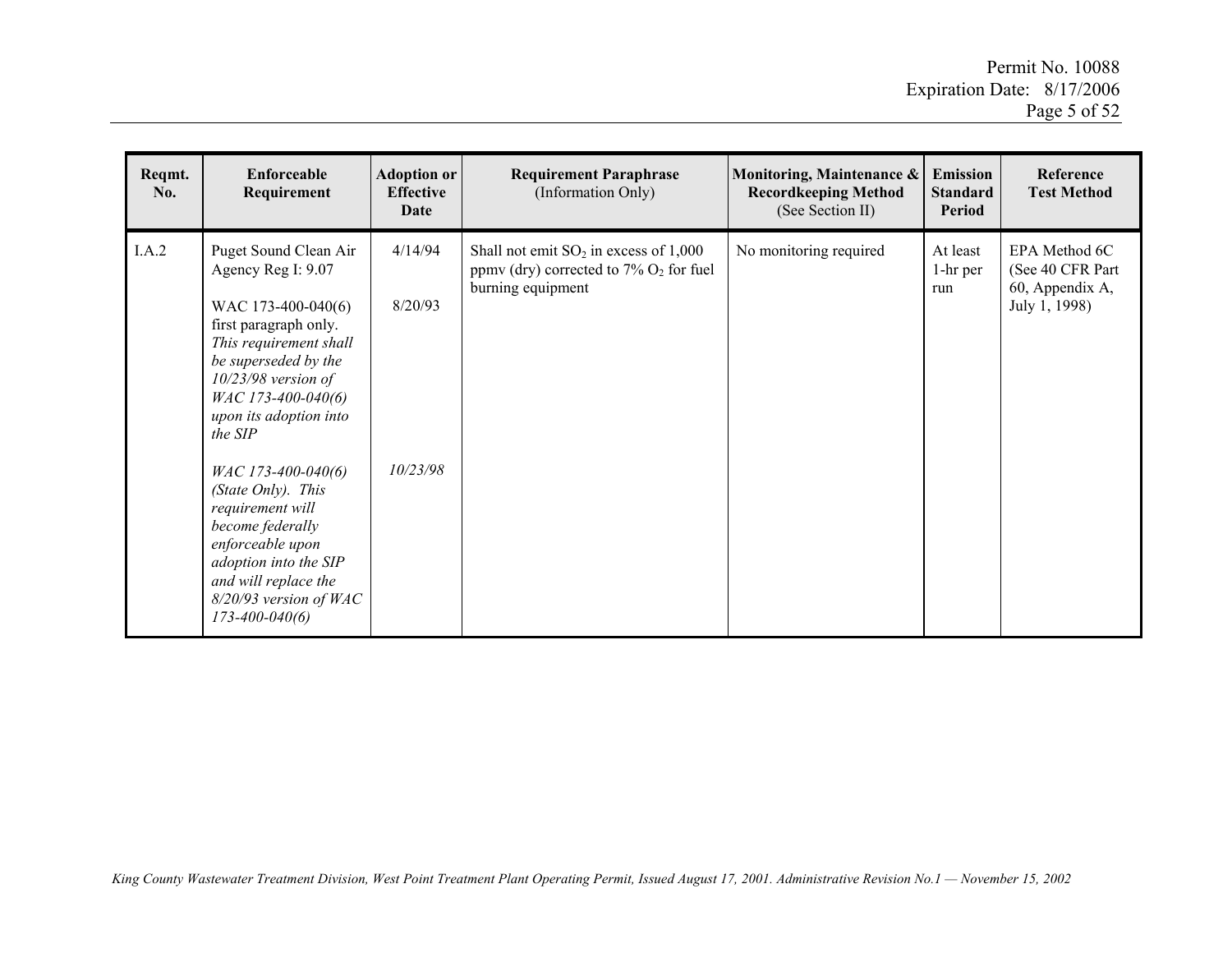| Reqmt.<br>No. | Enforceable<br>Requirement                                                                                                                                                                                                       | <b>Adoption or</b><br><b>Effective</b><br>Date | <b>Requirement Paraphrase</b><br>(Information Only)                                                                    | Monitoring, Maintenance &<br><b>Recordkeeping Method</b><br>(See Section II) | <b>Emission</b><br><b>Standard</b><br>Period | Reference<br><b>Test Method</b>                                        |
|---------------|----------------------------------------------------------------------------------------------------------------------------------------------------------------------------------------------------------------------------------|------------------------------------------------|------------------------------------------------------------------------------------------------------------------------|------------------------------------------------------------------------------|----------------------------------------------|------------------------------------------------------------------------|
| I.A.2         | Puget Sound Clean Air<br>Agency Reg I: 9.07<br>WAC 173-400-040(6)<br>first paragraph only.<br>This requirement shall<br>be superseded by the<br>$10/23/98$ version of<br>WAC 173-400-040(6)<br>upon its adoption into<br>the SIP | 4/14/94<br>8/20/93                             | Shall not emit $SO_2$ in excess of 1,000<br>ppmv (dry) corrected to $7\%$ O <sub>2</sub> for fuel<br>burning equipment | No monitoring required                                                       | At least<br>1-hr per<br>run                  | EPA Method 6C<br>(See 40 CFR Part)<br>60, Appendix A,<br>July 1, 1998) |
|               | WAC 173-400-040(6)<br>(State Only). This<br>requirement will<br>become federally<br>enforceable upon<br>adoption into the SIP<br>and will replace the<br>$8/20/93$ version of WAC<br>$173 - 400 - 040(6)$                        | 10/23/98                                       |                                                                                                                        |                                                                              |                                              |                                                                        |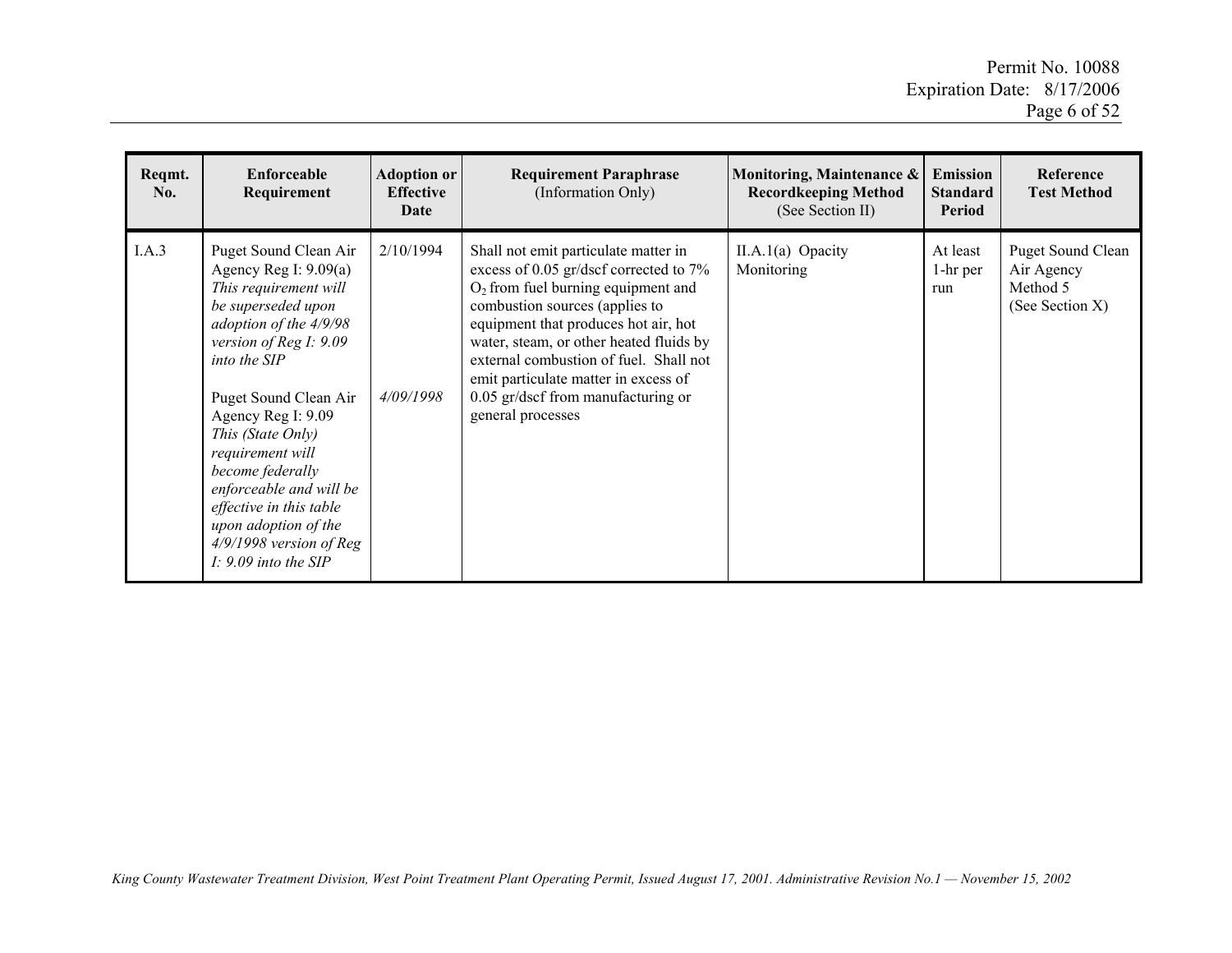| Reqmt.<br>No. | Enforceable<br>Requirement                                                                                                                                                                                                                                                                                                                                                                                           | <b>Adoption or</b><br><b>Effective</b><br>Date | <b>Requirement Paraphrase</b><br>(Information Only)                                                                                                                                                                                                                                                                                                                                      | Monitoring, Maintenance &<br><b>Recordkeeping Method</b><br>(See Section II) | <b>Emission</b><br><b>Standard</b><br>Period | <b>Reference</b><br><b>Test Method</b>                                |
|---------------|----------------------------------------------------------------------------------------------------------------------------------------------------------------------------------------------------------------------------------------------------------------------------------------------------------------------------------------------------------------------------------------------------------------------|------------------------------------------------|------------------------------------------------------------------------------------------------------------------------------------------------------------------------------------------------------------------------------------------------------------------------------------------------------------------------------------------------------------------------------------------|------------------------------------------------------------------------------|----------------------------------------------|-----------------------------------------------------------------------|
| I.A.3         | Puget Sound Clean Air<br>Agency Reg I: $9.09(a)$<br>This requirement will<br>be superseded upon<br>adoption of the 4/9/98<br>version of Reg I: 9.09<br>into the SIP<br>Puget Sound Clean Air<br>Agency Reg I: 9.09<br>This (State Only)<br>requirement will<br>become federally<br>enforceable and will be<br>effective in this table<br>upon adoption of the<br>$4/9/1998$ version of Reg<br>$I: 9.09$ into the SIP | 2/10/1994<br>4/09/1998                         | Shall not emit particulate matter in<br>excess of 0.05 gr/dscf corrected to 7%<br>$O2$ from fuel burning equipment and<br>combustion sources (applies to<br>equipment that produces hot air, hot<br>water, steam, or other heated fluids by<br>external combustion of fuel. Shall not<br>emit particulate matter in excess of<br>0.05 gr/dscf from manufacturing or<br>general processes | $II.A.1(a)$ Opacity<br>Monitoring                                            | At least<br>1-hr per<br>run                  | <b>Puget Sound Clean</b><br>Air Agency<br>Method 5<br>(See Section X) |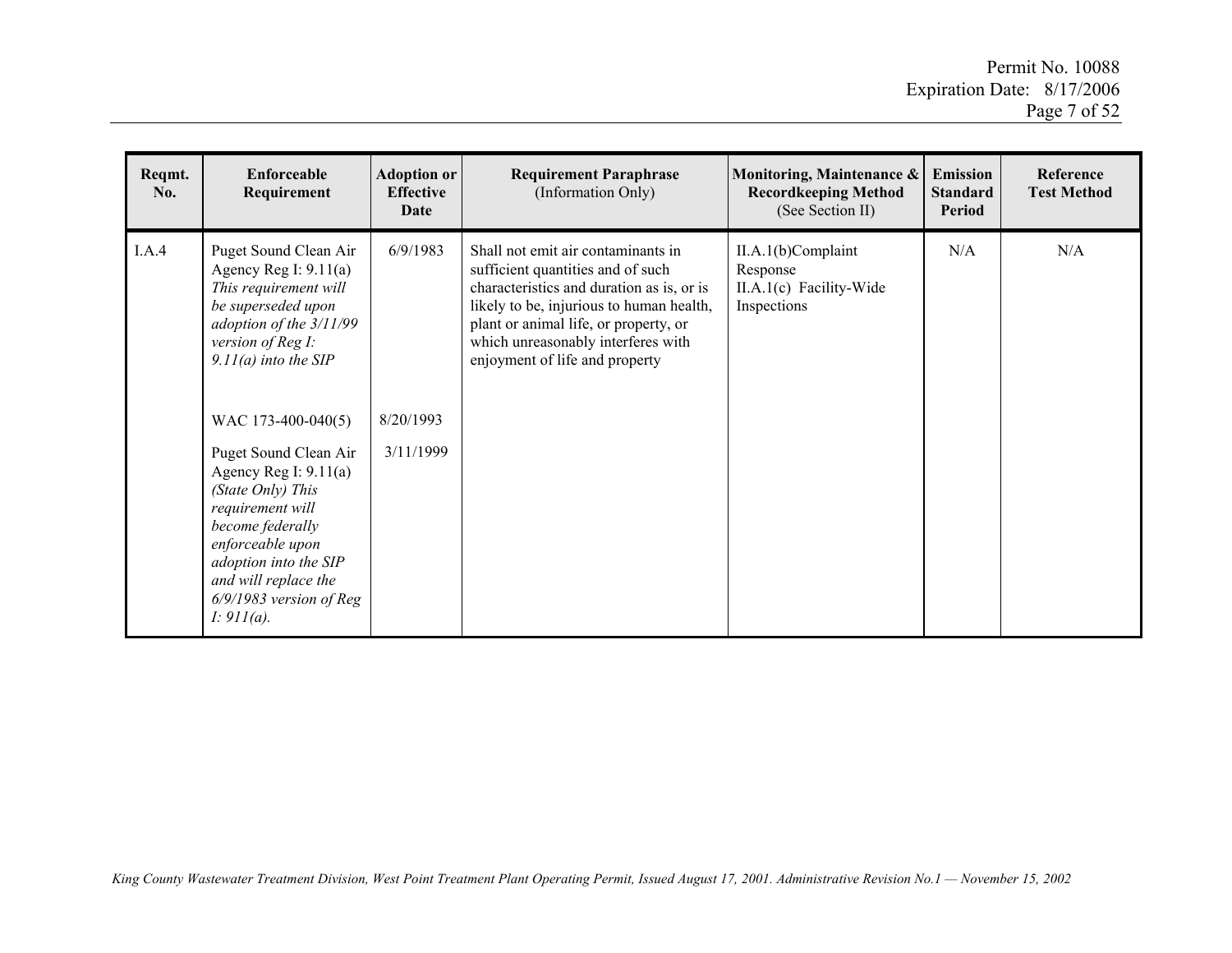| Reqmt.<br>No. | Enforceable<br>Requirement                                                                                                                                                                                                                                                                                                                                                                                                       | <b>Adoption or</b><br><b>Effective</b><br>Date | <b>Requirement Paraphrase</b><br>(Information Only)                                                                                                                                                                                                                               | Monitoring, Maintenance &<br><b>Recordkeeping Method</b><br>(See Section II) | <b>Emission</b><br><b>Standard</b><br><b>Period</b> | Reference<br><b>Test Method</b> |
|---------------|----------------------------------------------------------------------------------------------------------------------------------------------------------------------------------------------------------------------------------------------------------------------------------------------------------------------------------------------------------------------------------------------------------------------------------|------------------------------------------------|-----------------------------------------------------------------------------------------------------------------------------------------------------------------------------------------------------------------------------------------------------------------------------------|------------------------------------------------------------------------------|-----------------------------------------------------|---------------------------------|
| I.A.4         | Puget Sound Clean Air<br>Agency Reg I: $9.11(a)$<br>This requirement will<br>be superseded upon<br>adoption of the 3/11/99<br>version of Reg I:<br>$9.11(a)$ into the SIP<br>WAC 173-400-040(5)<br>Puget Sound Clean Air<br>Agency Reg I: $9.11(a)$<br>(State Only) This<br>requirement will<br>become federally<br>enforceable upon<br>adoption into the SIP<br>and will replace the<br>$6/9/1983$ version of Reg<br>I: 911(a). | 6/9/1983<br>8/20/1993<br>3/11/1999             | Shall not emit air contaminants in<br>sufficient quantities and of such<br>characteristics and duration as is, or is<br>likely to be, injurious to human health,<br>plant or animal life, or property, or<br>which unreasonably interferes with<br>enjoyment of life and property | II.A.1(b)Complaint<br>Response<br>$II.A.1(c)$ Facility-Wide<br>Inspections   | N/A                                                 | N/A                             |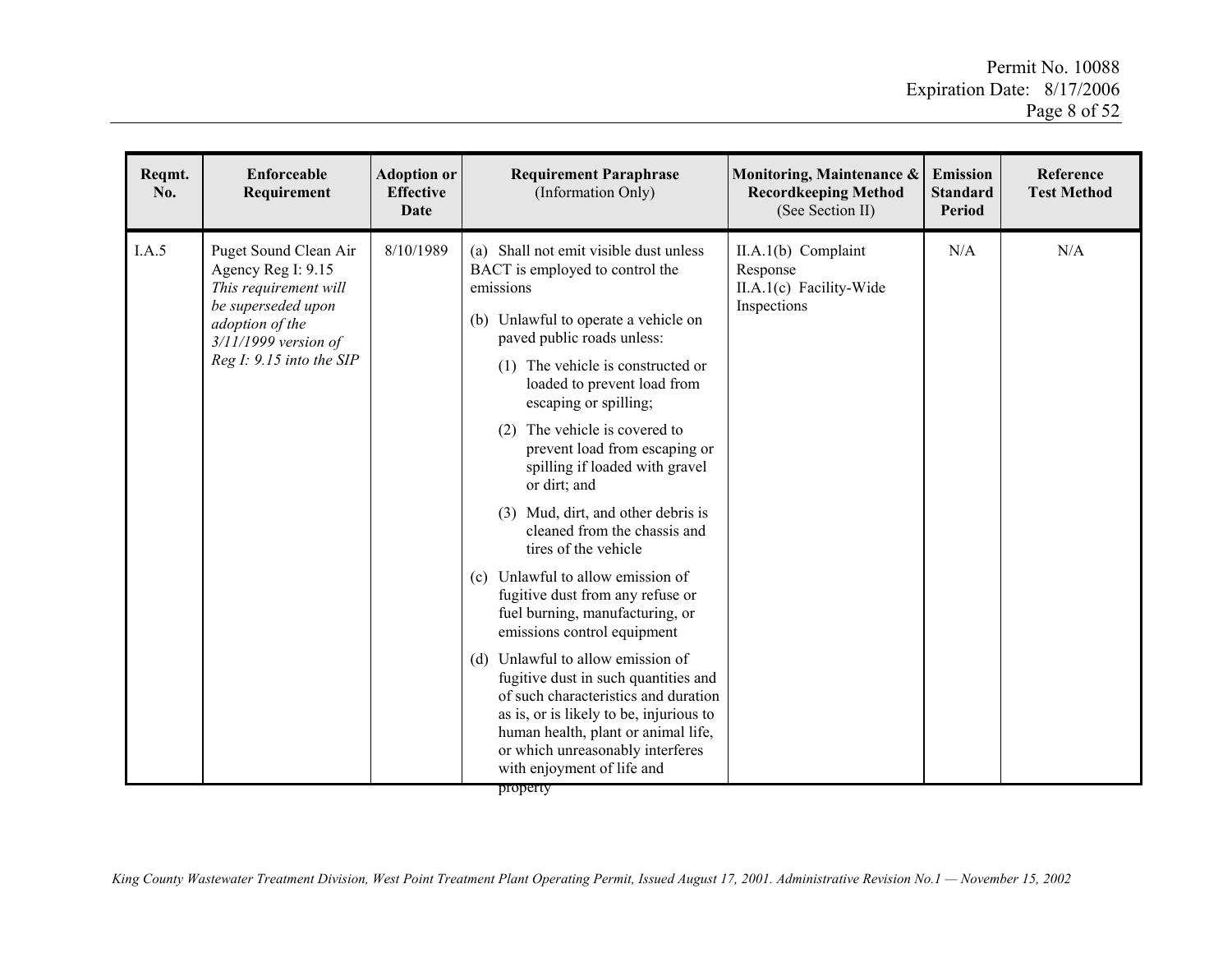| Reqmt.<br>No. | <b>Enforceable</b><br>Requirement                                                                                                                                   | <b>Adoption or</b><br><b>Effective</b><br><b>Date</b> | <b>Requirement Paraphrase</b><br>(Information Only)                                                                                                                                                                                                                                                                                                                                                                                                                                                                                                                                                                                                                                                                                                                                                                                                                                                                     | Monitoring, Maintenance &<br><b>Recordkeeping Method</b><br>(See Section II) | <b>Emission</b><br><b>Standard</b><br><b>Period</b> | Reference<br><b>Test Method</b> |
|---------------|---------------------------------------------------------------------------------------------------------------------------------------------------------------------|-------------------------------------------------------|-------------------------------------------------------------------------------------------------------------------------------------------------------------------------------------------------------------------------------------------------------------------------------------------------------------------------------------------------------------------------------------------------------------------------------------------------------------------------------------------------------------------------------------------------------------------------------------------------------------------------------------------------------------------------------------------------------------------------------------------------------------------------------------------------------------------------------------------------------------------------------------------------------------------------|------------------------------------------------------------------------------|-----------------------------------------------------|---------------------------------|
| I.A.5         | Puget Sound Clean Air<br>Agency Reg I: 9.15<br>This requirement will<br>be superseded upon<br>adoption of the<br>$3/11/1999$ version of<br>Reg I: 9.15 into the SIP | 8/10/1989                                             | (a) Shall not emit visible dust unless<br>BACT is employed to control the<br>emissions<br>(b) Unlawful to operate a vehicle on<br>paved public roads unless:<br>The vehicle is constructed or<br>(1)<br>loaded to prevent load from<br>escaping or spilling;<br>The vehicle is covered to<br>(2)<br>prevent load from escaping or<br>spilling if loaded with gravel<br>or dirt; and<br>(3) Mud, dirt, and other debris is<br>cleaned from the chassis and<br>tires of the vehicle<br>Unlawful to allow emission of<br>(c)<br>fugitive dust from any refuse or<br>fuel burning, manufacturing, or<br>emissions control equipment<br>Unlawful to allow emission of<br>(d)<br>fugitive dust in such quantities and<br>of such characteristics and duration<br>as is, or is likely to be, injurious to<br>human health, plant or animal life,<br>or which unreasonably interferes<br>with enjoyment of life and<br>property | $II.A.1(b)$ Complaint<br>Response<br>II.A.1(c) Facility-Wide<br>Inspections  | N/A                                                 | N/A                             |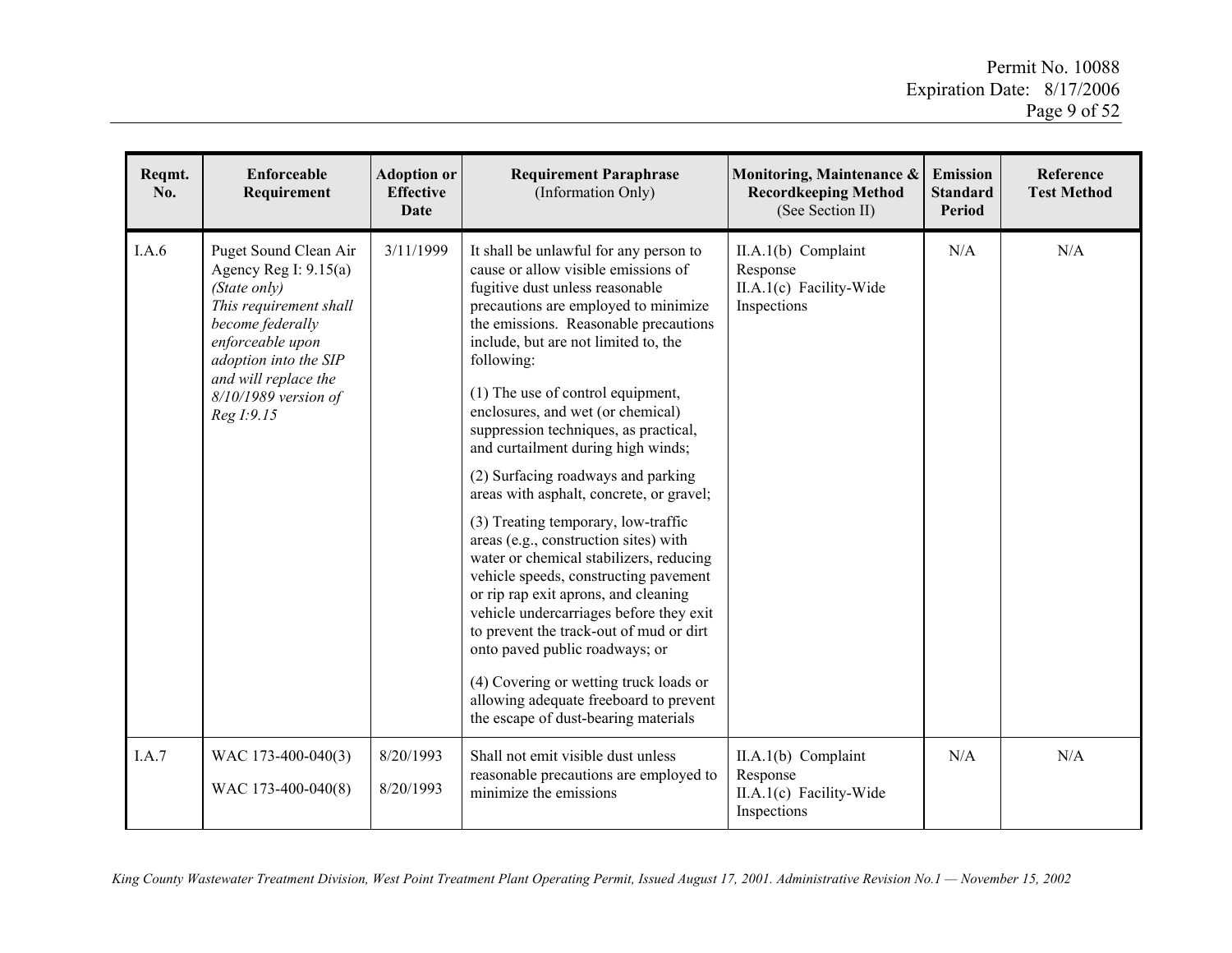| Reqmt.<br>No. | <b>Enforceable</b><br>Requirement                                                                                                                                                                                       | <b>Adoption or</b><br><b>Effective</b><br><b>Date</b> | <b>Requirement Paraphrase</b><br>(Information Only)                                                                                                                                                                                                                                                                                                                                                                                                          | Monitoring, Maintenance &<br><b>Recordkeeping Method</b><br>(See Section II) | <b>Emission</b><br><b>Standard</b><br><b>Period</b> | Reference<br><b>Test Method</b> |
|---------------|-------------------------------------------------------------------------------------------------------------------------------------------------------------------------------------------------------------------------|-------------------------------------------------------|--------------------------------------------------------------------------------------------------------------------------------------------------------------------------------------------------------------------------------------------------------------------------------------------------------------------------------------------------------------------------------------------------------------------------------------------------------------|------------------------------------------------------------------------------|-----------------------------------------------------|---------------------------------|
| I.A.6         | Puget Sound Clean Air<br>Agency Reg I: 9.15(a)<br>(State only)<br>This requirement shall<br>become federally<br>enforceable upon<br>adoption into the SIP<br>and will replace the<br>8/10/1989 version of<br>Reg I:9.15 | 3/11/1999                                             | It shall be unlawful for any person to<br>cause or allow visible emissions of<br>fugitive dust unless reasonable<br>precautions are employed to minimize<br>the emissions. Reasonable precautions<br>include, but are not limited to, the<br>following:<br>(1) The use of control equipment,<br>enclosures, and wet (or chemical)<br>suppression techniques, as practical,                                                                                   | II.A.1(b) Complaint<br>Response<br>II.A.1(c) Facility-Wide<br>Inspections    | N/A                                                 | N/A                             |
|               |                                                                                                                                                                                                                         |                                                       | and curtailment during high winds;<br>(2) Surfacing roadways and parking<br>areas with asphalt, concrete, or gravel;                                                                                                                                                                                                                                                                                                                                         |                                                                              |                                                     |                                 |
|               |                                                                                                                                                                                                                         |                                                       | (3) Treating temporary, low-traffic<br>areas (e.g., construction sites) with<br>water or chemical stabilizers, reducing<br>vehicle speeds, constructing pavement<br>or rip rap exit aprons, and cleaning<br>vehicle undercarriages before they exit<br>to prevent the track-out of mud or dirt<br>onto paved public roadways; or<br>(4) Covering or wetting truck loads or<br>allowing adequate freeboard to prevent<br>the escape of dust-bearing materials |                                                                              |                                                     |                                 |
| I.A.7         | WAC 173-400-040(3)<br>WAC 173-400-040(8)                                                                                                                                                                                | 8/20/1993<br>8/20/1993                                | Shall not emit visible dust unless<br>reasonable precautions are employed to<br>minimize the emissions                                                                                                                                                                                                                                                                                                                                                       | $II.A.1(b)$ Complaint<br>Response<br>II.A.1(c) Facility-Wide<br>Inspections  | N/A                                                 | N/A                             |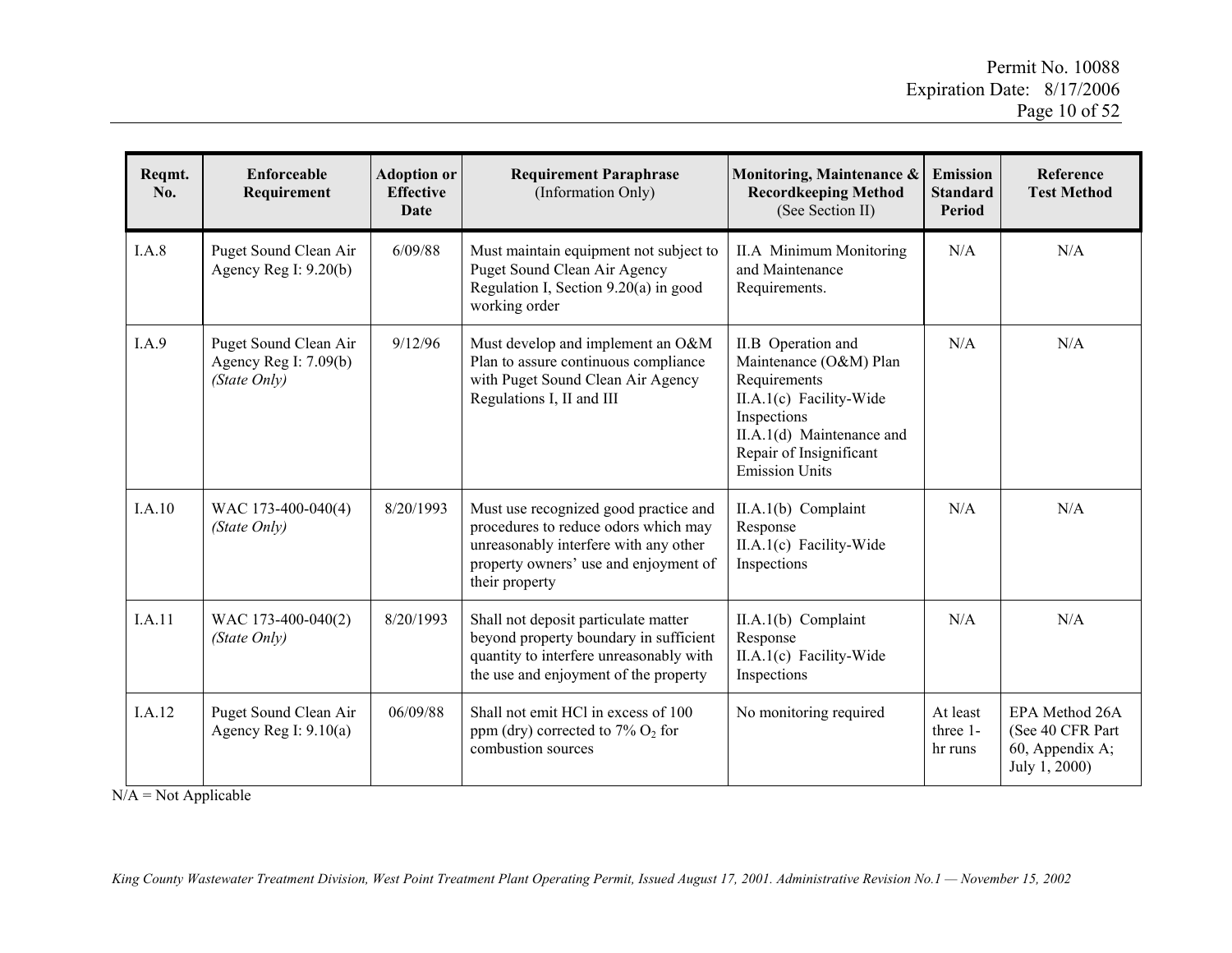| Reqmt.<br>No. | <b>Enforceable</b><br>Requirement                                | <b>Adoption or</b><br><b>Effective</b><br><b>Date</b> | <b>Requirement Paraphrase</b><br>(Information Only)                                                                                                                               | Monitoring, Maintenance &<br><b>Recordkeeping Method</b><br>(See Section II)                                                                                                            | <b>Emission</b><br><b>Standard</b><br><b>Period</b> | Reference<br><b>Test Method</b>                                         |
|---------------|------------------------------------------------------------------|-------------------------------------------------------|-----------------------------------------------------------------------------------------------------------------------------------------------------------------------------------|-----------------------------------------------------------------------------------------------------------------------------------------------------------------------------------------|-----------------------------------------------------|-------------------------------------------------------------------------|
| I.A.8         | Puget Sound Clean Air<br>Agency Reg I: $9.20(b)$                 | 6/09/88                                               | Must maintain equipment not subject to<br>Puget Sound Clean Air Agency<br>Regulation I, Section $9.20(a)$ in good<br>working order                                                | <b>II.A</b> Minimum Monitoring<br>and Maintenance<br>Requirements.                                                                                                                      | N/A                                                 | N/A                                                                     |
| I.A.9         | Puget Sound Clean Air<br>Agency Reg I: $7.09(b)$<br>(State Only) | 9/12/96                                               | Must develop and implement an O&M<br>Plan to assure continuous compliance<br>with Puget Sound Clean Air Agency<br>Regulations I, II and III                                       | II.B Operation and<br>Maintenance (O&M) Plan<br>Requirements<br>II.A.1(c) Facility-Wide<br>Inspections<br>II.A.1(d) Maintenance and<br>Repair of Insignificant<br><b>Emission Units</b> | N/A                                                 | N/A                                                                     |
| I.A.10        | WAC 173-400-040(4)<br>(State Only)                               | 8/20/1993                                             | Must use recognized good practice and<br>procedures to reduce odors which may<br>unreasonably interfere with any other<br>property owners' use and enjoyment of<br>their property | $II.A.1(b)$ Complaint<br>Response<br>II.A.1(c) Facility-Wide<br>Inspections                                                                                                             | N/A                                                 | N/A                                                                     |
| I.A.11        | WAC 173-400-040(2)<br>(State Only)                               | 8/20/1993                                             | Shall not deposit particulate matter<br>beyond property boundary in sufficient<br>quantity to interfere unreasonably with<br>the use and enjoyment of the property                | $II.A.1(b)$ Complaint<br>Response<br>II.A.1(c) Facility-Wide<br>Inspections                                                                                                             | N/A                                                 | N/A                                                                     |
| I.A.12        | Puget Sound Clean Air<br>Agency Reg I: $9.10(a)$                 | 06/09/88                                              | Shall not emit HCl in excess of 100<br>ppm (dry) corrected to $7\%$ O <sub>2</sub> for<br>combustion sources                                                                      | No monitoring required                                                                                                                                                                  | At least<br>three 1-<br>hr runs                     | EPA Method 26A<br>(See 40 CFR Part)<br>60, Appendix A;<br>July 1, 2000) |

 $N/A = Not Applicable$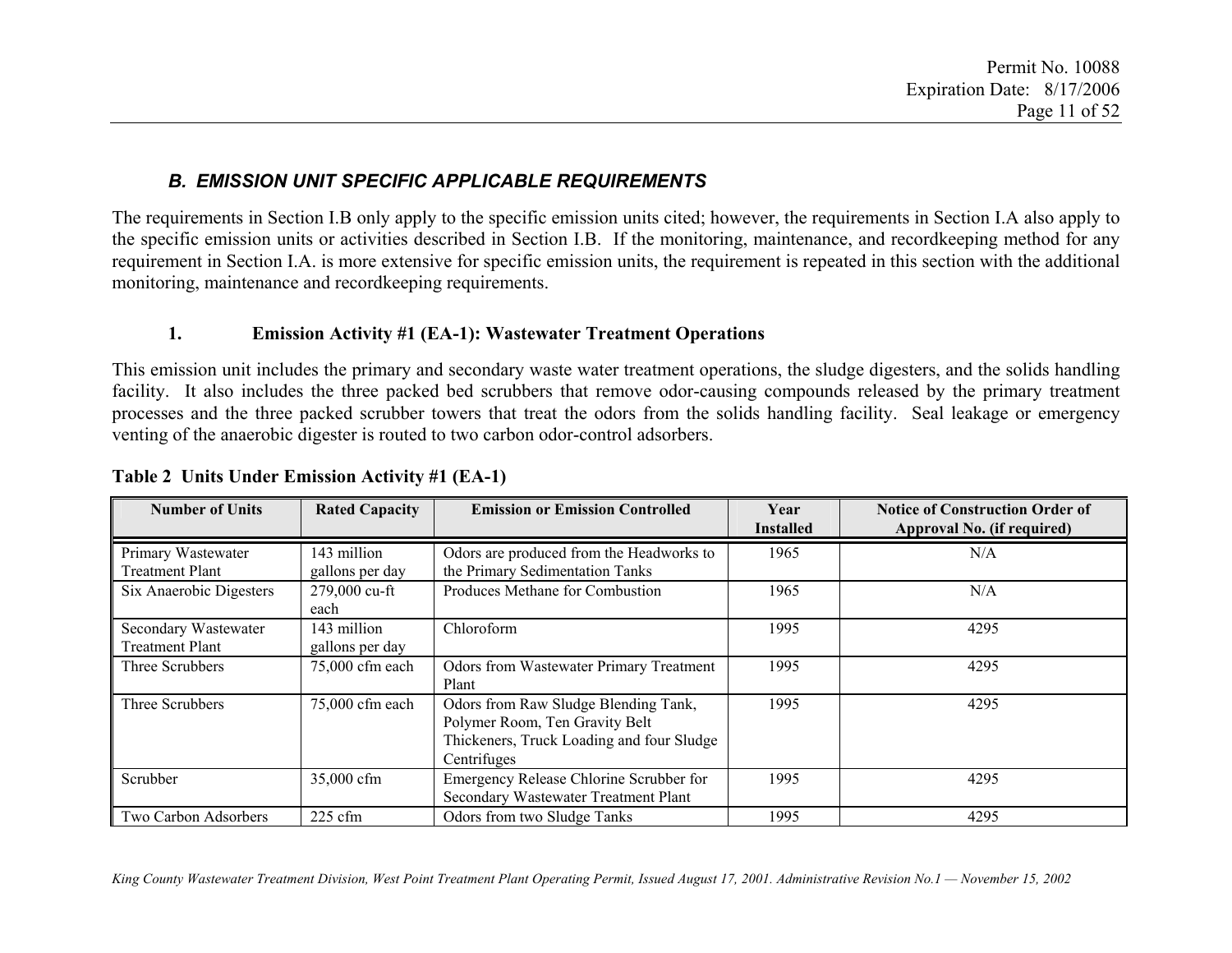### *B. EMISSION UNIT SPECIFIC APPLICABLE REQUIREMENTS*

The requirements in Section I.B only apply to the specific emission units cited; however, the requirements in Section I.A also apply to the specific emission units or activities described in Section I.B. If the monitoring, maintenance, and recordkeeping method for any requirement in Section I.A. is more extensive for specific emission units, the requirement is repeated in this section with the additional monitoring, maintenance and recordkeeping requirements.

#### **1.Emission Activity #1 (EA-1): Wastewater Treatment Operations**

This emission unit includes the primary and secondary waste water treatment operations, the sludge digesters, and the solids handling facility. It also includes the three packed bed scrubbers that remove odor-causing compounds released by the primary treatment processes and the three packed scrubber towers that treat the odors from the solids handling facility. Seal leakage or emergency venting of the anaerobic digester is routed to two carbon odor-control adsorbers.

| <b>Number of Units</b>                         | <b>Rated Capacity</b>          | <b>Emission or Emission Controlled</b>                                                                                             | Year<br><b>Installed</b> | <b>Notice of Construction Order of</b><br>Approval No. (if required) |
|------------------------------------------------|--------------------------------|------------------------------------------------------------------------------------------------------------------------------------|--------------------------|----------------------------------------------------------------------|
| Primary Wastewater<br><b>Treatment Plant</b>   | 143 million<br>gallons per day | Odors are produced from the Headworks to<br>the Primary Sedimentation Tanks                                                        | 1965                     | N/A                                                                  |
| Six Anaerobic Digesters                        | 279,000 cu-ft<br>each          | Produces Methane for Combustion                                                                                                    | 1965                     | N/A                                                                  |
| Secondary Wastewater<br><b>Treatment Plant</b> | 143 million<br>gallons per day | Chloroform                                                                                                                         | 1995                     | 4295                                                                 |
| Three Scrubbers                                | 75,000 cfm each                | <b>Odors from Wastewater Primary Treatment</b><br>Plant                                                                            | 1995                     | 4295                                                                 |
| Three Scrubbers                                | 75,000 cfm each                | Odors from Raw Sludge Blending Tank,<br>Polymer Room, Ten Gravity Belt<br>Thickeners, Truck Loading and four Sludge<br>Centrifuges | 1995                     | 4295                                                                 |
| Scrubber                                       | 35,000 cfm                     | Emergency Release Chlorine Scrubber for<br>Secondary Wastewater Treatment Plant                                                    | 1995                     | 4295                                                                 |
| Two Carbon Adsorbers                           | $225$ cfm                      | Odors from two Sludge Tanks                                                                                                        | 1995                     | 4295                                                                 |

#### **Table 2 Units Under Emission Activity #1 (EA-1)**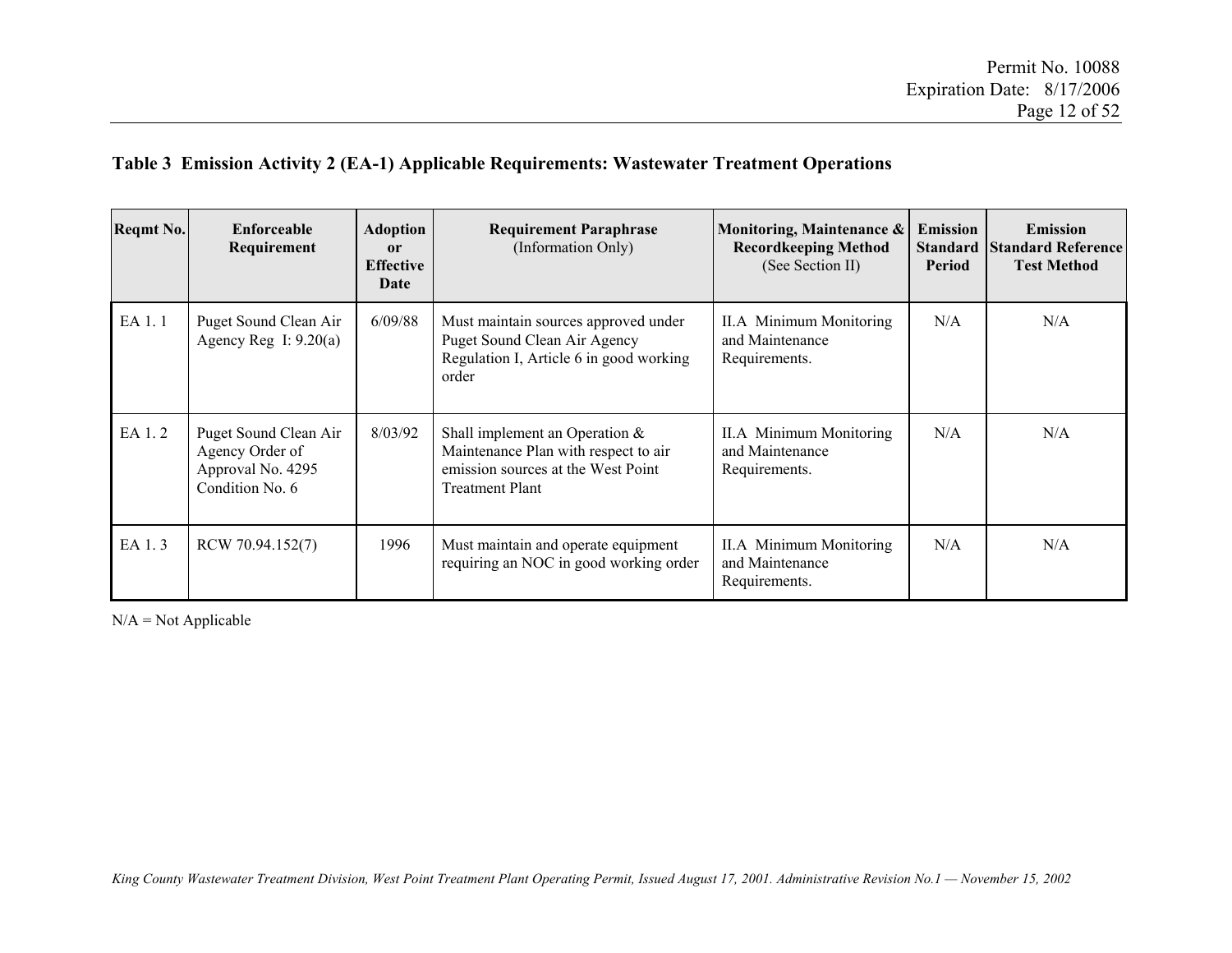#### **Table 3 Emission Activity 2 (EA-1) Applicable Requirements: Wastewater Treatment Operations**

| <b>Reqmt No.</b> | <b>Enforceable</b><br>Requirement                                                | Adoption<br>or<br><b>Effective</b><br>Date | <b>Requirement Paraphrase</b><br>(Information Only)                                                                                       | Monitoring, Maintenance &<br><b>Recordkeeping Method</b><br>(See Section II) | <b>Emission</b><br><b>Standard</b><br>Period | <b>Emission</b><br><b>Standard Reference</b><br><b>Test Method</b> |
|------------------|----------------------------------------------------------------------------------|--------------------------------------------|-------------------------------------------------------------------------------------------------------------------------------------------|------------------------------------------------------------------------------|----------------------------------------------|--------------------------------------------------------------------|
| EA 1.1           | Puget Sound Clean Air<br>Agency Reg I: $9.20(a)$                                 | 6/09/88                                    | Must maintain sources approved under<br>Puget Sound Clean Air Agency<br>Regulation I, Article 6 in good working<br>order                  | II.A Minimum Monitoring<br>and Maintenance<br>Requirements.                  | N/A                                          | N/A                                                                |
| EA 1.2           | Puget Sound Clean Air<br>Agency Order of<br>Approval No. 4295<br>Condition No. 6 | 8/03/92                                    | Shall implement an Operation $\&$<br>Maintenance Plan with respect to air<br>emission sources at the West Point<br><b>Treatment Plant</b> | II.A Minimum Monitoring<br>and Maintenance<br>Requirements.                  | N/A                                          | N/A                                                                |
| EA 1.3           | RCW 70.94.152(7)                                                                 | 1996                                       | Must maintain and operate equipment<br>requiring an NOC in good working order                                                             | II.A Minimum Monitoring<br>and Maintenance<br>Requirements.                  | N/A                                          | N/A                                                                |

 $N/A = Not Applicable$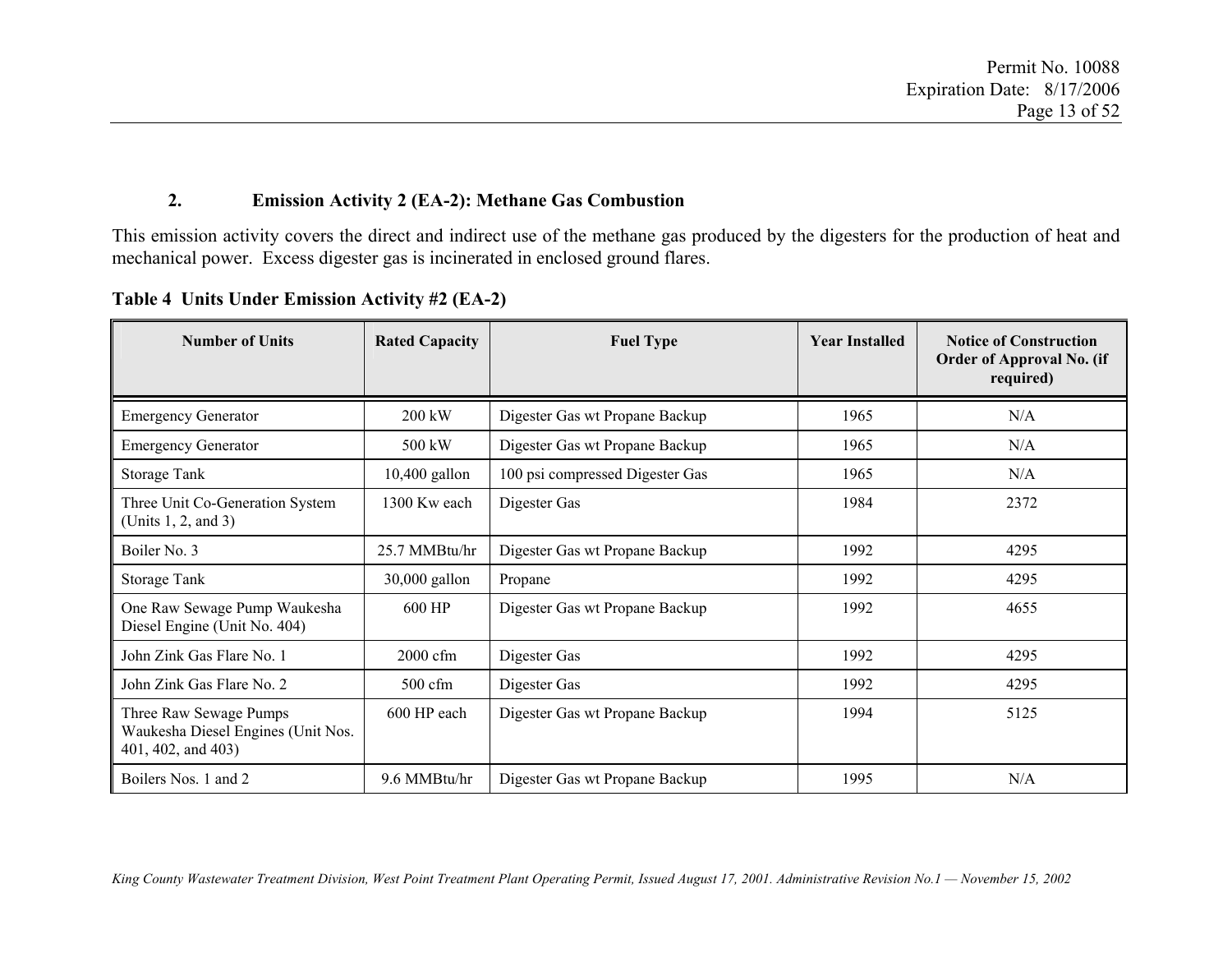#### **2.Emission Activity 2 (EA-2): Methane Gas Combustion**

This emission activity covers the direct and indirect use of the methane gas produced by the digesters for the production of heat and mechanical power. Excess digester gas is incinerated in enclosed ground flares.

| <b>Number of Units</b>                                                             | <b>Rated Capacity</b> | <b>Fuel Type</b>                | <b>Year Installed</b> | <b>Notice of Construction</b><br>Order of Approval No. (if<br>required) |
|------------------------------------------------------------------------------------|-----------------------|---------------------------------|-----------------------|-------------------------------------------------------------------------|
| <b>Emergency Generator</b>                                                         | 200 kW                | Digester Gas wt Propane Backup  | 1965                  | N/A                                                                     |
| <b>Emergency Generator</b>                                                         | 500 kW                | Digester Gas wt Propane Backup  | 1965                  | N/A                                                                     |
| Storage Tank                                                                       | $10,400$ gallon       | 100 psi compressed Digester Gas | 1965                  | N/A                                                                     |
| Three Unit Co-Generation System<br>(Units 1, 2, and 3)                             | 1300 Kw each          | Digester Gas                    | 1984                  | 2372                                                                    |
| Boiler No. 3                                                                       | 25.7 MMBtu/hr         | Digester Gas wt Propane Backup  | 1992                  | 4295                                                                    |
| Storage Tank                                                                       | 30,000 gallon         | Propane                         | 1992                  | 4295                                                                    |
| One Raw Sewage Pump Waukesha<br>Diesel Engine (Unit No. 404)                       | 600 HP                | Digester Gas wt Propane Backup  | 1992                  | 4655                                                                    |
| John Zink Gas Flare No. 1                                                          | 2000 cfm              | Digester Gas                    | 1992                  | 4295                                                                    |
| John Zink Gas Flare No. 2                                                          | $500 \text{ cfm}$     | Digester Gas                    | 1992                  | 4295                                                                    |
| Three Raw Sewage Pumps<br>Waukesha Diesel Engines (Unit Nos.<br>401, 402, and 403) | 600 HP each           | Digester Gas wt Propane Backup  | 1994                  | 5125                                                                    |
| Boilers Nos. 1 and 2                                                               | 9.6 MMBtu/hr          | Digester Gas wt Propane Backup  | 1995                  | N/A                                                                     |

**Table 4 Units Under Emission Activity #2 (EA-2)**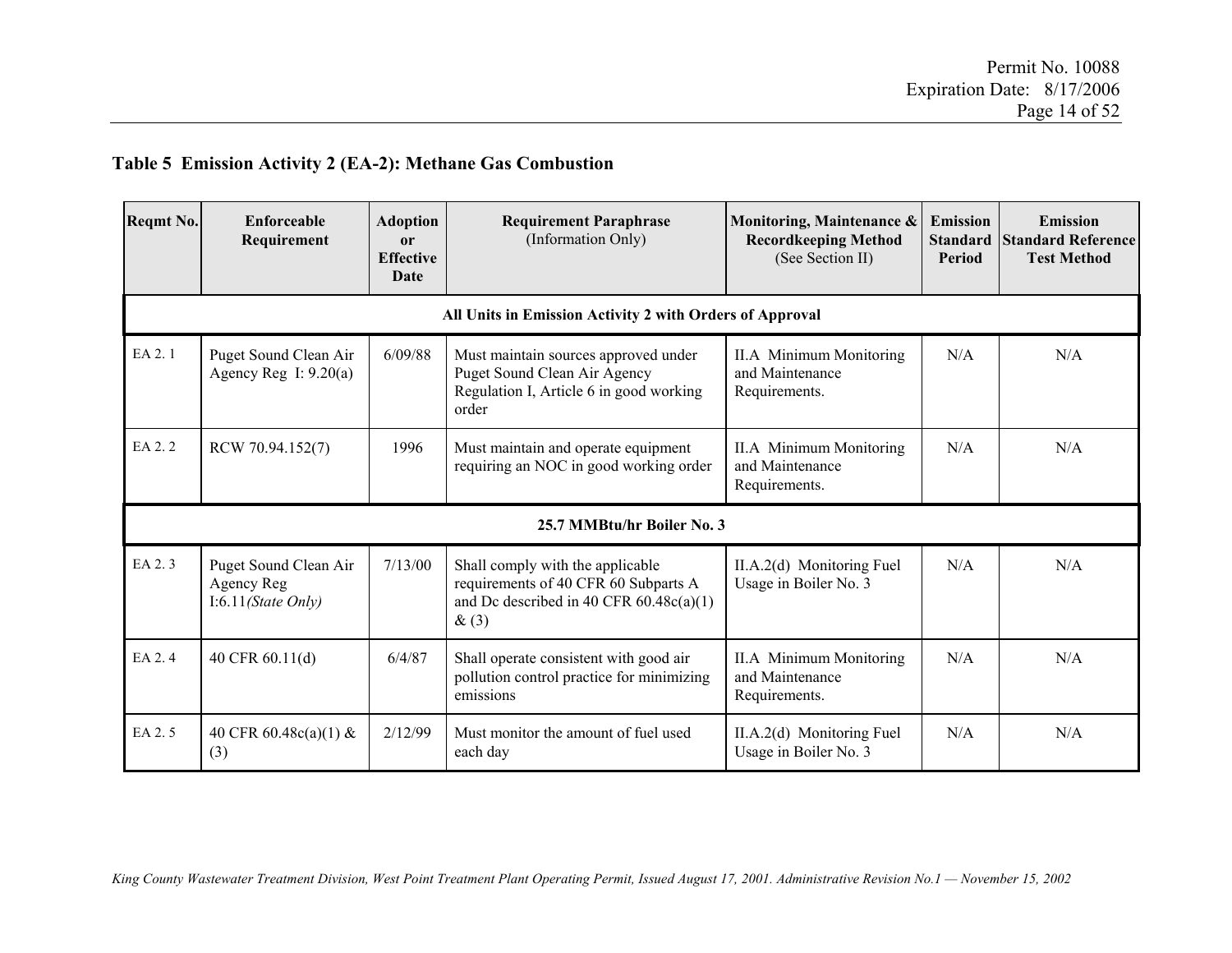#### **Table 5 Emission Activity 2 (EA-2): Methane Gas Combustion**

| Reqmt No. | Enforceable<br>Requirement                                | <b>Adoption</b><br><sub>or</sub><br><b>Effective</b><br>Date | <b>Requirement Paraphrase</b><br>(Information Only)                                                                           | Monitoring, Maintenance &<br><b>Recordkeeping Method</b><br>(See Section II) | <b>Emission</b><br><b>Standard</b><br>Period | <b>Emission</b><br><b>Standard Reference</b><br><b>Test Method</b> |
|-----------|-----------------------------------------------------------|--------------------------------------------------------------|-------------------------------------------------------------------------------------------------------------------------------|------------------------------------------------------------------------------|----------------------------------------------|--------------------------------------------------------------------|
|           |                                                           |                                                              | All Units in Emission Activity 2 with Orders of Approval                                                                      |                                                                              |                                              |                                                                    |
| EA 2.1    | Puget Sound Clean Air<br>Agency Reg I: $9.20(a)$          | 6/09/88                                                      | Must maintain sources approved under<br>Puget Sound Clean Air Agency<br>Regulation I, Article 6 in good working<br>order      | <b>II.A</b> Minimum Monitoring<br>and Maintenance<br>Requirements.           | N/A                                          | N/A                                                                |
| EA 2.2    | RCW 70.94.152(7)                                          | 1996                                                         | Must maintain and operate equipment<br>requiring an NOC in good working order                                                 | <b>II.A</b> Minimum Monitoring<br>and Maintenance<br>Requirements.           | N/A                                          | N/A                                                                |
|           |                                                           |                                                              | 25.7 MMBtu/hr Boiler No. 3                                                                                                    |                                                                              |                                              |                                                                    |
| EA 2.3    | Puget Sound Clean Air<br>Agency Reg<br>I:6.11(State Only) | 7/13/00                                                      | Shall comply with the applicable<br>requirements of 40 CFR 60 Subparts A<br>and Dc described in 40 CFR $60.48c(a)(1)$<br>&(3) | II.A.2(d) Monitoring Fuel<br>Usage in Boiler No. 3                           | N/A                                          | N/A                                                                |
| EA 2.4    | 40 CFR 60.11(d)                                           | 6/4/87                                                       | Shall operate consistent with good air<br>pollution control practice for minimizing<br>emissions                              | <b>II.A</b> Minimum Monitoring<br>and Maintenance<br>Requirements.           | N/A                                          | N/A                                                                |
| EA 2.5    | 40 CFR $60.48c(a)(1)$ &<br>(3)                            | 2/12/99                                                      | Must monitor the amount of fuel used<br>each day                                                                              | $II.A.2(d)$ Monitoring Fuel<br>Usage in Boiler No. 3                         | N/A                                          | N/A                                                                |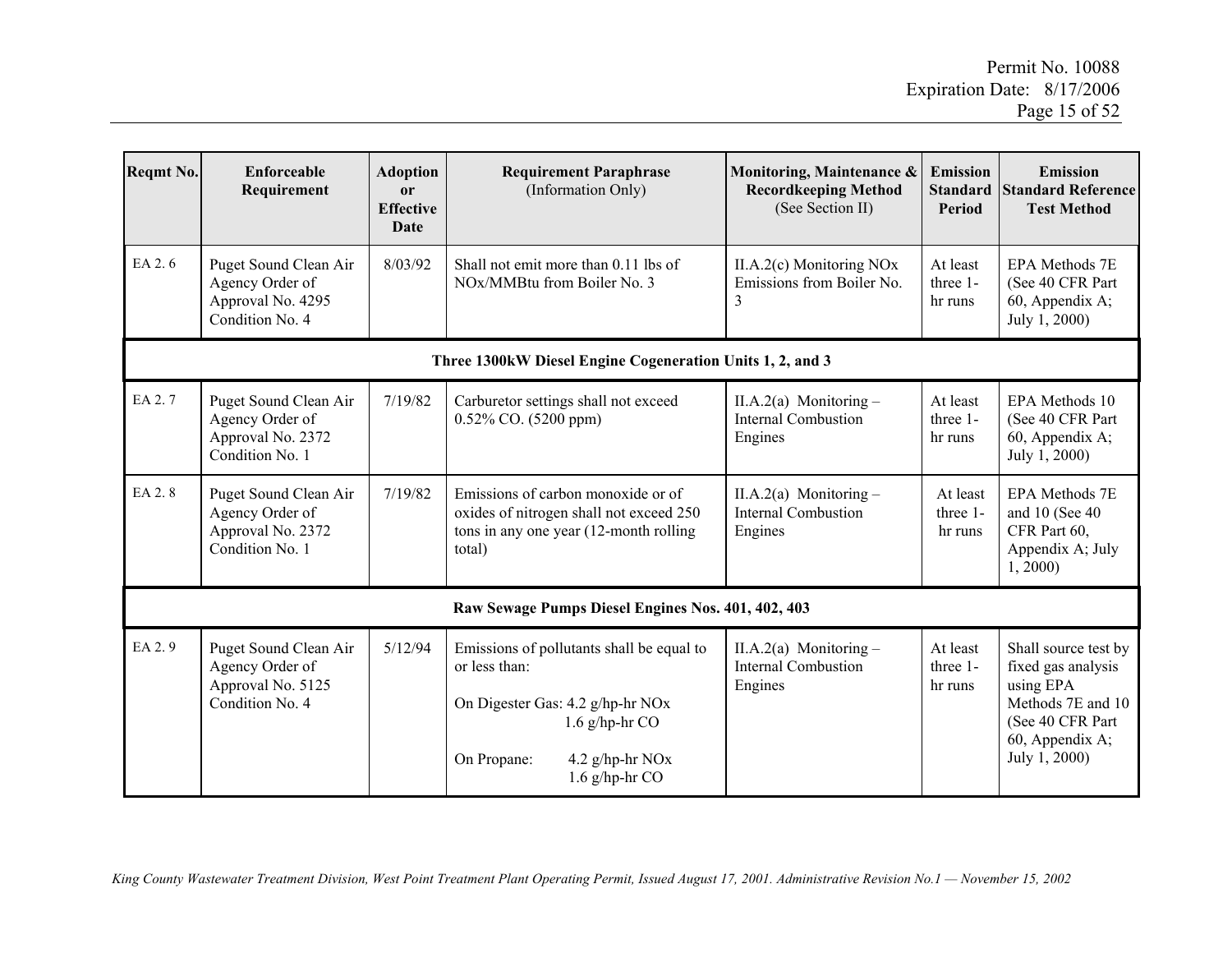| Reqmt No. | <b>Enforceable</b><br>Requirement                                                | <b>Adoption</b><br><b>or</b><br><b>Effective</b><br>Date | <b>Requirement Paraphrase</b><br>(Information Only)                                                                                                                      | Monitoring, Maintenance &<br><b>Recordkeeping Method</b><br>(See Section II) | Emission<br><b>Standard</b><br><b>Period</b> | <b>Emission</b><br><b>Standard Reference</b><br><b>Test Method</b>                                                                   |
|-----------|----------------------------------------------------------------------------------|----------------------------------------------------------|--------------------------------------------------------------------------------------------------------------------------------------------------------------------------|------------------------------------------------------------------------------|----------------------------------------------|--------------------------------------------------------------------------------------------------------------------------------------|
| EA 2.6    | Puget Sound Clean Air<br>Agency Order of<br>Approval No. 4295<br>Condition No. 4 | 8/03/92                                                  | Shall not emit more than 0.11 lbs of<br>NO <sub>x</sub> /MMB <sub>tu</sub> from Boiler No. 3                                                                             | $II.A.2(c)$ Monitoring NOx<br>Emissions from Boiler No.<br>3                 | At least<br>three 1-<br>hr runs              | EPA Methods 7E<br>(See 40 CFR Part)<br>60, Appendix A;<br>July 1, 2000)                                                              |
|           |                                                                                  |                                                          | Three 1300kW Diesel Engine Cogeneration Units 1, 2, and 3                                                                                                                |                                                                              |                                              |                                                                                                                                      |
| EA 2.7    | Puget Sound Clean Air<br>Agency Order of<br>Approval No. 2372<br>Condition No. 1 | 7/19/82                                                  | Carburetor settings shall not exceed<br>0.52% CO. (5200 ppm)                                                                                                             | II.A.2(a) Monitoring $-$<br><b>Internal Combustion</b><br>Engines            | At least<br>three 1-<br>hr runs              | EPA Methods 10<br>(See 40 CFR Part<br>60, Appendix A;<br>July 1, 2000)                                                               |
| EA 2.8    | Puget Sound Clean Air<br>Agency Order of<br>Approval No. 2372<br>Condition No. 1 | 7/19/82                                                  | Emissions of carbon monoxide or of<br>oxides of nitrogen shall not exceed 250<br>tons in any one year (12-month rolling)<br>total)                                       | II.A.2(a) Monitoring $-$<br><b>Internal Combustion</b><br>Engines            | At least<br>three 1-<br>hr runs              | <b>EPA Methods 7E</b><br>and 10 (See 40)<br>CFR Part 60,<br>Appendix A; July<br>1, 2000                                              |
|           | Raw Sewage Pumps Diesel Engines Nos. 401, 402, 403                               |                                                          |                                                                                                                                                                          |                                                                              |                                              |                                                                                                                                      |
| EA 2.9    | Puget Sound Clean Air<br>Agency Order of<br>Approval No. 5125<br>Condition No. 4 | 5/12/94                                                  | Emissions of pollutants shall be equal to<br>or less than:<br>On Digester Gas: 4.2 g/hp-hr NOx<br>$1.6$ g/hp-hr CO<br>On Propane:<br>4.2 g/hp-hr NOx<br>1.6 $g/hp-hr$ CO | II.A.2(a) Monitoring $-$<br><b>Internal Combustion</b><br>Engines            | At least<br>three 1-<br>hr runs              | Shall source test by<br>fixed gas analysis<br>using EPA<br>Methods 7E and 10<br>(See 40 CFR Part<br>60, Appendix A;<br>July 1, 2000) |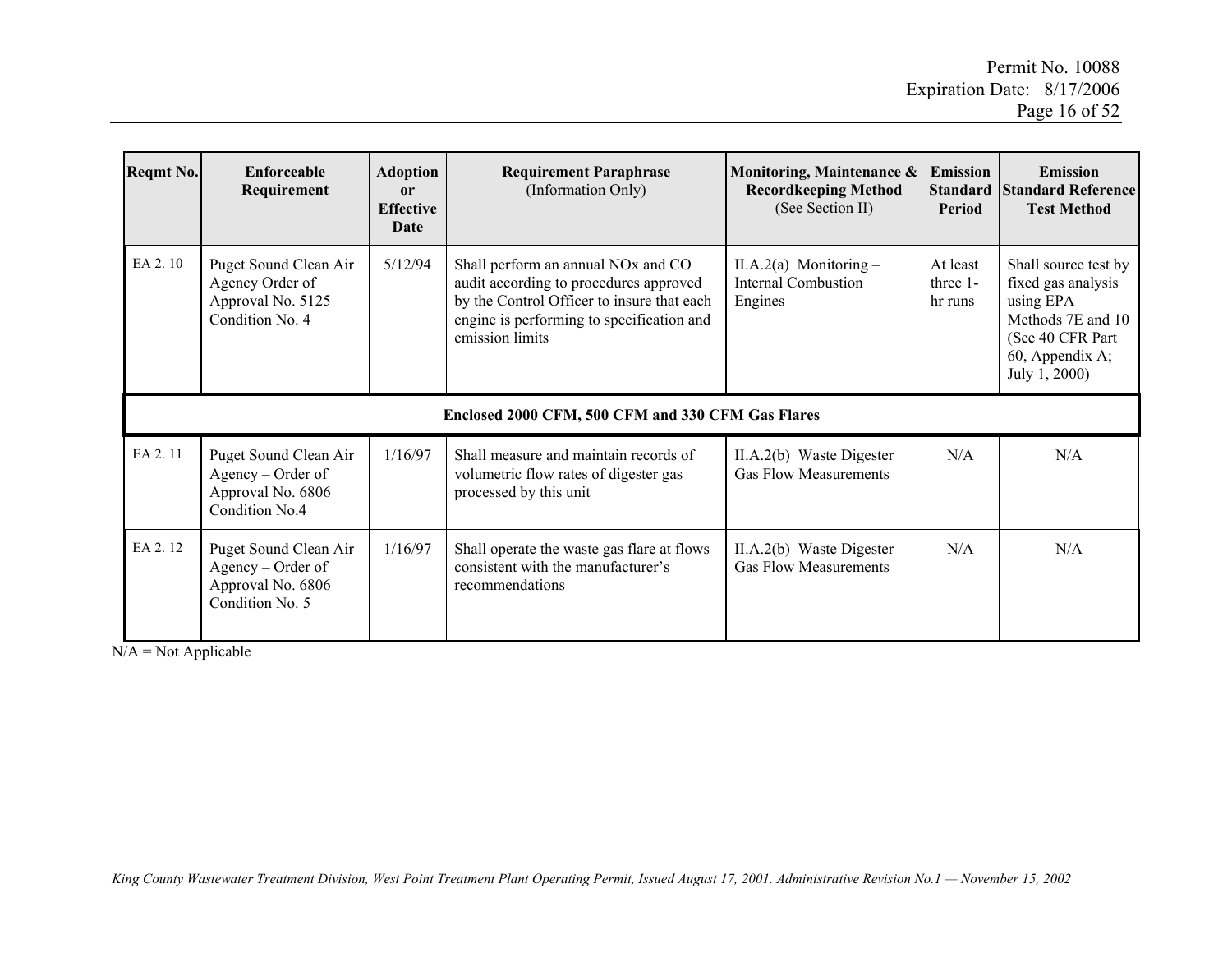| <b>Reqmt No.</b> | Enforceable<br>Requirement                                                         | <b>Adoption</b><br>or<br><b>Effective</b><br>Date | <b>Requirement Paraphrase</b><br>(Information Only)                                                                                                                                                    | Monitoring, Maintenance &<br><b>Recordkeeping Method</b><br>(See Section II) | <b>Emission</b><br><b>Standard</b><br><b>Period</b> | <b>Emission</b><br><b>Standard Reference</b><br><b>Test Method</b>                                                                    |
|------------------|------------------------------------------------------------------------------------|---------------------------------------------------|--------------------------------------------------------------------------------------------------------------------------------------------------------------------------------------------------------|------------------------------------------------------------------------------|-----------------------------------------------------|---------------------------------------------------------------------------------------------------------------------------------------|
| EA 2.10          | Puget Sound Clean Air<br>Agency Order of<br>Approval No. 5125<br>Condition No. 4   | 5/12/94                                           | Shall perform an annual NO <sub>x</sub> and CO<br>audit according to procedures approved<br>by the Control Officer to insure that each<br>engine is performing to specification and<br>emission limits | II.A.2(a) Monitoring $-$<br>Internal Combustion<br>Engines                   | At least<br>three 1-<br>hr runs                     | Shall source test by<br>fixed gas analysis<br>using EPA<br>Methods 7E and 10<br>(See 40 CFR Part)<br>60, Appendix A;<br>July 1, 2000) |
|                  | Enclosed 2000 CFM, 500 CFM and 330 CFM Gas Flares                                  |                                                   |                                                                                                                                                                                                        |                                                                              |                                                     |                                                                                                                                       |
| EA 2.11          | Puget Sound Clean Air<br>Agency – Order of<br>Approval No. 6806<br>Condition No.4  | 1/16/97                                           | Shall measure and maintain records of<br>volumetric flow rates of digester gas<br>processed by this unit                                                                                               | II.A.2(b) Waste Digester<br><b>Gas Flow Measurements</b>                     | N/A                                                 | N/A                                                                                                                                   |
| EA 2.12          | Puget Sound Clean Air<br>Agency – Order of<br>Approval No. 6806<br>Condition No. 5 | 1/16/97                                           | Shall operate the waste gas flare at flows<br>consistent with the manufacturer's<br>recommendations                                                                                                    | II.A.2(b) Waste Digester<br><b>Gas Flow Measurements</b>                     | N/A                                                 | N/A                                                                                                                                   |

 $N/A = Not Applicable$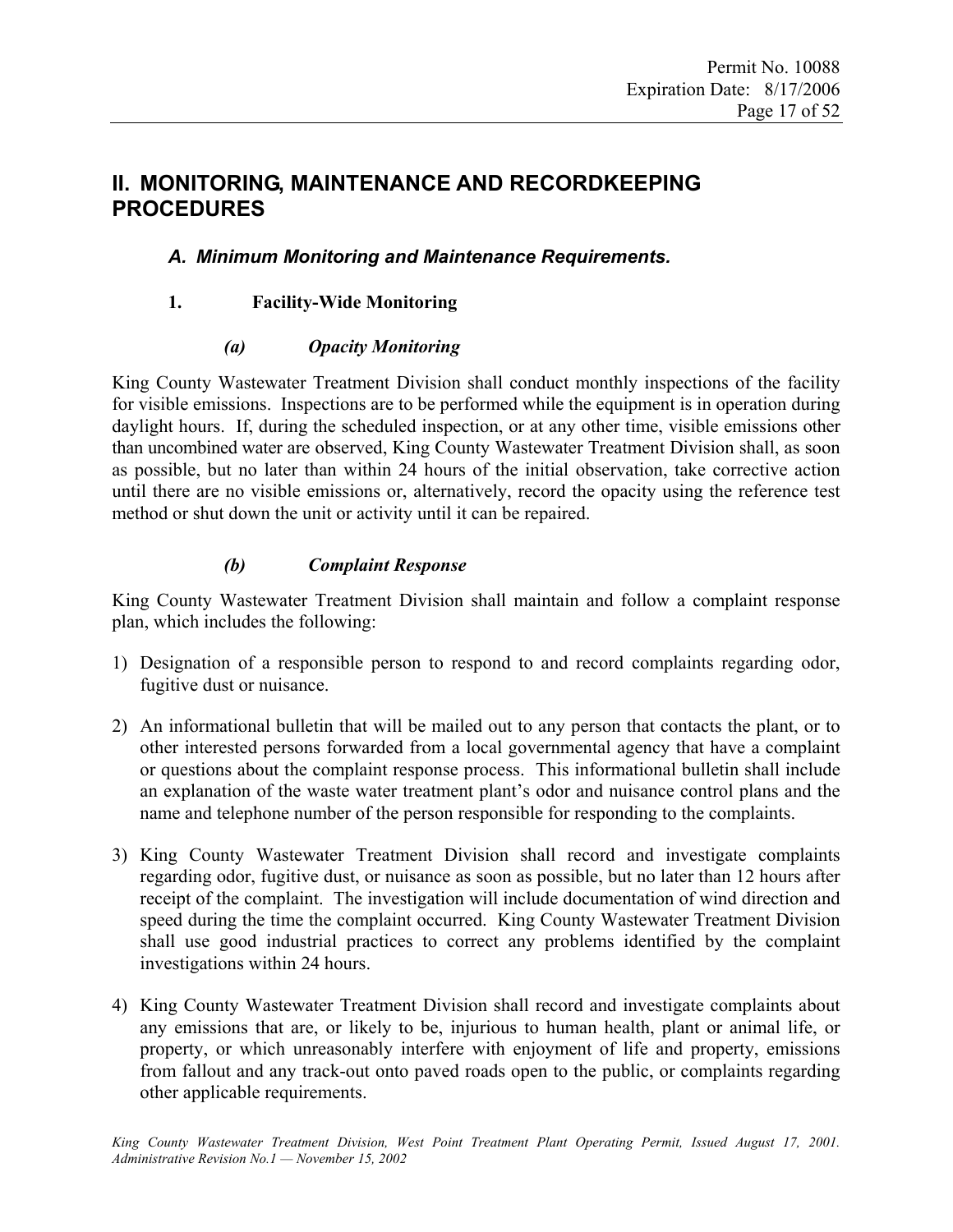# **II. MONITORING, MAINTENANCE AND RECORDKEEPING PROCEDURES**

# *A. Minimum Monitoring and Maintenance Requirements.*

# **1. Facility-Wide Monitoring**

#### *(a) Opacity Monitoring*

King County Wastewater Treatment Division shall conduct monthly inspections of the facility for visible emissions. Inspections are to be performed while the equipment is in operation during daylight hours. If, during the scheduled inspection, or at any other time, visible emissions other than uncombined water are observed, King County Wastewater Treatment Division shall, as soon as possible, but no later than within 24 hours of the initial observation, take corrective action until there are no visible emissions or, alternatively, record the opacity using the reference test method or shut down the unit or activity until it can be repaired.

### *(b) Complaint Response*

King County Wastewater Treatment Division shall maintain and follow a complaint response plan, which includes the following:

- 1) Designation of a responsible person to respond to and record complaints regarding odor, fugitive dust or nuisance.
- 2) An informational bulletin that will be mailed out to any person that contacts the plant, or to other interested persons forwarded from a local governmental agency that have a complaint or questions about the complaint response process. This informational bulletin shall include an explanation of the waste water treatment plant's odor and nuisance control plans and the name and telephone number of the person responsible for responding to the complaints.
- 3) King County Wastewater Treatment Division shall record and investigate complaints regarding odor, fugitive dust, or nuisance as soon as possible, but no later than 12 hours after receipt of the complaint. The investigation will include documentation of wind direction and speed during the time the complaint occurred. King County Wastewater Treatment Division shall use good industrial practices to correct any problems identified by the complaint investigations within 24 hours.
- 4) King County Wastewater Treatment Division shall record and investigate complaints about any emissions that are, or likely to be, injurious to human health, plant or animal life, or property, or which unreasonably interfere with enjoyment of life and property, emissions from fallout and any track-out onto paved roads open to the public, or complaints regarding other applicable requirements.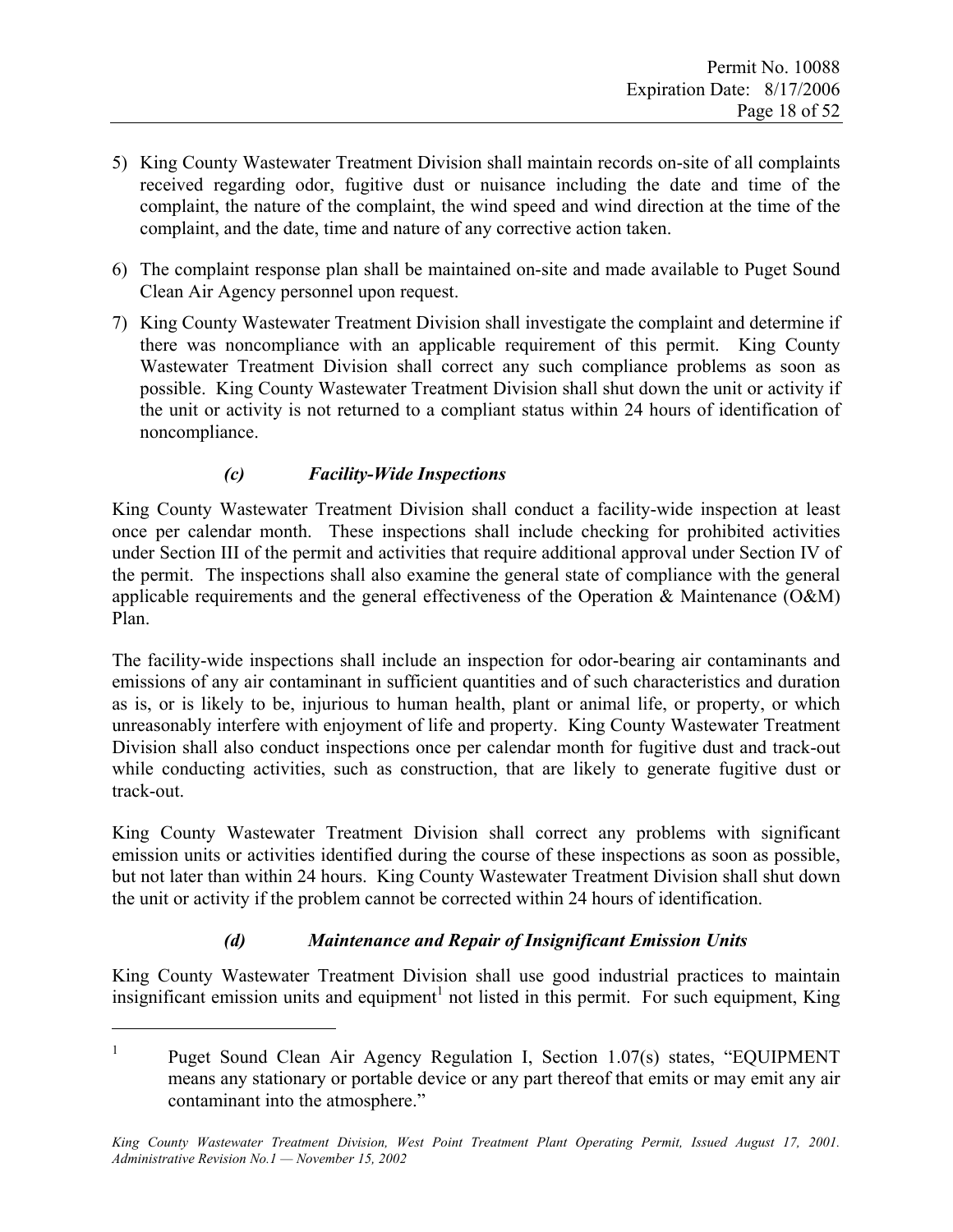- 5) King County Wastewater Treatment Division shall maintain records on-site of all complaints received regarding odor, fugitive dust or nuisance including the date and time of the complaint, the nature of the complaint, the wind speed and wind direction at the time of the complaint, and the date, time and nature of any corrective action taken.
- 6) The complaint response plan shall be maintained on-site and made available to Puget Sound Clean Air Agency personnel upon request.
- 7) King County Wastewater Treatment Division shall investigate the complaint and determine if there was noncompliance with an applicable requirement of this permit. King County Wastewater Treatment Division shall correct any such compliance problems as soon as possible. King County Wastewater Treatment Division shall shut down the unit or activity if the unit or activity is not returned to a compliant status within 24 hours of identification of noncompliance.

# *(c) Facility-Wide Inspections*

 $\overline{a}$ 

King County Wastewater Treatment Division shall conduct a facility-wide inspection at least once per calendar month. These inspections shall include checking for prohibited activities under Section III of the permit and activities that require additional approval under Section IV of the permit. The inspections shall also examine the general state of compliance with the general applicable requirements and the general effectiveness of the Operation & Maintenance (O&M) Plan.

The facility-wide inspections shall include an inspection for odor-bearing air contaminants and emissions of any air contaminant in sufficient quantities and of such characteristics and duration as is, or is likely to be, injurious to human health, plant or animal life, or property, or which unreasonably interfere with enjoyment of life and property. King County Wastewater Treatment Division shall also conduct inspections once per calendar month for fugitive dust and track-out while conducting activities, such as construction, that are likely to generate fugitive dust or track-out.

King County Wastewater Treatment Division shall correct any problems with significant emission units or activities identified during the course of these inspections as soon as possible, but not later than within 24 hours. King County Wastewater Treatment Division shall shut down the unit or activity if the problem cannot be corrected within 24 hours of identification.

# *(d) Maintenance and Repair of Insignificant Emission Units*

King County Wastewater Treatment Division shall use good industrial practices to maintain insignificant emission units and equipment<sup>1</sup> not listed in this permit. For such equipment, King

<sup>1</sup> Puget Sound Clean Air Agency Regulation I, Section 1.07(s) states, "EQUIPMENT means any stationary or portable device or any part thereof that emits or may emit any air contaminant into the atmosphere."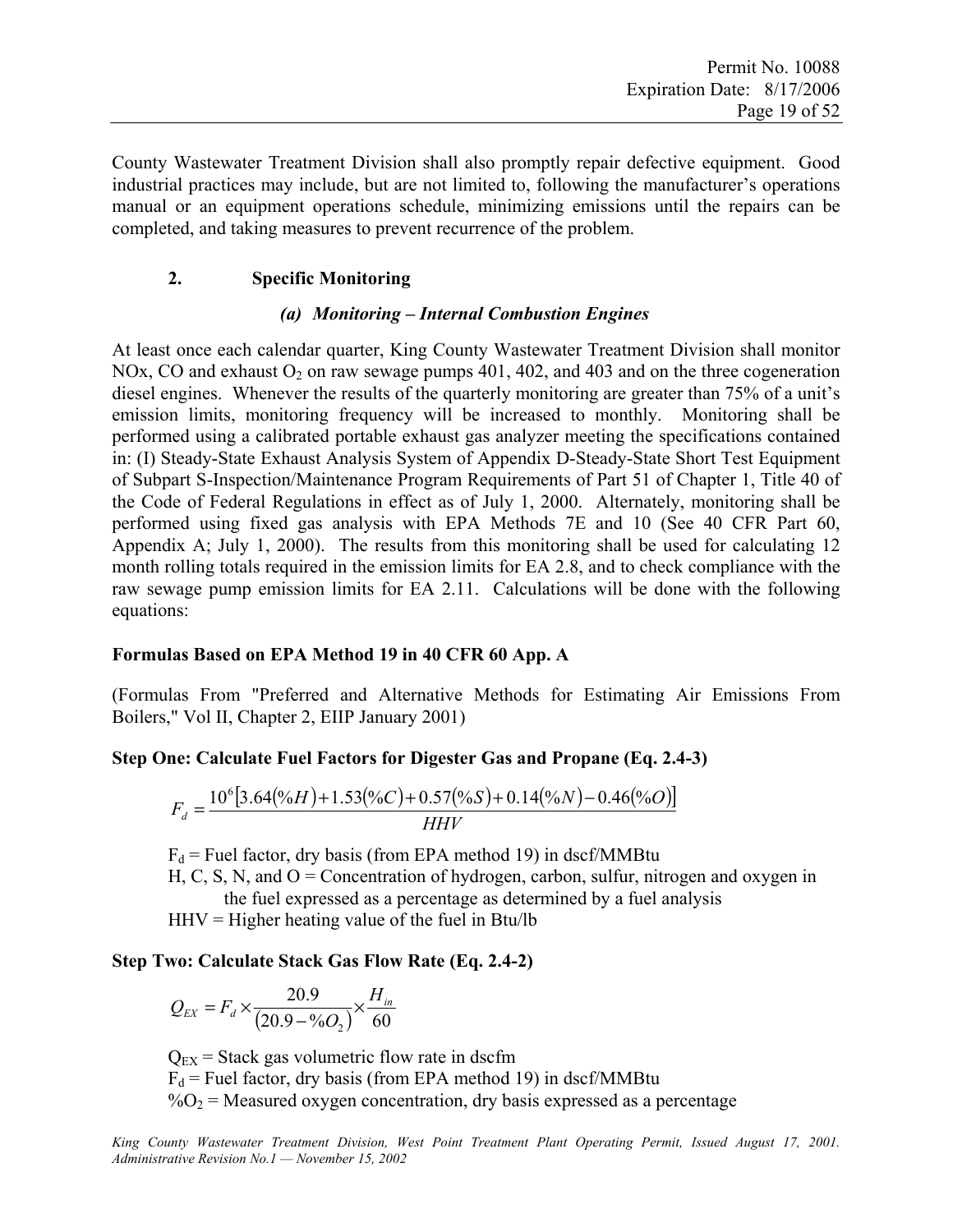County Wastewater Treatment Division shall also promptly repair defective equipment. Good industrial practices may include, but are not limited to, following the manufacturer's operations manual or an equipment operations schedule, minimizing emissions until the repairs can be completed, and taking measures to prevent recurrence of the problem.

#### **2. Specific Monitoring**

#### *(a) Monitoring – Internal Combustion Engines*

At least once each calendar quarter, King County Wastewater Treatment Division shall monitor NOx, CO and exhaust  $O_2$  on raw sewage pumps 401, 402, and 403 and on the three cogeneration diesel engines. Whenever the results of the quarterly monitoring are greater than 75% of a unit's emission limits, monitoring frequency will be increased to monthly. Monitoring shall be performed using a calibrated portable exhaust gas analyzer meeting the specifications contained in: (I) Steady-State Exhaust Analysis System of Appendix D-Steady-State Short Test Equipment of Subpart S-Inspection/Maintenance Program Requirements of Part 51 of Chapter 1, Title 40 of the Code of Federal Regulations in effect as of July 1, 2000. Alternately, monitoring shall be performed using fixed gas analysis with EPA Methods 7E and 10 (See 40 CFR Part 60, Appendix A; July 1, 2000). The results from this monitoring shall be used for calculating 12 month rolling totals required in the emission limits for EA 2.8, and to check compliance with the raw sewage pump emission limits for EA 2.11. Calculations will be done with the following equations:

#### **Formulas Based on EPA Method 19 in 40 CFR 60 App. A**

(Formulas From "Preferred and Alternative Methods for Estimating Air Emissions From Boilers," Vol II, Chapter 2, EIIP January 2001)

#### **Step One: Calculate Fuel Factors for Digester Gas and Propane (Eq. 2.4-3)**

$$
F_d = \frac{10^6 [3.64(\%H) + 1.53(\%C) + 0.57(\%S) + 0.14(\%N) - 0.46(\%O)]}{HHV}
$$

 $F_d$  = Fuel factor, dry basis (from EPA method 19) in dscf/MMBtu

H, C, S, N, and  $O =$  Concentration of hydrogen, carbon, sulfur, nitrogen and oxygen in the fuel expressed as a percentage as determined by a fuel analysis

 $HHV = Higher heating value of the fuel in Btu/lb$ 

#### **Step Two: Calculate Stack Gas Flow Rate (Eq. 2.4-2)**

$$
Q_{EX} = F_d \times \frac{20.9}{(20.9 - \% O_2)} \times \frac{H_{in}}{60}
$$

 $Q_{EX}$  = Stack gas volumetric flow rate in dscfm  $F_d$  = Fuel factor, dry basis (from EPA method 19) in dscf/MMBtu  $\%O_2$  = Measured oxygen concentration, dry basis expressed as a percentage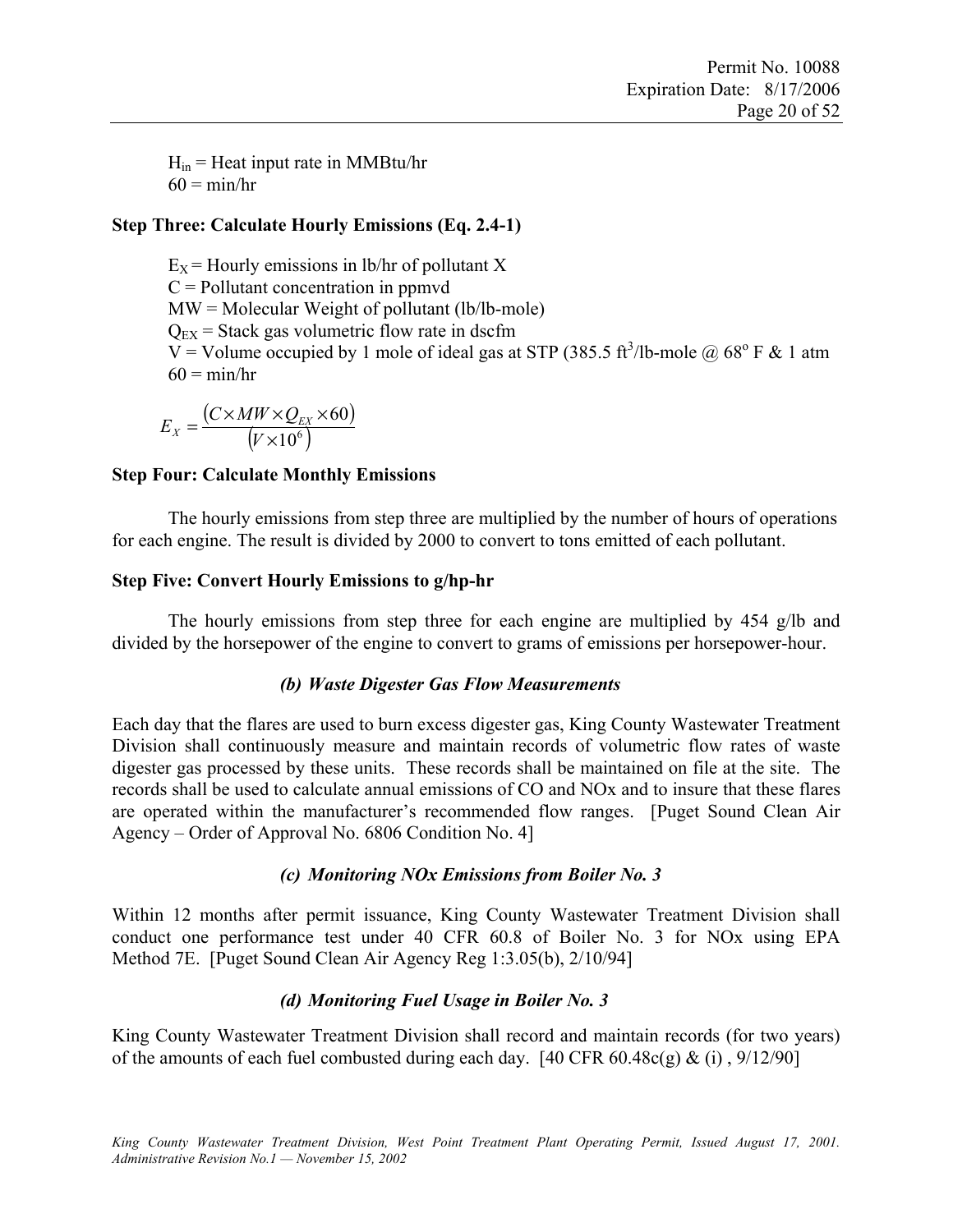Hin = Heat input rate in MMBtu/hr $60 = \frac{\text{min}}{\text{hr}}$ 

#### **Step Three: Calculate Hourly Emissions (Eq. 2.4-1)**

 $E_X$  = Hourly emissions in lb/hr of pollutant X C = Pollutant concentration in ppmvd  $MW = Molecular Weight of pollutant (lb/lb-mode)$  $Q_{EX}$  = Stack gas volumetric flow rate in dscfm  $V =$  Volume occupied by 1 mole of ideal gas at STP (385.5 ft<sup>3</sup>/lb-mole @ 68<sup>o</sup> F & 1 atm  $60 = \text{min/hr}$ 

$$
E_{X} = \frac{(C \times MW \times Q_{EX} \times 60)}{(V \times 10^{6})}
$$

#### **Step Four: Calculate Monthly Emissions**

 The hourly emissions from step three are multiplied by the number of hours of operations for each engine. The result is divided by 2000 to convert to tons emitted of each pollutant.

#### **Step Five: Convert Hourly Emissions to g/hp-hr**

The hourly emissions from step three for each engine are multiplied by 454 g/lb and divided by the horsepower of the engine to convert to grams of emissions per horsepower-hour.

#### *(b) Waste Digester Gas Flow Measurements*

Each day that the flares are used to burn excess digester gas, King County Wastewater Treatment Division shall continuously measure and maintain records of volumetric flow rates of waste digester gas processed by these units. These records shall be maintained on file at the site. The records shall be used to calculate annual emissions of CO and NOx and to insure that these flares are operated within the manufacturer's recommended flow ranges. [Puget Sound Clean Air Agency – Order of Approval No. 6806 Condition No. 4]

#### *(c) Monitoring NOx Emissions from Boiler No. 3*

Within 12 months after permit issuance, King County Wastewater Treatment Division shall conduct one performance test under 40 CFR 60.8 of Boiler No. 3 for NOx using EPA Method 7E. [Puget Sound Clean Air Agency Reg 1:3.05(b), 2/10/94]

#### *(d) Monitoring Fuel Usage in Boiler No. 3*

King County Wastewater Treatment Division shall record and maintain records (for two years) of the amounts of each fuel combusted during each day.  $[40 \text{ CFR } 60.48c(g) \& (i), 9/12/90]$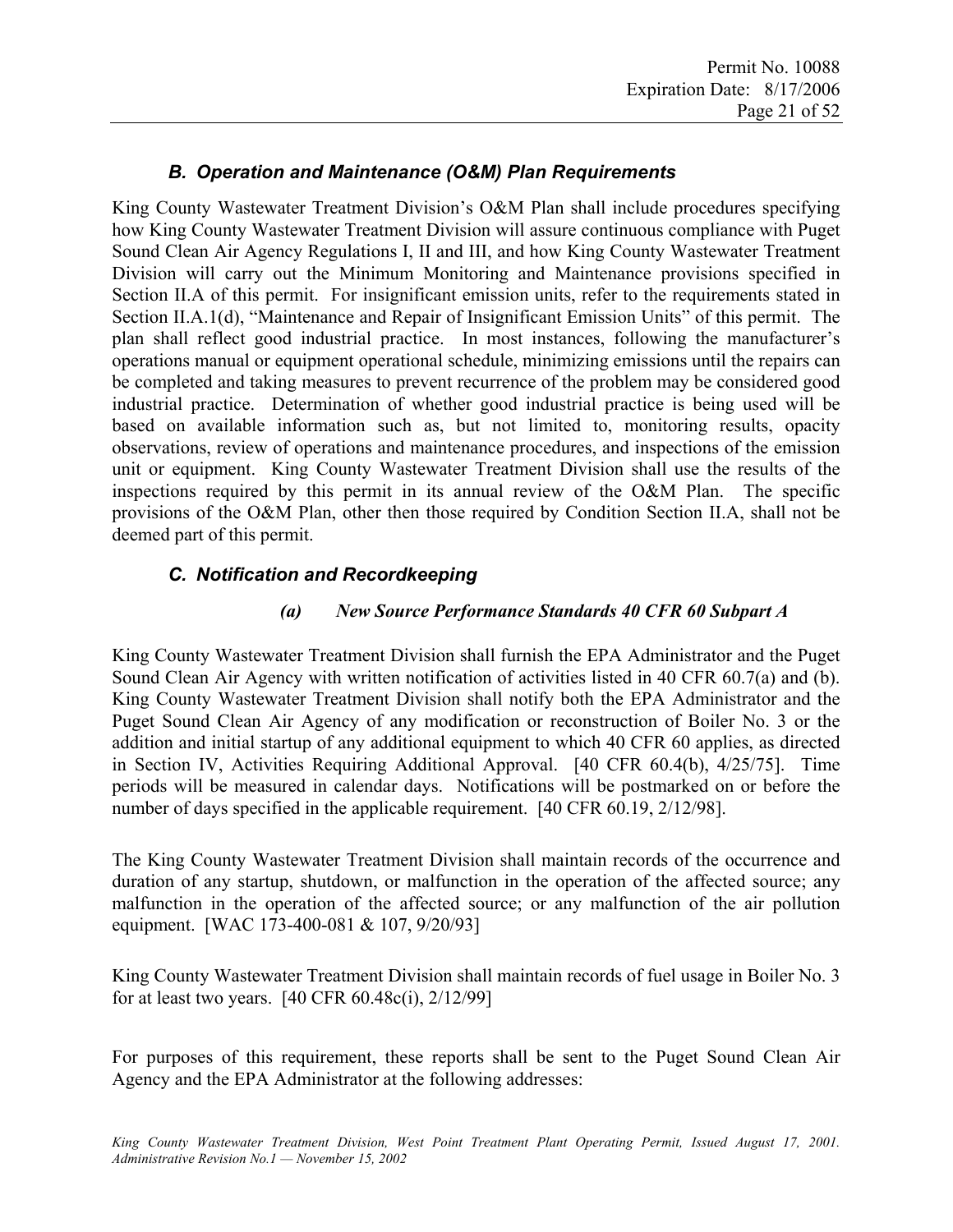# *B. Operation and Maintenance (O&M) Plan Requirements*

King County Wastewater Treatment Division's O&M Plan shall include procedures specifying how King County Wastewater Treatment Division will assure continuous compliance with Puget Sound Clean Air Agency Regulations I, II and III, and how King County Wastewater Treatment Division will carry out the Minimum Monitoring and Maintenance provisions specified in Section II.A of this permit. For insignificant emission units, refer to the requirements stated in Section II.A.1(d), "Maintenance and Repair of Insignificant Emission Units" of this permit. The plan shall reflect good industrial practice. In most instances, following the manufacturer's operations manual or equipment operational schedule, minimizing emissions until the repairs can be completed and taking measures to prevent recurrence of the problem may be considered good industrial practice. Determination of whether good industrial practice is being used will be based on available information such as, but not limited to, monitoring results, opacity observations, review of operations and maintenance procedures, and inspections of the emission unit or equipment. King County Wastewater Treatment Division shall use the results of the inspections required by this permit in its annual review of the O&M Plan. The specific provisions of the O&M Plan, other then those required by Condition Section II.A, shall not be deemed part of this permit.

### *C. Notification and Recordkeeping*

#### *(a) New Source Performance Standards 40 CFR 60 Subpart A*

King County Wastewater Treatment Division shall furnish the EPA Administrator and the Puget Sound Clean Air Agency with written notification of activities listed in 40 CFR 60.7(a) and (b). King County Wastewater Treatment Division shall notify both the EPA Administrator and the Puget Sound Clean Air Agency of any modification or reconstruction of Boiler No. 3 or the addition and initial startup of any additional equipment to which 40 CFR 60 applies, as directed in Section IV, Activities Requiring Additional Approval. [40 CFR 60.4(b), 4/25/75]. Time periods will be measured in calendar days. Notifications will be postmarked on or before the number of days specified in the applicable requirement. [40 CFR 60.19, 2/12/98].

The King County Wastewater Treatment Division shall maintain records of the occurrence and duration of any startup, shutdown, or malfunction in the operation of the affected source; any malfunction in the operation of the affected source; or any malfunction of the air pollution equipment. [WAC 173-400-081 & 107, 9/20/93]

King County Wastewater Treatment Division shall maintain records of fuel usage in Boiler No. 3 for at least two years. [40 CFR 60.48c(i), 2/12/99]

For purposes of this requirement, these reports shall be sent to the Puget Sound Clean Air Agency and the EPA Administrator at the following addresses: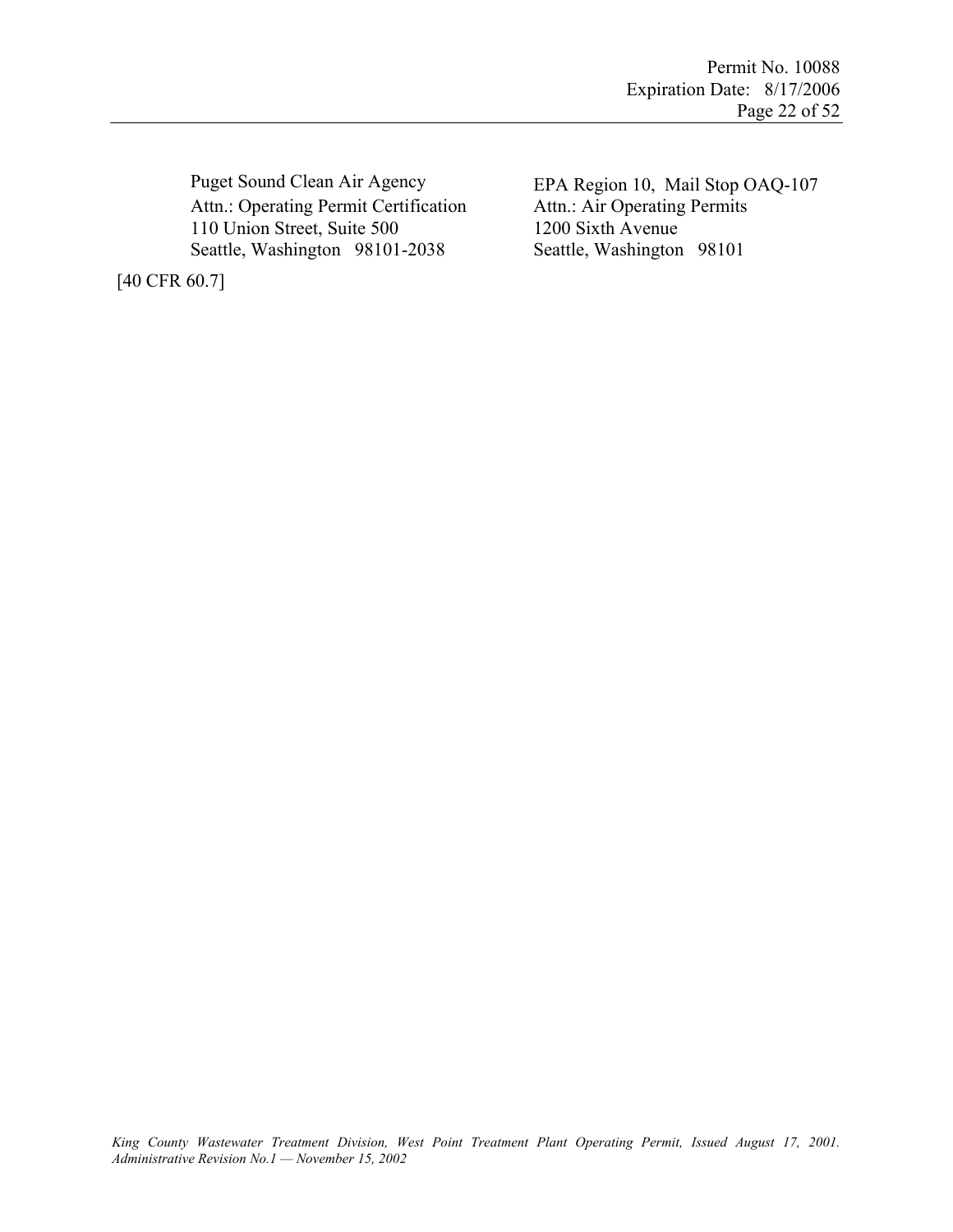Puget Sound Clean Air Agency EPA Region 10, Mail Stop OAQ-107 Attn.: Operating Permit Certification Attn.: Air Operating Permits 110 Union Street, Suite 500 1200 Sixth Avenue Seattle, Washington 98101-2038 Seattle, Washington 98101

[40 CFR 60.7]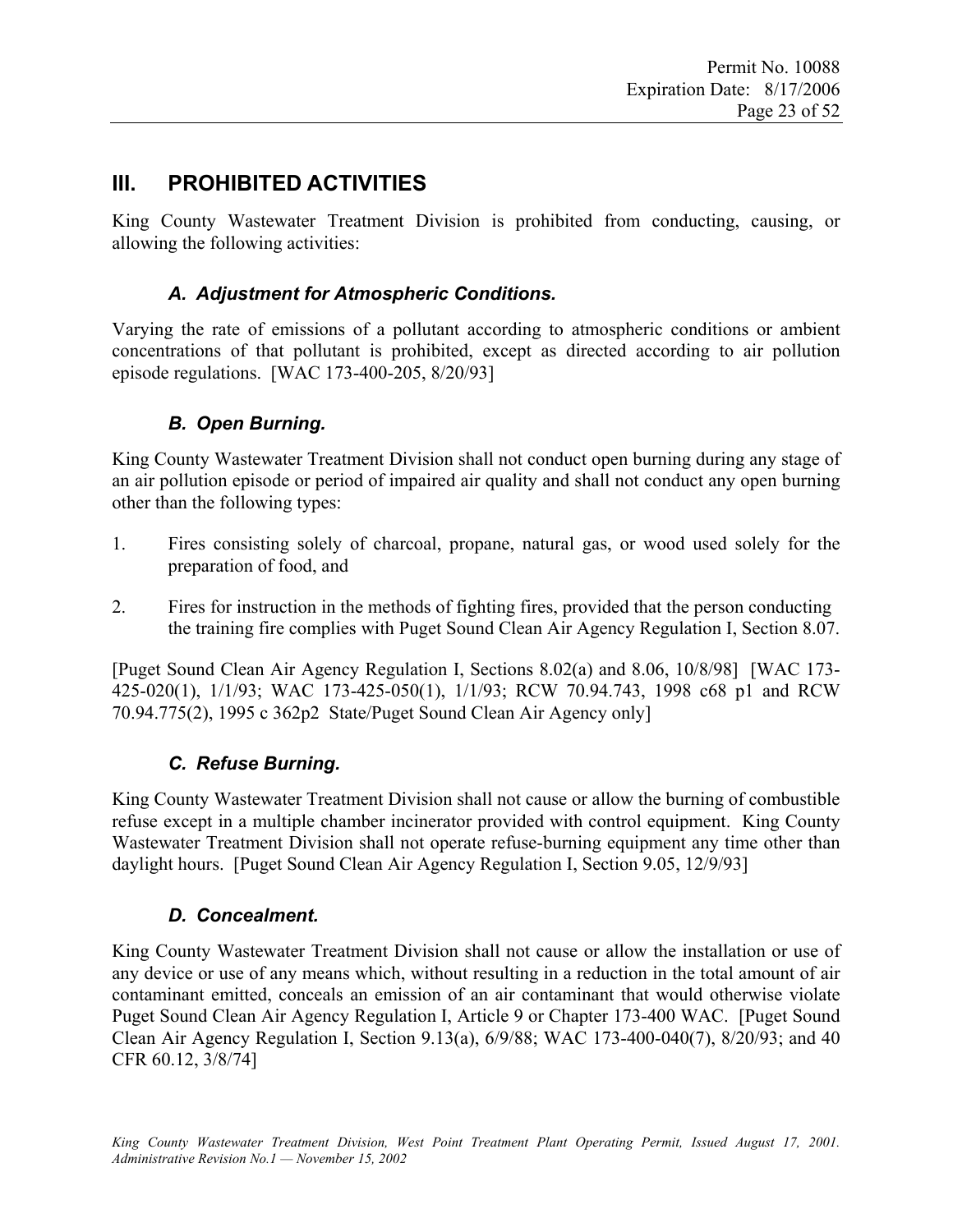# **III. PROHIBITED ACTIVITIES**

King County Wastewater Treatment Division is prohibited from conducting, causing, or allowing the following activities:

# *A. Adjustment for Atmospheric Conditions.*

Varying the rate of emissions of a pollutant according to atmospheric conditions or ambient concentrations of that pollutant is prohibited, except as directed according to air pollution episode regulations. [WAC 173-400-205, 8/20/93]

# *B. Open Burning.*

King County Wastewater Treatment Division shall not conduct open burning during any stage of an air pollution episode or period of impaired air quality and shall not conduct any open burning other than the following types:

- 1. Fires consisting solely of charcoal, propane, natural gas, or wood used solely for the preparation of food, and
- 2. Fires for instruction in the methods of fighting fires, provided that the person conducting the training fire complies with Puget Sound Clean Air Agency Regulation I, Section 8.07.

[Puget Sound Clean Air Agency Regulation I, Sections 8.02(a) and 8.06, 10/8/98] [WAC 173- 425-020(1), 1/1/93; WAC 173-425-050(1), 1/1/93; RCW 70.94.743, 1998 c68 p1 and RCW 70.94.775(2), 1995 c 362p2 State/Puget Sound Clean Air Agency only]

# *C. Refuse Burning.*

King County Wastewater Treatment Division shall not cause or allow the burning of combustible refuse except in a multiple chamber incinerator provided with control equipment. King County Wastewater Treatment Division shall not operate refuse-burning equipment any time other than daylight hours. [Puget Sound Clean Air Agency Regulation I, Section 9.05, 12/9/93]

# *D. Concealment.*

King County Wastewater Treatment Division shall not cause or allow the installation or use of any device or use of any means which, without resulting in a reduction in the total amount of air contaminant emitted, conceals an emission of an air contaminant that would otherwise violate Puget Sound Clean Air Agency Regulation I, Article 9 or Chapter 173-400 WAC. [Puget Sound Clean Air Agency Regulation I, Section 9.13(a), 6/9/88; WAC 173-400-040(7), 8/20/93; and 40 CFR 60.12, 3/8/74]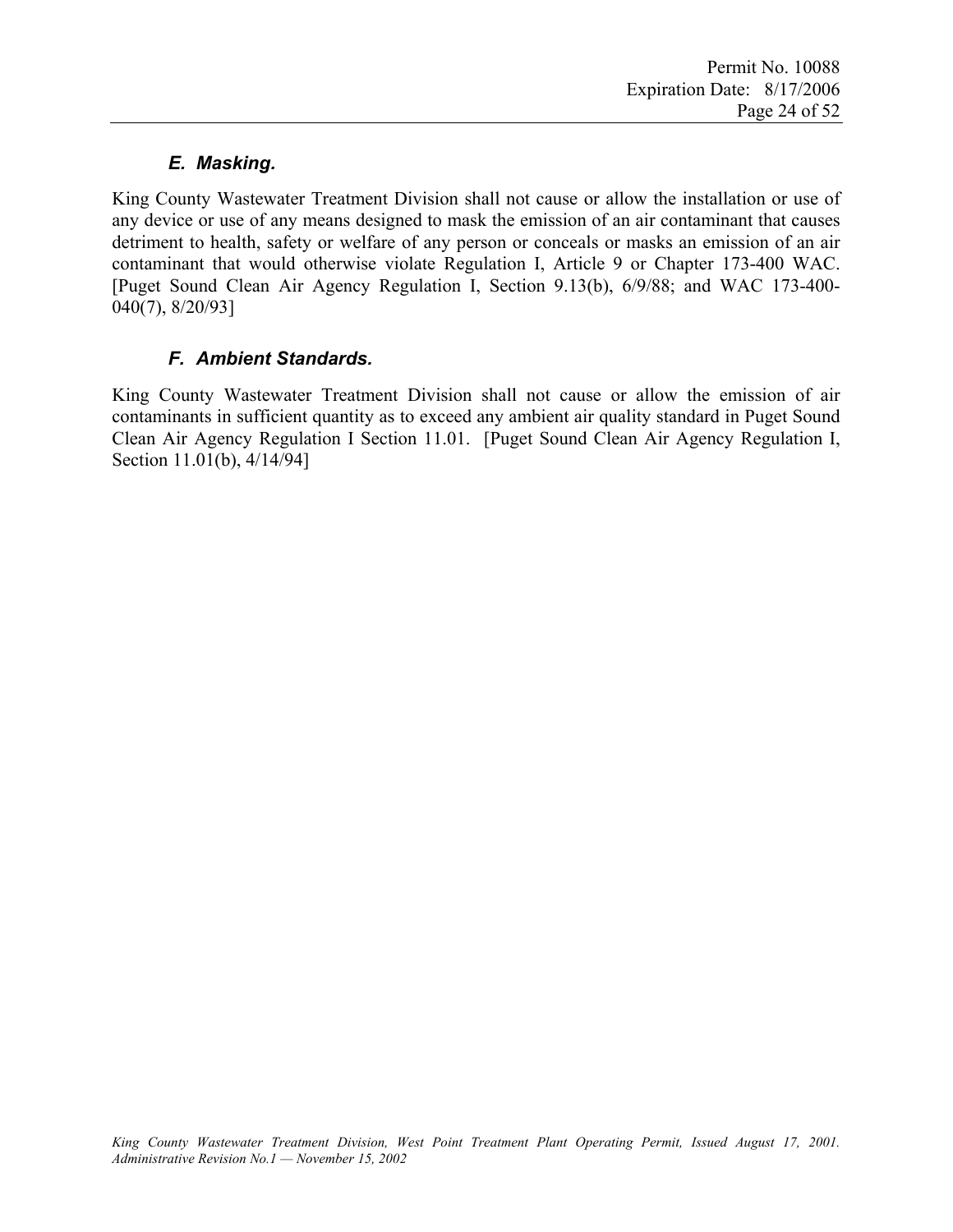# *E. Masking.*

King County Wastewater Treatment Division shall not cause or allow the installation or use of any device or use of any means designed to mask the emission of an air contaminant that causes detriment to health, safety or welfare of any person or conceals or masks an emission of an air contaminant that would otherwise violate Regulation I, Article 9 or Chapter 173-400 WAC. [Puget Sound Clean Air Agency Regulation I, Section 9.13(b), 6/9/88; and WAC 173-400- 040(7), 8/20/93]

# *F. Ambient Standards.*

King County Wastewater Treatment Division shall not cause or allow the emission of air contaminants in sufficient quantity as to exceed any ambient air quality standard in Puget Sound Clean Air Agency Regulation I Section 11.01. [Puget Sound Clean Air Agency Regulation I, Section 11.01(b), 4/14/94]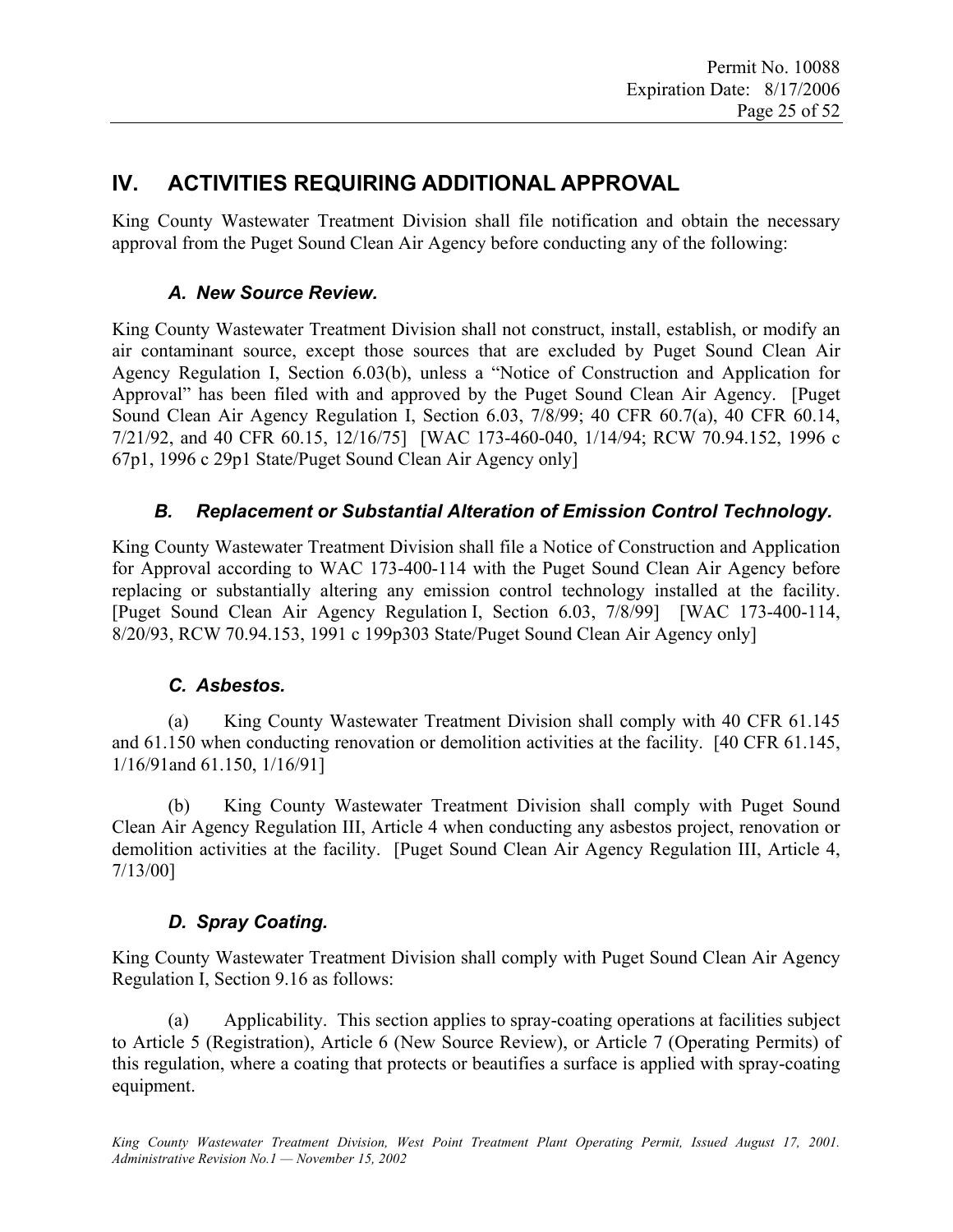# **IV. ACTIVITIES REQUIRING ADDITIONAL APPROVAL**

King County Wastewater Treatment Division shall file notification and obtain the necessary approval from the Puget Sound Clean Air Agency before conducting any of the following:

# *A. New Source Review.*

King County Wastewater Treatment Division shall not construct, install, establish, or modify an air contaminant source, except those sources that are excluded by Puget Sound Clean Air Agency Regulation I, Section 6.03(b), unless a "Notice of Construction and Application for Approval" has been filed with and approved by the Puget Sound Clean Air Agency. [Puget Sound Clean Air Agency Regulation I, Section 6.03, 7/8/99; 40 CFR 60.7(a), 40 CFR 60.14, 7/21/92, and 40 CFR 60.15, 12/16/75] [WAC 173-460-040, 1/14/94; RCW 70.94.152, 1996 c 67p1, 1996 c 29p1 State/Puget Sound Clean Air Agency only]

# *B. Replacement or Substantial Alteration of Emission Control Technology.*

King County Wastewater Treatment Division shall file a Notice of Construction and Application for Approval according to WAC 173-400-114 with the Puget Sound Clean Air Agency before replacing or substantially altering any emission control technology installed at the facility. [Puget Sound Clean Air Agency Regulation I, Section 6.03, 7/8/99] [WAC 173-400-114, 8/20/93, RCW 70.94.153, 1991 c 199p303 State/Puget Sound Clean Air Agency only]

# *C. Asbestos.*

(a) King County Wastewater Treatment Division shall comply with 40 CFR 61.145 and 61.150 when conducting renovation or demolition activities at the facility. [40 CFR 61.145, 1/16/91and 61.150, 1/16/91]

(b) King County Wastewater Treatment Division shall comply with Puget Sound Clean Air Agency Regulation III, Article 4 when conducting any asbestos project, renovation or demolition activities at the facility. [Puget Sound Clean Air Agency Regulation III, Article 4, 7/13/00]

# *D. Spray Coating.*

King County Wastewater Treatment Division shall comply with Puget Sound Clean Air Agency Regulation I, Section 9.16 as follows:

(a) Applicability. This section applies to spray-coating operations at facilities subject to Article 5 (Registration), Article 6 (New Source Review), or Article 7 (Operating Permits) of this regulation, where a coating that protects or beautifies a surface is applied with spray-coating equipment.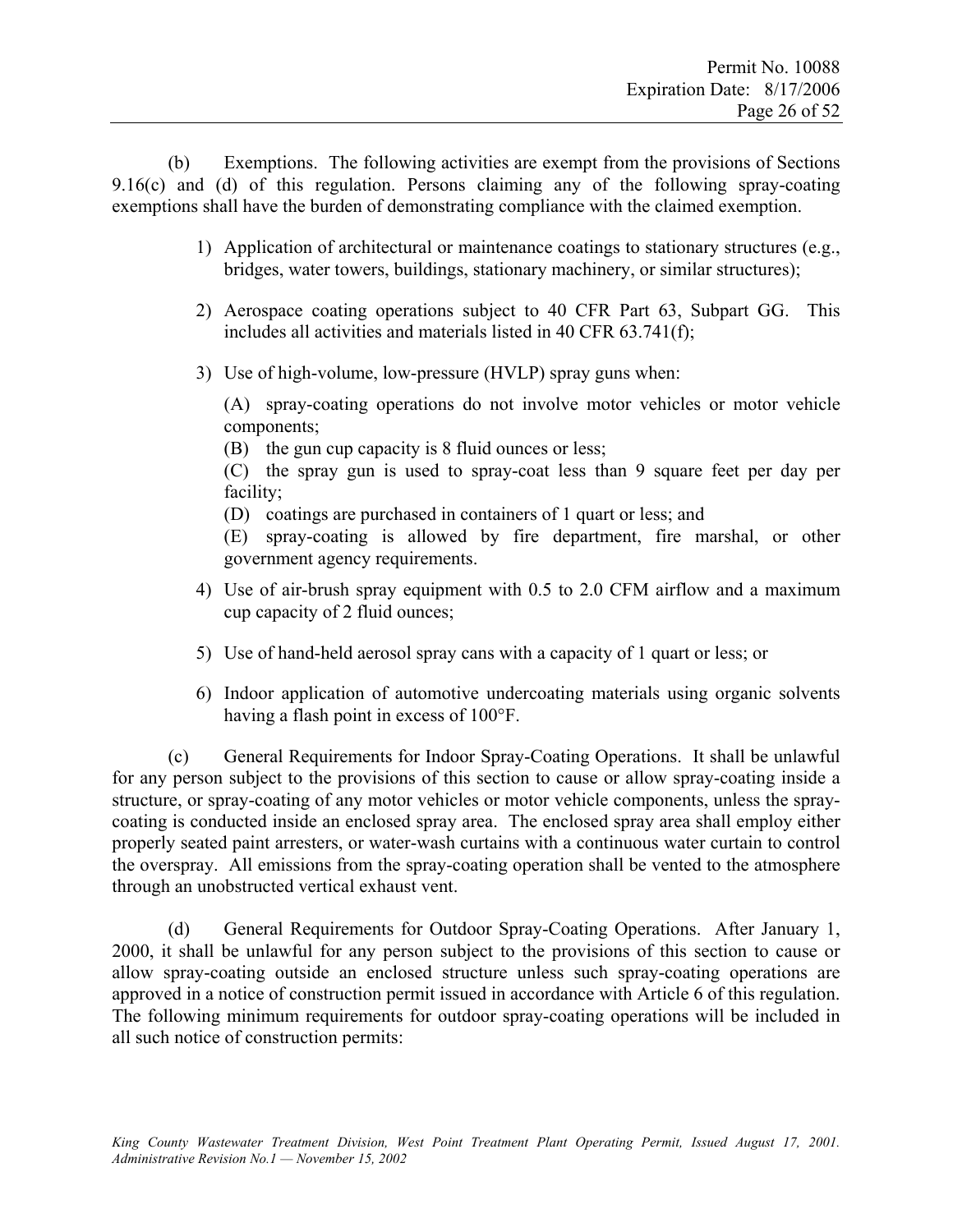(b) Exemptions. The following activities are exempt from the provisions of Sections 9.16(c) and (d) of this regulation. Persons claiming any of the following spray-coating exemptions shall have the burden of demonstrating compliance with the claimed exemption.

- 1) Application of architectural or maintenance coatings to stationary structures (e.g., bridges, water towers, buildings, stationary machinery, or similar structures);
- 2) Aerospace coating operations subject to 40 CFR Part 63, Subpart GG. This includes all activities and materials listed in 40 CFR 63.741(f);
- 3) Use of high-volume, low-pressure (HVLP) spray guns when:

 (A) spray-coating operations do not involve motor vehicles or motor vehicle components;

(B) the gun cup capacity is 8 fluid ounces or less;

(C) the spray gun is used to spray-coat less than 9 square feet per day per facility;

(D) coatings are purchased in containers of 1 quart or less; and

(E) spray-coating is allowed by fire department, fire marshal, or other government agency requirements.

- 4) Use of air-brush spray equipment with 0.5 to 2.0 CFM airflow and a maximum cup capacity of 2 fluid ounces;
- 5) Use of hand-held aerosol spray cans with a capacity of 1 quart or less; or
- 6) Indoor application of automotive undercoating materials using organic solvents having a flash point in excess of 100°F.

(c) General Requirements for Indoor Spray-Coating Operations. It shall be unlawful for any person subject to the provisions of this section to cause or allow spray-coating inside a structure, or spray-coating of any motor vehicles or motor vehicle components, unless the spraycoating is conducted inside an enclosed spray area. The enclosed spray area shall employ either properly seated paint arresters, or water-wash curtains with a continuous water curtain to control the overspray. All emissions from the spray-coating operation shall be vented to the atmosphere through an unobstructed vertical exhaust vent.

(d) General Requirements for Outdoor Spray-Coating Operations. After January 1, 2000, it shall be unlawful for any person subject to the provisions of this section to cause or allow spray-coating outside an enclosed structure unless such spray-coating operations are approved in a notice of construction permit issued in accordance with Article 6 of this regulation. The following minimum requirements for outdoor spray-coating operations will be included in all such notice of construction permits: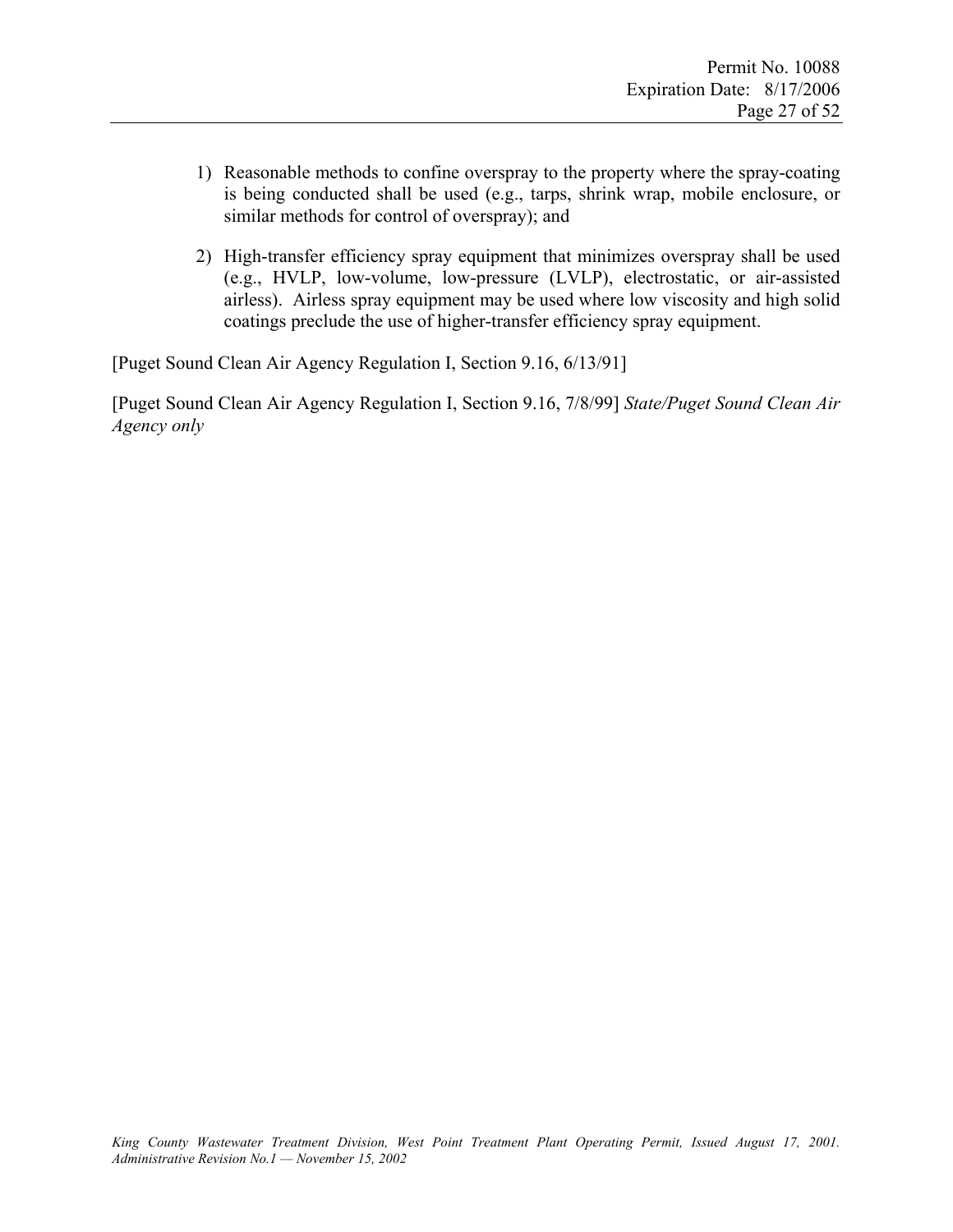- 1) Reasonable methods to confine overspray to the property where the spray-coating is being conducted shall be used (e.g., tarps, shrink wrap, mobile enclosure, or similar methods for control of overspray); and
- 2) High-transfer efficiency spray equipment that minimizes overspray shall be used (e.g., HVLP, low-volume, low-pressure (LVLP), electrostatic, or air-assisted airless). Airless spray equipment may be used where low viscosity and high solid coatings preclude the use of higher-transfer efficiency spray equipment.

[Puget Sound Clean Air Agency Regulation I, Section 9.16, 6/13/91]

[Puget Sound Clean Air Agency Regulation I, Section 9.16, 7/8/99] *State/Puget Sound Clean Air Agency only*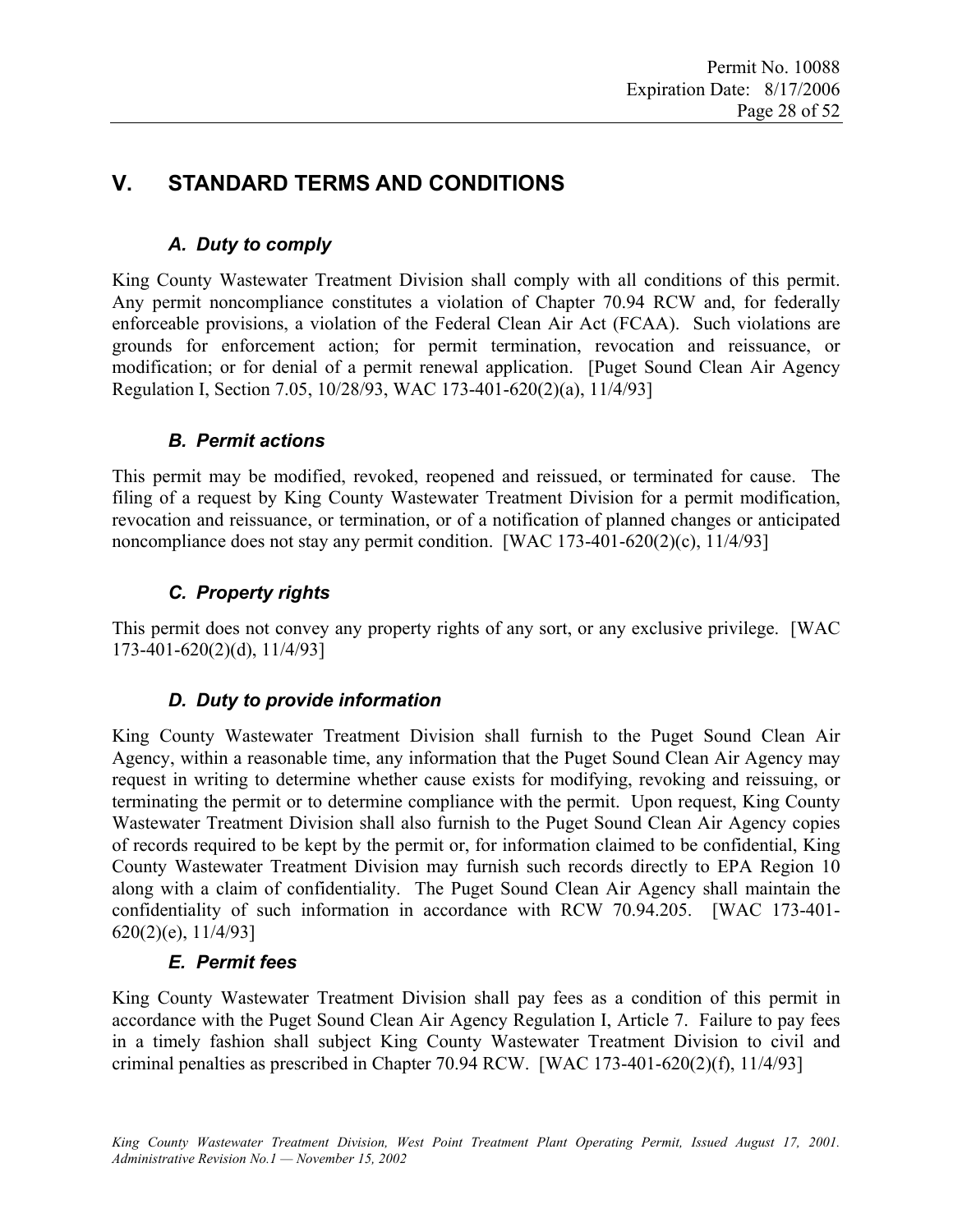# **V. STANDARD TERMS AND CONDITIONS**

# *A. Duty to comply*

King County Wastewater Treatment Division shall comply with all conditions of this permit. Any permit noncompliance constitutes a violation of Chapter 70.94 RCW and, for federally enforceable provisions, a violation of the Federal Clean Air Act (FCAA). Such violations are grounds for enforcement action; for permit termination, revocation and reissuance, or modification; or for denial of a permit renewal application. [Puget Sound Clean Air Agency Regulation I, Section 7.05, 10/28/93, WAC 173-401-620(2)(a), 11/4/93]

# *B. Permit actions*

This permit may be modified, revoked, reopened and reissued, or terminated for cause. The filing of a request by King County Wastewater Treatment Division for a permit modification, revocation and reissuance, or termination, or of a notification of planned changes or anticipated noncompliance does not stay any permit condition. [WAC 173-401-620(2)(c), 11/4/93]

# *C. Property rights*

This permit does not convey any property rights of any sort, or any exclusive privilege. [WAC 173-401-620(2)(d), 11/4/93]

#### *D. Duty to provide information*

King County Wastewater Treatment Division shall furnish to the Puget Sound Clean Air Agency, within a reasonable time, any information that the Puget Sound Clean Air Agency may request in writing to determine whether cause exists for modifying, revoking and reissuing, or terminating the permit or to determine compliance with the permit. Upon request, King County Wastewater Treatment Division shall also furnish to the Puget Sound Clean Air Agency copies of records required to be kept by the permit or, for information claimed to be confidential, King County Wastewater Treatment Division may furnish such records directly to EPA Region 10 along with a claim of confidentiality. The Puget Sound Clean Air Agency shall maintain the confidentiality of such information in accordance with RCW 70.94.205. [WAC 173-401- 620(2)(e), 11/4/93]

#### *E. Permit fees*

King County Wastewater Treatment Division shall pay fees as a condition of this permit in accordance with the Puget Sound Clean Air Agency Regulation I, Article 7. Failure to pay fees in a timely fashion shall subject King County Wastewater Treatment Division to civil and criminal penalties as prescribed in Chapter 70.94 RCW. [WAC 173-401-620(2)(f), 11/4/93]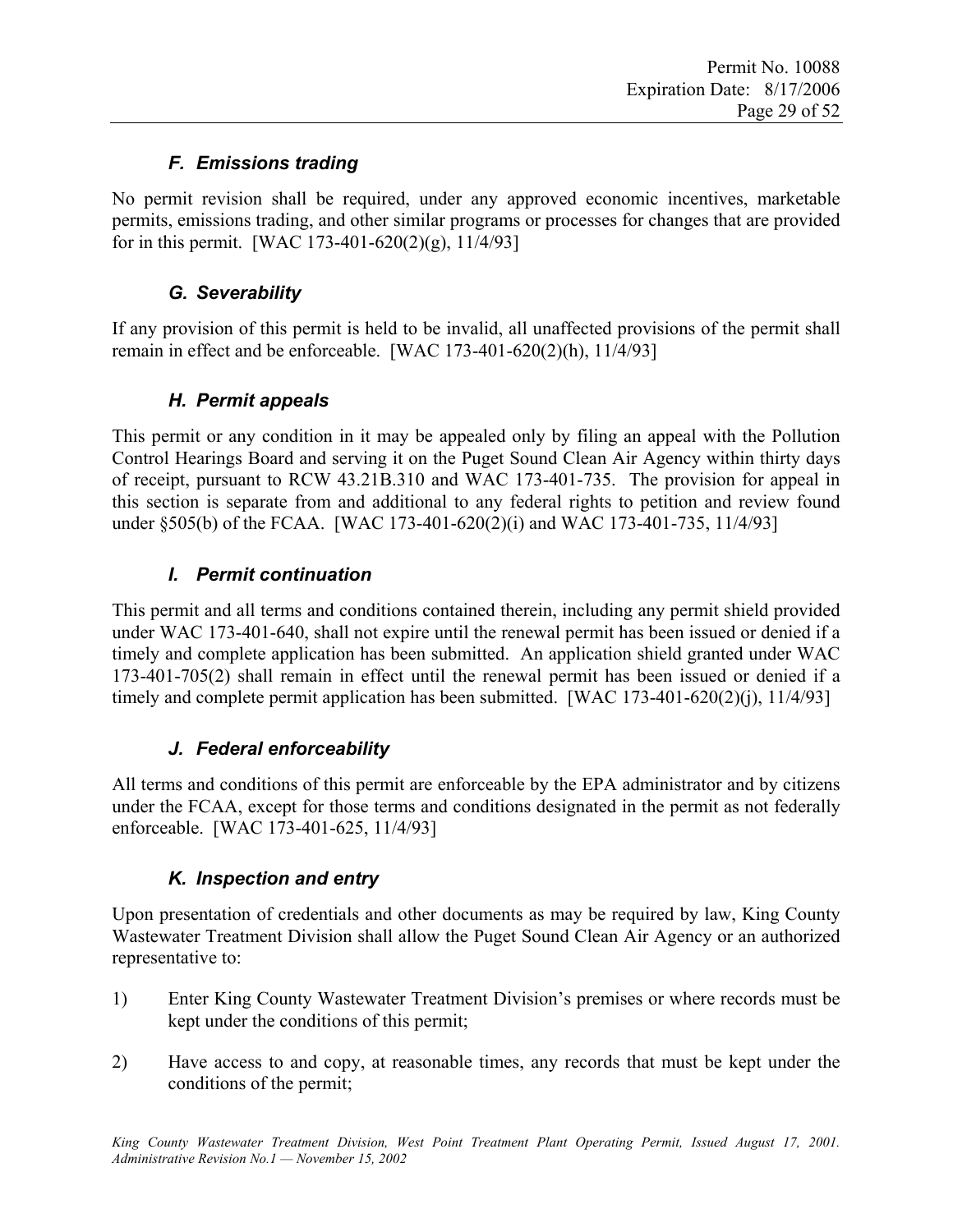# *F. Emissions trading*

No permit revision shall be required, under any approved economic incentives, marketable permits, emissions trading, and other similar programs or processes for changes that are provided for in this permit. [WAC 173-401-620(2)(g),  $11/4/93$ ]

# *G. Severability*

If any provision of this permit is held to be invalid, all unaffected provisions of the permit shall remain in effect and be enforceable. [WAC 173-401-620(2)(h), 11/4/93]

# *H. Permit appeals*

This permit or any condition in it may be appealed only by filing an appeal with the Pollution Control Hearings Board and serving it on the Puget Sound Clean Air Agency within thirty days of receipt, pursuant to RCW 43.21B.310 and WAC 173-401-735. The provision for appeal in this section is separate from and additional to any federal rights to petition and review found under §505(b) of the FCAA. [WAC 173-401-620(2)(i) and WAC 173-401-735, 11/4/93]

# *I. Permit continuation*

This permit and all terms and conditions contained therein, including any permit shield provided under WAC 173-401-640, shall not expire until the renewal permit has been issued or denied if a timely and complete application has been submitted. An application shield granted under WAC 173-401-705(2) shall remain in effect until the renewal permit has been issued or denied if a timely and complete permit application has been submitted. [WAC 173-401-620(2)(j), 11/4/93]

# *J. Federal enforceability*

All terms and conditions of this permit are enforceable by the EPA administrator and by citizens under the FCAA, except for those terms and conditions designated in the permit as not federally enforceable. [WAC 173-401-625, 11/4/93]

# *K. Inspection and entry*

Upon presentation of credentials and other documents as may be required by law, King County Wastewater Treatment Division shall allow the Puget Sound Clean Air Agency or an authorized representative to:

- 1) Enter King County Wastewater Treatment Division's premises or where records must be kept under the conditions of this permit;
- 2) Have access to and copy, at reasonable times, any records that must be kept under the conditions of the permit;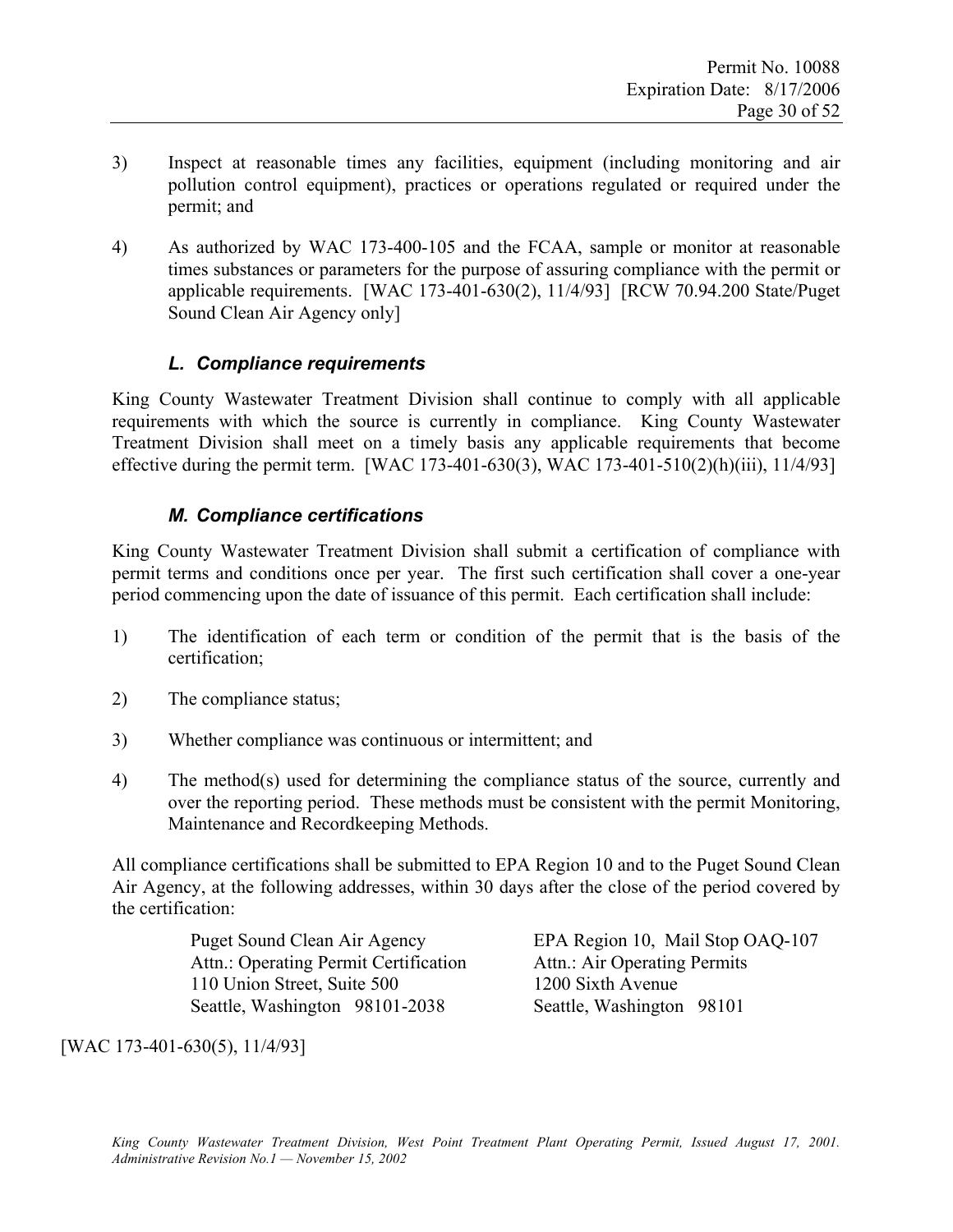- 3) Inspect at reasonable times any facilities, equipment (including monitoring and air pollution control equipment), practices or operations regulated or required under the permit; and
- 4) As authorized by WAC 173-400-105 and the FCAA, sample or monitor at reasonable times substances or parameters for the purpose of assuring compliance with the permit or applicable requirements. [WAC 173-401-630(2), 11/4/93] [RCW 70.94.200 State/Puget Sound Clean Air Agency only]

### *L. Compliance requirements*

King County Wastewater Treatment Division shall continue to comply with all applicable requirements with which the source is currently in compliance. King County Wastewater Treatment Division shall meet on a timely basis any applicable requirements that become effective during the permit term. [WAC 173-401-630(3), WAC 173-401-510(2)(h)(iii), 11/4/93]

#### *M. Compliance certifications*

King County Wastewater Treatment Division shall submit a certification of compliance with permit terms and conditions once per year. The first such certification shall cover a one-year period commencing upon the date of issuance of this permit. Each certification shall include:

- 1) The identification of each term or condition of the permit that is the basis of the certification;
- 2) The compliance status;
- 3) Whether compliance was continuous or intermittent; and
- 4) The method(s) used for determining the compliance status of the source, currently and over the reporting period. These methods must be consistent with the permit Monitoring, Maintenance and Recordkeeping Methods.

All compliance certifications shall be submitted to EPA Region 10 and to the Puget Sound Clean Air Agency, at the following addresses, within 30 days after the close of the period covered by the certification:

> Attn.: Operating Permit Certification Attn.: Air Operating Permits 110 Union Street, Suite 500 1200 Sixth Avenue Seattle, Washington 98101-2038 Seattle, Washington 98101

Puget Sound Clean Air Agency EPA Region 10, Mail Stop OAQ-107

[WAC 173-401-630(5), 11/4/93]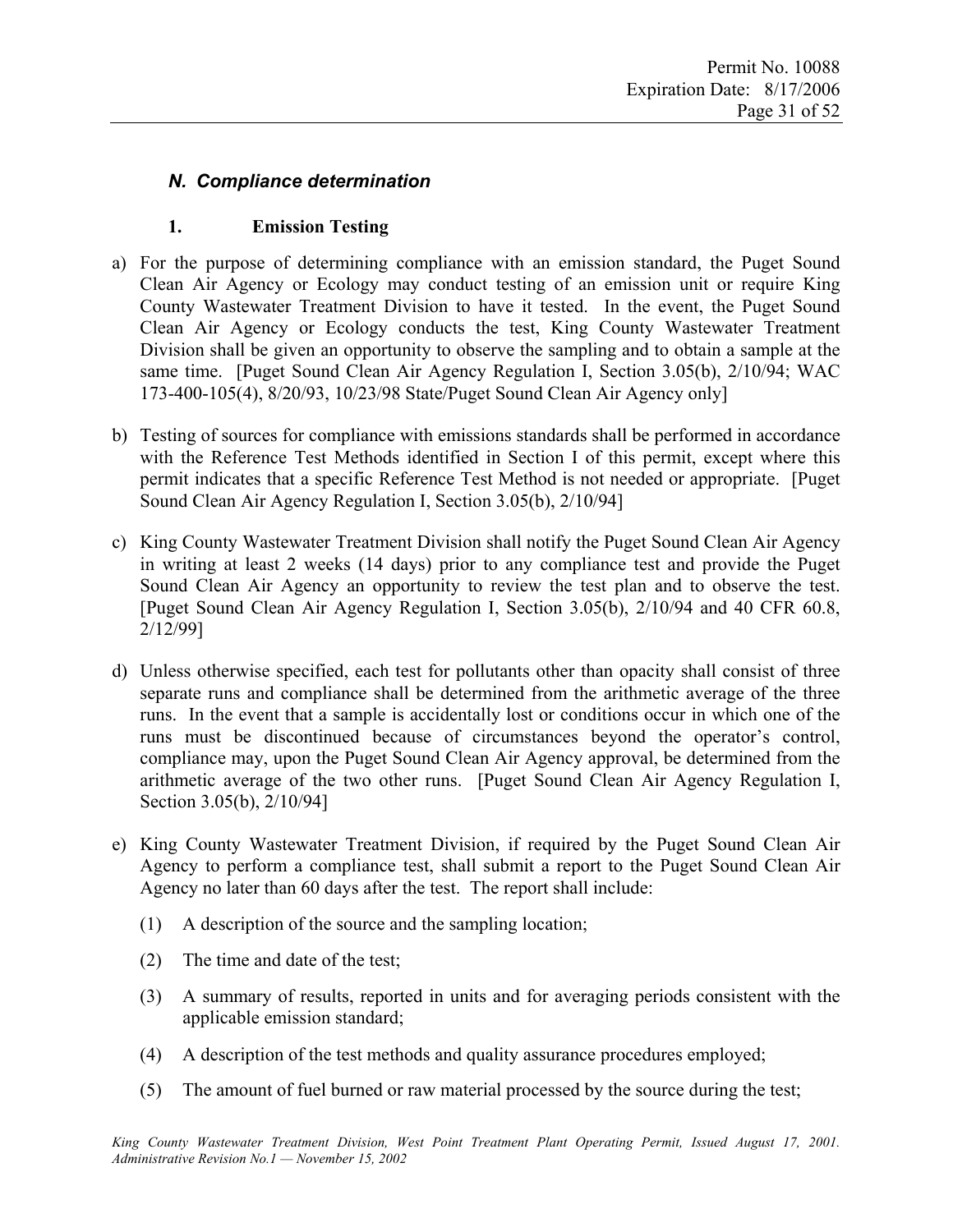### *N. Compliance determination*

#### **1. Emission Testing**

- a) For the purpose of determining compliance with an emission standard, the Puget Sound Clean Air Agency or Ecology may conduct testing of an emission unit or require King County Wastewater Treatment Division to have it tested. In the event, the Puget Sound Clean Air Agency or Ecology conducts the test, King County Wastewater Treatment Division shall be given an opportunity to observe the sampling and to obtain a sample at the same time. [Puget Sound Clean Air Agency Regulation I, Section 3.05(b), 2/10/94; WAC 173-400-105(4), 8/20/93, 10/23/98 State/Puget Sound Clean Air Agency only]
- b) Testing of sources for compliance with emissions standards shall be performed in accordance with the Reference Test Methods identified in Section I of this permit, except where this permit indicates that a specific Reference Test Method is not needed or appropriate. [Puget Sound Clean Air Agency Regulation I, Section 3.05(b), 2/10/94]
- c) King County Wastewater Treatment Division shall notify the Puget Sound Clean Air Agency in writing at least 2 weeks (14 days) prior to any compliance test and provide the Puget Sound Clean Air Agency an opportunity to review the test plan and to observe the test. [Puget Sound Clean Air Agency Regulation I, Section 3.05(b), 2/10/94 and 40 CFR 60.8, 2/12/99]
- d) Unless otherwise specified, each test for pollutants other than opacity shall consist of three separate runs and compliance shall be determined from the arithmetic average of the three runs. In the event that a sample is accidentally lost or conditions occur in which one of the runs must be discontinued because of circumstances beyond the operator's control, compliance may, upon the Puget Sound Clean Air Agency approval, be determined from the arithmetic average of the two other runs. [Puget Sound Clean Air Agency Regulation I, Section 3.05(b), 2/10/94]
- e) King County Wastewater Treatment Division, if required by the Puget Sound Clean Air Agency to perform a compliance test, shall submit a report to the Puget Sound Clean Air Agency no later than 60 days after the test. The report shall include:
	- (1) A description of the source and the sampling location;
	- (2) The time and date of the test;
	- (3) A summary of results, reported in units and for averaging periods consistent with the applicable emission standard;
	- (4) A description of the test methods and quality assurance procedures employed;
	- (5) The amount of fuel burned or raw material processed by the source during the test;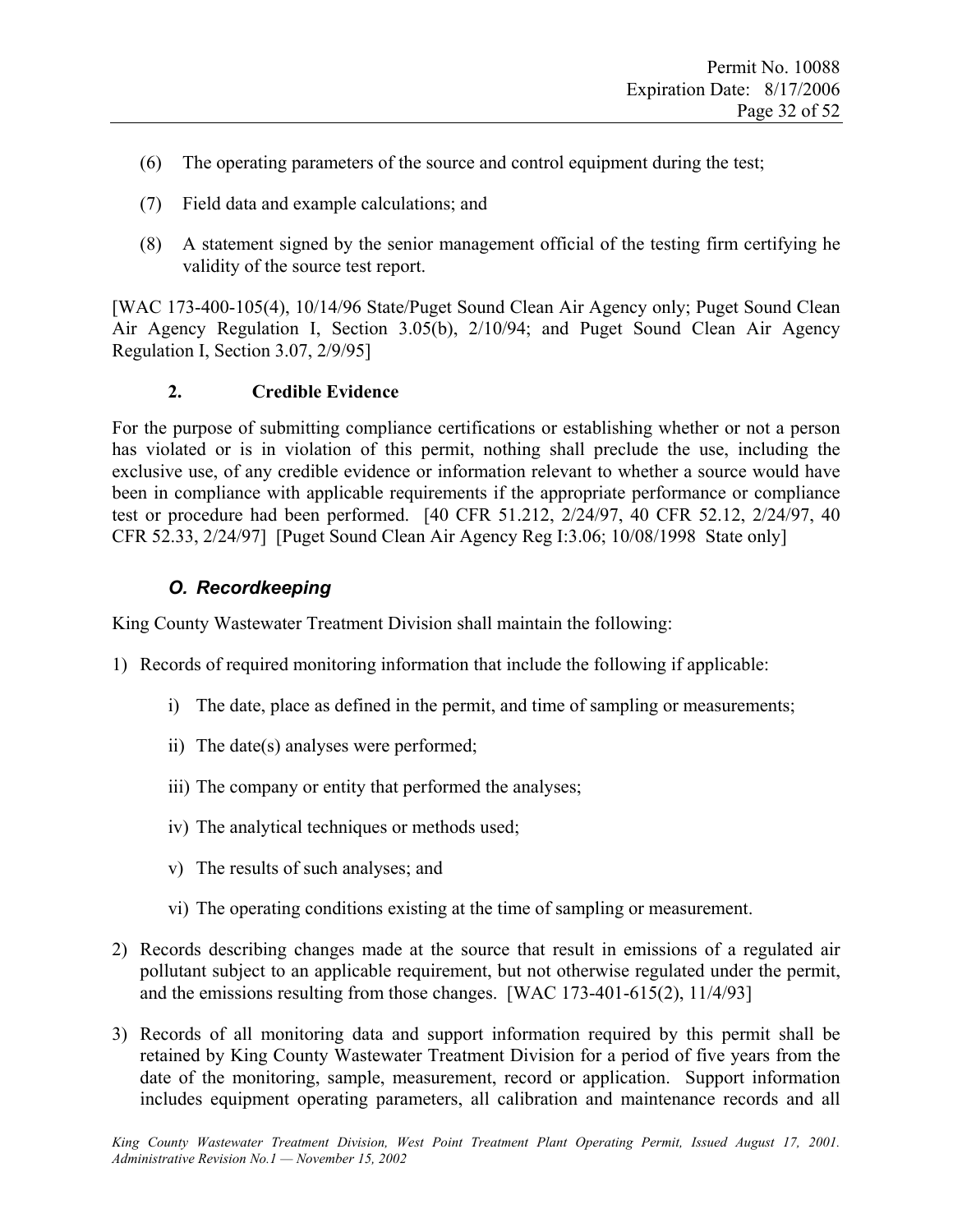- (6) The operating parameters of the source and control equipment during the test;
- (7) Field data and example calculations; and
- (8) A statement signed by the senior management official of the testing firm certifying he validity of the source test report.

[WAC 173-400-105(4), 10/14/96 State/Puget Sound Clean Air Agency only; Puget Sound Clean Air Agency Regulation I, Section 3.05(b), 2/10/94; and Puget Sound Clean Air Agency Regulation I, Section 3.07, 2/9/95]

#### **2. Credible Evidence**

For the purpose of submitting compliance certifications or establishing whether or not a person has violated or is in violation of this permit, nothing shall preclude the use, including the exclusive use, of any credible evidence or information relevant to whether a source would have been in compliance with applicable requirements if the appropriate performance or compliance test or procedure had been performed. [40 CFR 51.212, 2/24/97, 40 CFR 52.12, 2/24/97, 40 CFR 52.33, 2/24/97] [Puget Sound Clean Air Agency Reg I:3.06; 10/08/1998 State only]

# *O. Recordkeeping*

King County Wastewater Treatment Division shall maintain the following:

- 1) Records of required monitoring information that include the following if applicable:
	- i) The date, place as defined in the permit, and time of sampling or measurements;
	- ii) The date(s) analyses were performed;
	- iii) The company or entity that performed the analyses;
	- iv) The analytical techniques or methods used;
	- v) The results of such analyses; and
	- vi) The operating conditions existing at the time of sampling or measurement.
- 2) Records describing changes made at the source that result in emissions of a regulated air pollutant subject to an applicable requirement, but not otherwise regulated under the permit, and the emissions resulting from those changes. [WAC 173-401-615(2), 11/4/93]
- 3) Records of all monitoring data and support information required by this permit shall be retained by King County Wastewater Treatment Division for a period of five years from the date of the monitoring, sample, measurement, record or application. Support information includes equipment operating parameters, all calibration and maintenance records and all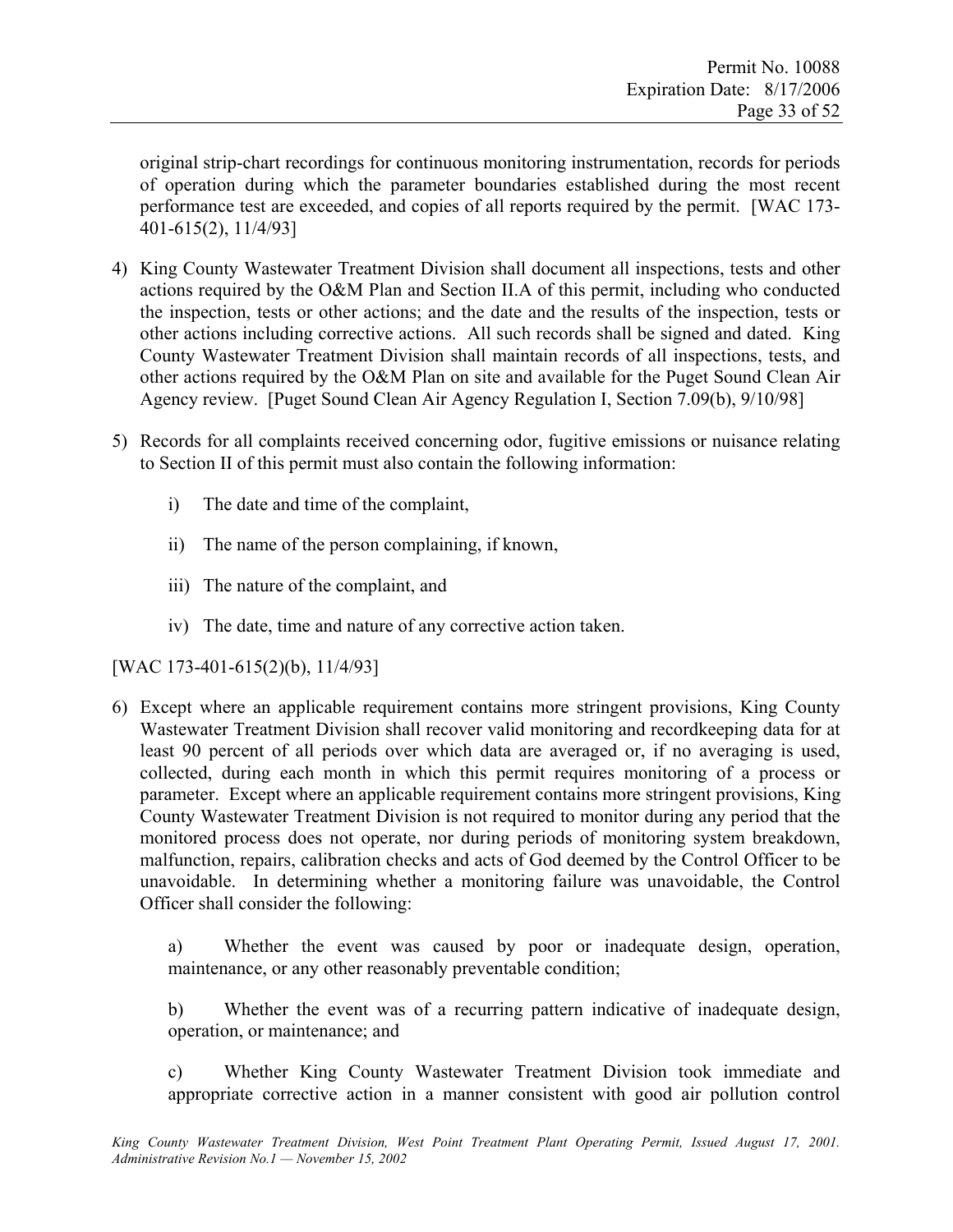original strip-chart recordings for continuous monitoring instrumentation, records for periods of operation during which the parameter boundaries established during the most recent performance test are exceeded, and copies of all reports required by the permit. [WAC 173- 401-615(2), 11/4/93]

- 4) King County Wastewater Treatment Division shall document all inspections, tests and other actions required by the O&M Plan and Section II.A of this permit, including who conducted the inspection, tests or other actions; and the date and the results of the inspection, tests or other actions including corrective actions. All such records shall be signed and dated. King County Wastewater Treatment Division shall maintain records of all inspections, tests, and other actions required by the O&M Plan on site and available for the Puget Sound Clean Air Agency review. [Puget Sound Clean Air Agency Regulation I, Section 7.09(b), 9/10/98]
- 5) Records for all complaints received concerning odor, fugitive emissions or nuisance relating to Section II of this permit must also contain the following information:
	- i) The date and time of the complaint,
	- ii) The name of the person complaining, if known,
	- iii) The nature of the complaint, and
	- iv) The date, time and nature of any corrective action taken.

[WAC 173-401-615(2)(b), 11/4/93]

6) Except where an applicable requirement contains more stringent provisions, King County Wastewater Treatment Division shall recover valid monitoring and recordkeeping data for at least 90 percent of all periods over which data are averaged or, if no averaging is used, collected, during each month in which this permit requires monitoring of a process or parameter. Except where an applicable requirement contains more stringent provisions, King County Wastewater Treatment Division is not required to monitor during any period that the monitored process does not operate, nor during periods of monitoring system breakdown, malfunction, repairs, calibration checks and acts of God deemed by the Control Officer to be unavoidable. In determining whether a monitoring failure was unavoidable, the Control Officer shall consider the following:

a) Whether the event was caused by poor or inadequate design, operation, maintenance, or any other reasonably preventable condition;

b) Whether the event was of a recurring pattern indicative of inadequate design, operation, or maintenance; and

c) Whether King County Wastewater Treatment Division took immediate and appropriate corrective action in a manner consistent with good air pollution control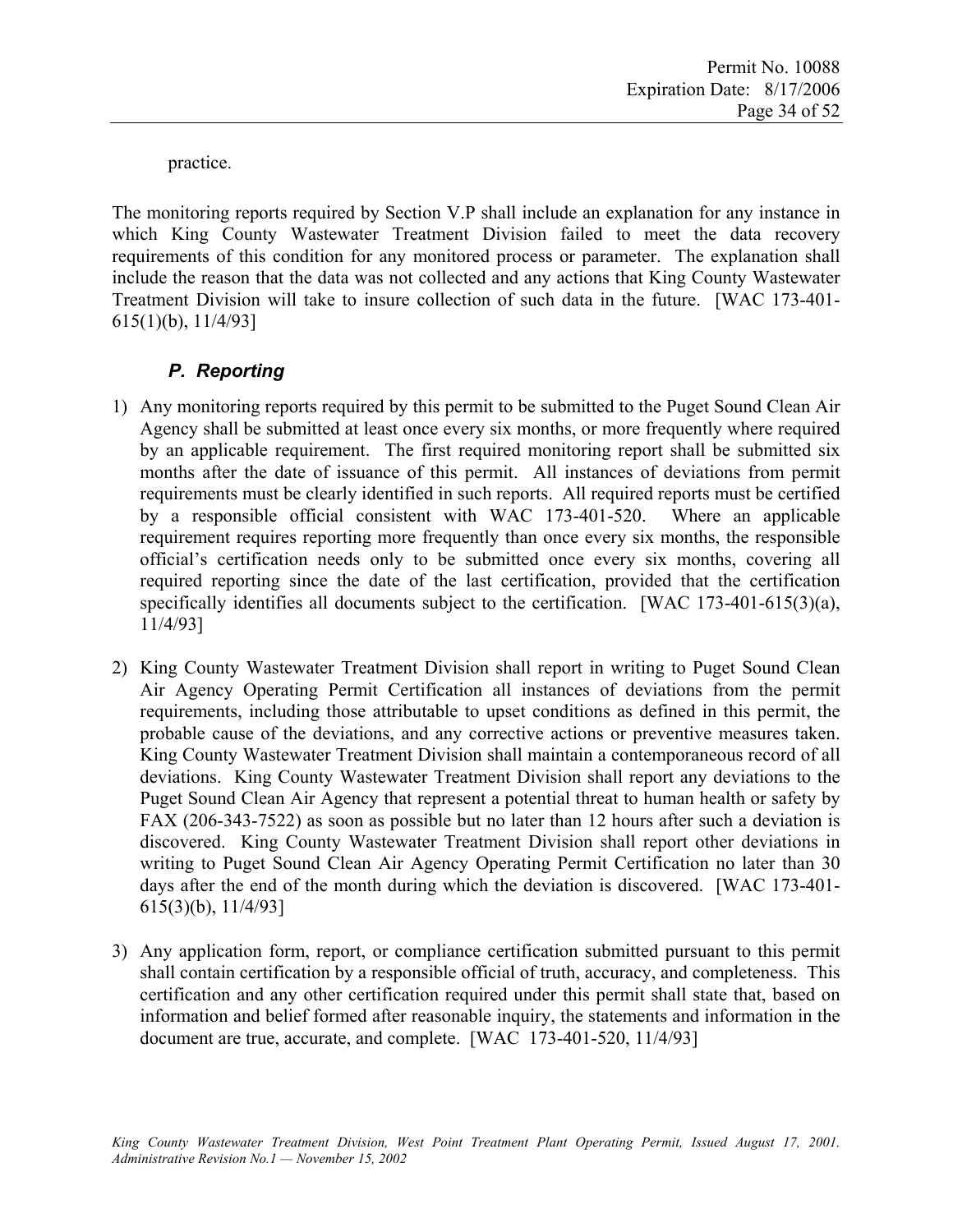practice.

The monitoring reports required by Section V.P shall include an explanation for any instance in which King County Wastewater Treatment Division failed to meet the data recovery requirements of this condition for any monitored process or parameter. The explanation shall include the reason that the data was not collected and any actions that King County Wastewater Treatment Division will take to insure collection of such data in the future. [WAC 173-401- 615(1)(b), 11/4/93]

# *P. Reporting*

- 1) Any monitoring reports required by this permit to be submitted to the Puget Sound Clean Air Agency shall be submitted at least once every six months, or more frequently where required by an applicable requirement. The first required monitoring report shall be submitted six months after the date of issuance of this permit. All instances of deviations from permit requirements must be clearly identified in such reports. All required reports must be certified by a responsible official consistent with WAC 173-401-520. Where an applicable requirement requires reporting more frequently than once every six months, the responsible official's certification needs only to be submitted once every six months, covering all required reporting since the date of the last certification, provided that the certification specifically identifies all documents subject to the certification. [WAC 173-401-615(3)(a), 11/4/93]
- 2) King County Wastewater Treatment Division shall report in writing to Puget Sound Clean Air Agency Operating Permit Certification all instances of deviations from the permit requirements, including those attributable to upset conditions as defined in this permit, the probable cause of the deviations, and any corrective actions or preventive measures taken. King County Wastewater Treatment Division shall maintain a contemporaneous record of all deviations. King County Wastewater Treatment Division shall report any deviations to the Puget Sound Clean Air Agency that represent a potential threat to human health or safety by FAX (206-343-7522) as soon as possible but no later than 12 hours after such a deviation is discovered. King County Wastewater Treatment Division shall report other deviations in writing to Puget Sound Clean Air Agency Operating Permit Certification no later than 30 days after the end of the month during which the deviation is discovered. [WAC 173-401- 615(3)(b), 11/4/93]
- 3) Any application form, report, or compliance certification submitted pursuant to this permit shall contain certification by a responsible official of truth, accuracy, and completeness. This certification and any other certification required under this permit shall state that, based on information and belief formed after reasonable inquiry, the statements and information in the document are true, accurate, and complete. [WAC 173-401-520, 11/4/93]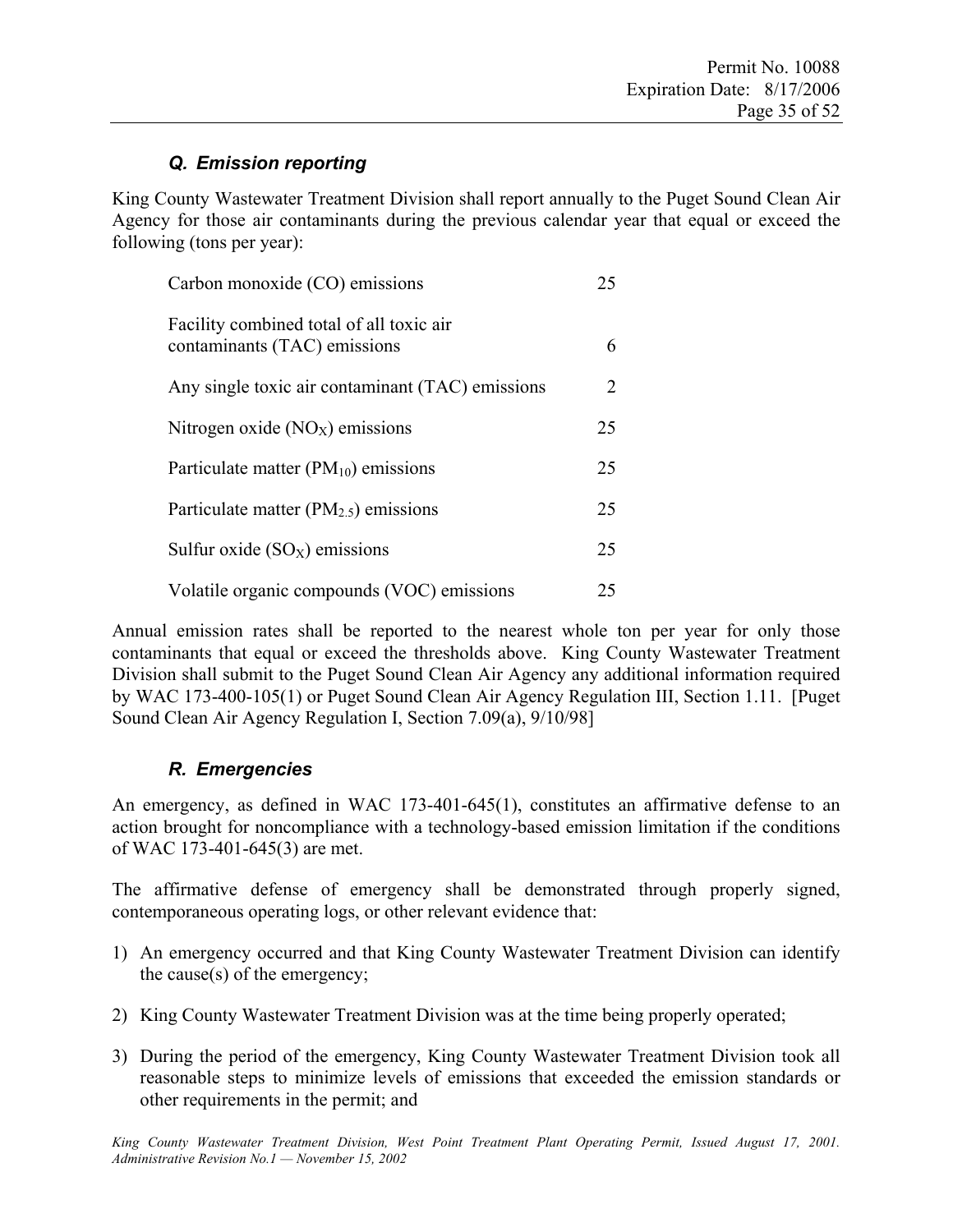# *Q. Emission reporting*

King County Wastewater Treatment Division shall report annually to the Puget Sound Clean Air Agency for those air contaminants during the previous calendar year that equal or exceed the following (tons per year):

| Carbon monoxide (CO) emissions                                           | 25 |
|--------------------------------------------------------------------------|----|
| Facility combined total of all toxic air<br>contaminants (TAC) emissions | 6  |
| Any single toxic air contaminant (TAC) emissions                         | 2  |
| Nitrogen oxide $(NOx)$ emissions                                         | 25 |
| Particulate matter $(PM_{10})$ emissions                                 | 25 |
| Particulate matter $(PM_{2.5})$ emissions                                | 25 |
| Sulfur oxide $(SO_X)$ emissions                                          | 25 |
| Volatile organic compounds (VOC) emissions                               | 25 |

Annual emission rates shall be reported to the nearest whole ton per year for only those contaminants that equal or exceed the thresholds above. King County Wastewater Treatment Division shall submit to the Puget Sound Clean Air Agency any additional information required by WAC 173-400-105(1) or Puget Sound Clean Air Agency Regulation III, Section 1.11. [Puget Sound Clean Air Agency Regulation I, Section 7.09(a), 9/10/98]

# *R. Emergencies*

An emergency, as defined in WAC 173-401-645(1), constitutes an affirmative defense to an action brought for noncompliance with a technology-based emission limitation if the conditions of WAC 173-401-645(3) are met.

The affirmative defense of emergency shall be demonstrated through properly signed, contemporaneous operating logs, or other relevant evidence that:

- 1) An emergency occurred and that King County Wastewater Treatment Division can identify the cause(s) of the emergency;
- 2) King County Wastewater Treatment Division was at the time being properly operated;
- 3) During the period of the emergency, King County Wastewater Treatment Division took all reasonable steps to minimize levels of emissions that exceeded the emission standards or other requirements in the permit; and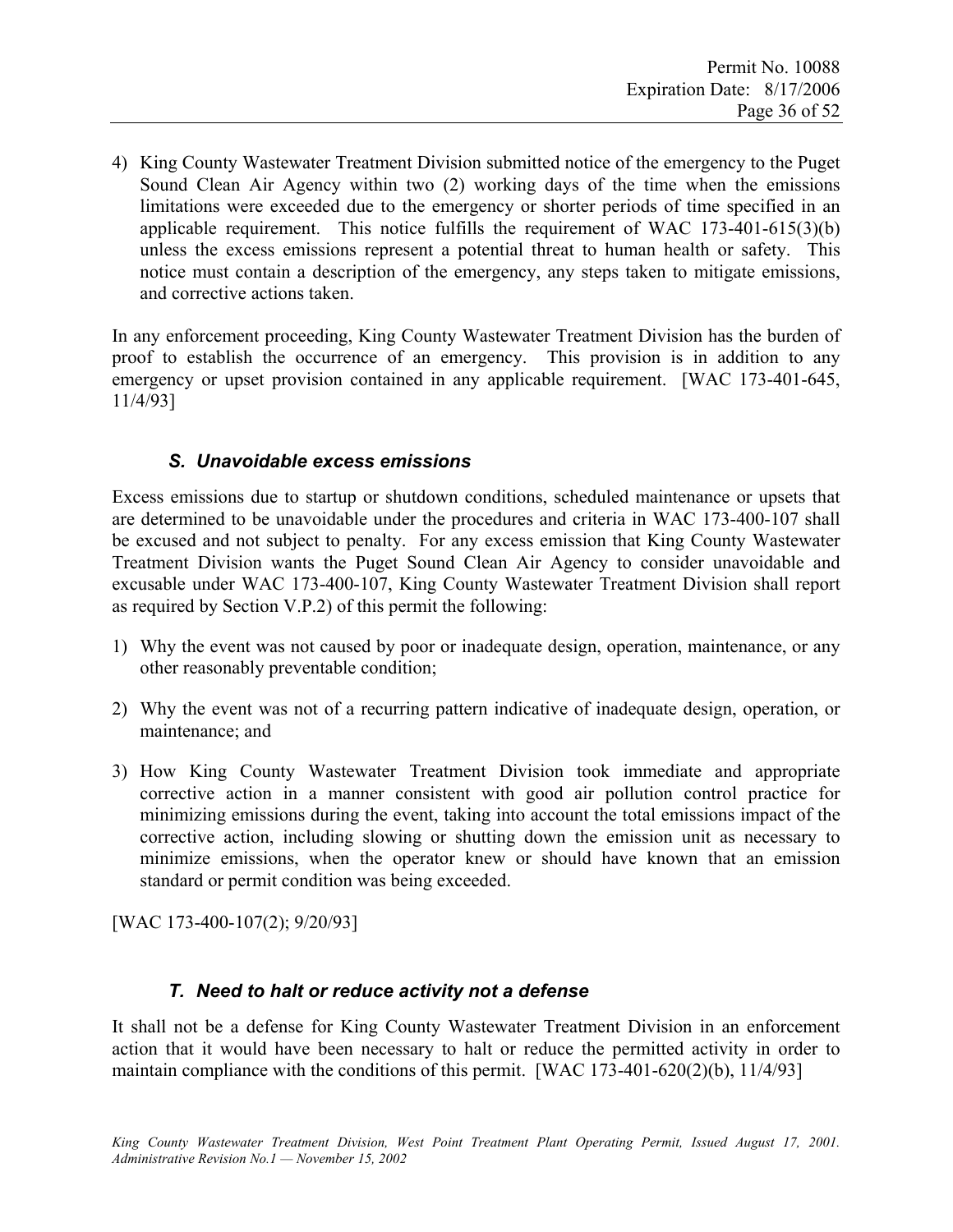4) King County Wastewater Treatment Division submitted notice of the emergency to the Puget Sound Clean Air Agency within two (2) working days of the time when the emissions limitations were exceeded due to the emergency or shorter periods of time specified in an applicable requirement. This notice fulfills the requirement of WAC 173-401-615(3)(b) unless the excess emissions represent a potential threat to human health or safety. This notice must contain a description of the emergency, any steps taken to mitigate emissions, and corrective actions taken.

In any enforcement proceeding, King County Wastewater Treatment Division has the burden of proof to establish the occurrence of an emergency. This provision is in addition to any emergency or upset provision contained in any applicable requirement. [WAC 173-401-645, 11/4/93]

# *S. Unavoidable excess emissions*

Excess emissions due to startup or shutdown conditions, scheduled maintenance or upsets that are determined to be unavoidable under the procedures and criteria in WAC 173-400-107 shall be excused and not subject to penalty. For any excess emission that King County Wastewater Treatment Division wants the Puget Sound Clean Air Agency to consider unavoidable and excusable under WAC 173-400-107, King County Wastewater Treatment Division shall report as required by Section V.P.2) of this permit the following:

- 1) Why the event was not caused by poor or inadequate design, operation, maintenance, or any other reasonably preventable condition;
- 2) Why the event was not of a recurring pattern indicative of inadequate design, operation, or maintenance; and
- 3) How King County Wastewater Treatment Division took immediate and appropriate corrective action in a manner consistent with good air pollution control practice for minimizing emissions during the event, taking into account the total emissions impact of the corrective action, including slowing or shutting down the emission unit as necessary to minimize emissions, when the operator knew or should have known that an emission standard or permit condition was being exceeded.

[WAC 173-400-107(2); 9/20/93]

# *T. Need to halt or reduce activity not a defense*

It shall not be a defense for King County Wastewater Treatment Division in an enforcement action that it would have been necessary to halt or reduce the permitted activity in order to maintain compliance with the conditions of this permit. [WAC 173-401-620(2)(b), 11/4/93]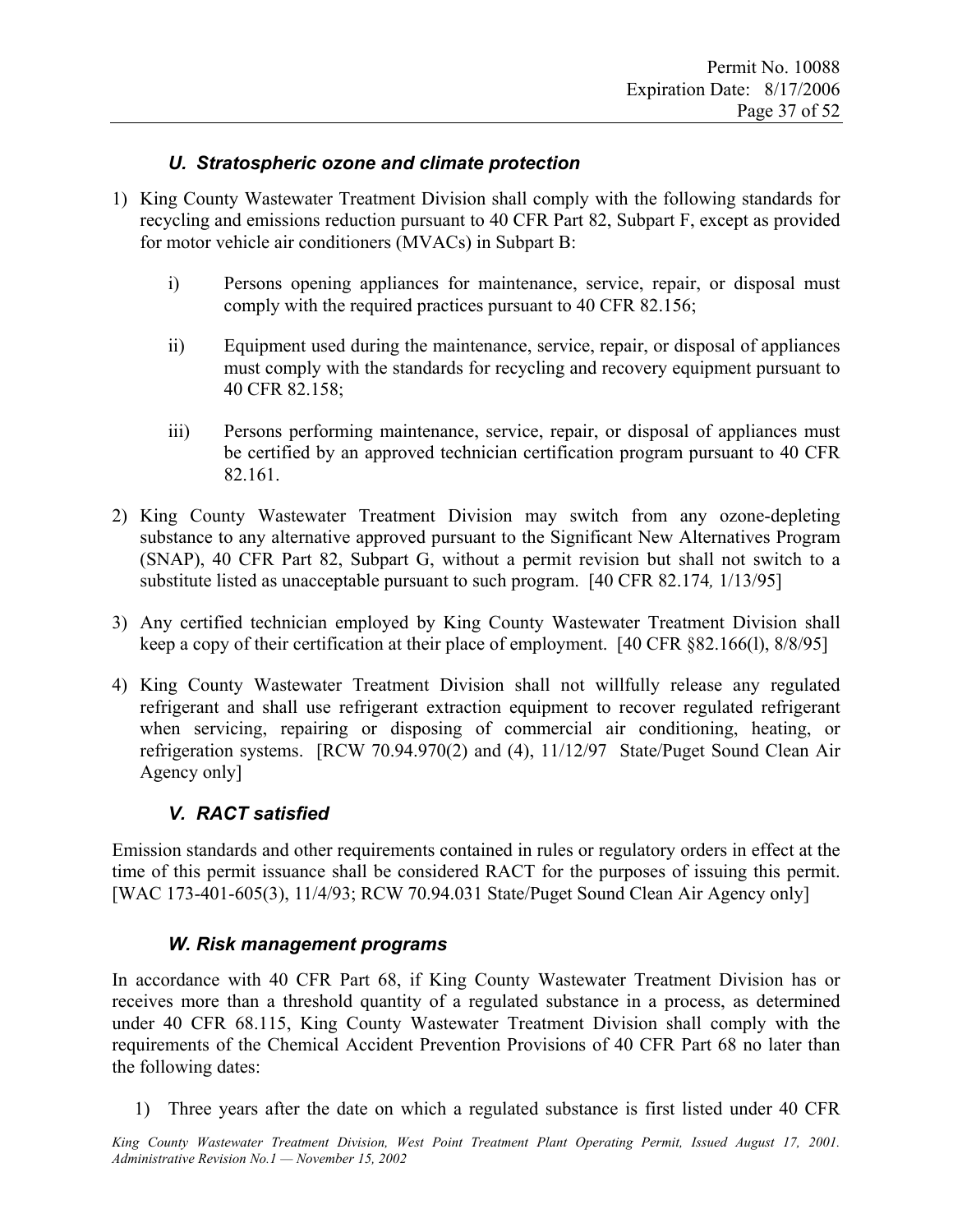### *U. Stratospheric ozone and climate protection*

- 1) King County Wastewater Treatment Division shall comply with the following standards for recycling and emissions reduction pursuant to 40 CFR Part 82, Subpart F, except as provided for motor vehicle air conditioners (MVACs) in Subpart B:
	- i) Persons opening appliances for maintenance, service, repair, or disposal must comply with the required practices pursuant to 40 CFR 82.156;
	- ii) Equipment used during the maintenance, service, repair, or disposal of appliances must comply with the standards for recycling and recovery equipment pursuant to 40 CFR 82.158;
	- iii) Persons performing maintenance, service, repair, or disposal of appliances must be certified by an approved technician certification program pursuant to 40 CFR 82.161.
- 2) King County Wastewater Treatment Division may switch from any ozone-depleting substance to any alternative approved pursuant to the Significant New Alternatives Program (SNAP), 40 CFR Part 82, Subpart G, without a permit revision but shall not switch to a substitute listed as unacceptable pursuant to such program. [40 CFR 82.174*,* 1/13/95]
- 3) Any certified technician employed by King County Wastewater Treatment Division shall keep a copy of their certification at their place of employment. [40 CFR §82.166(l), 8/8/95]
- 4) King County Wastewater Treatment Division shall not willfully release any regulated refrigerant and shall use refrigerant extraction equipment to recover regulated refrigerant when servicing, repairing or disposing of commercial air conditioning, heating, or refrigeration systems. [RCW 70.94.970(2) and (4), 11/12/97 State/Puget Sound Clean Air Agency only]

# *V. RACT satisfied*

Emission standards and other requirements contained in rules or regulatory orders in effect at the time of this permit issuance shall be considered RACT for the purposes of issuing this permit. [WAC 173-401-605(3), 11/4/93; RCW 70.94.031 State/Puget Sound Clean Air Agency only]

#### *W. Risk management programs*

In accordance with 40 CFR Part 68, if King County Wastewater Treatment Division has or receives more than a threshold quantity of a regulated substance in a process, as determined under 40 CFR 68.115, King County Wastewater Treatment Division shall comply with the requirements of the Chemical Accident Prevention Provisions of 40 CFR Part 68 no later than the following dates:

1) Three years after the date on which a regulated substance is first listed under 40 CFR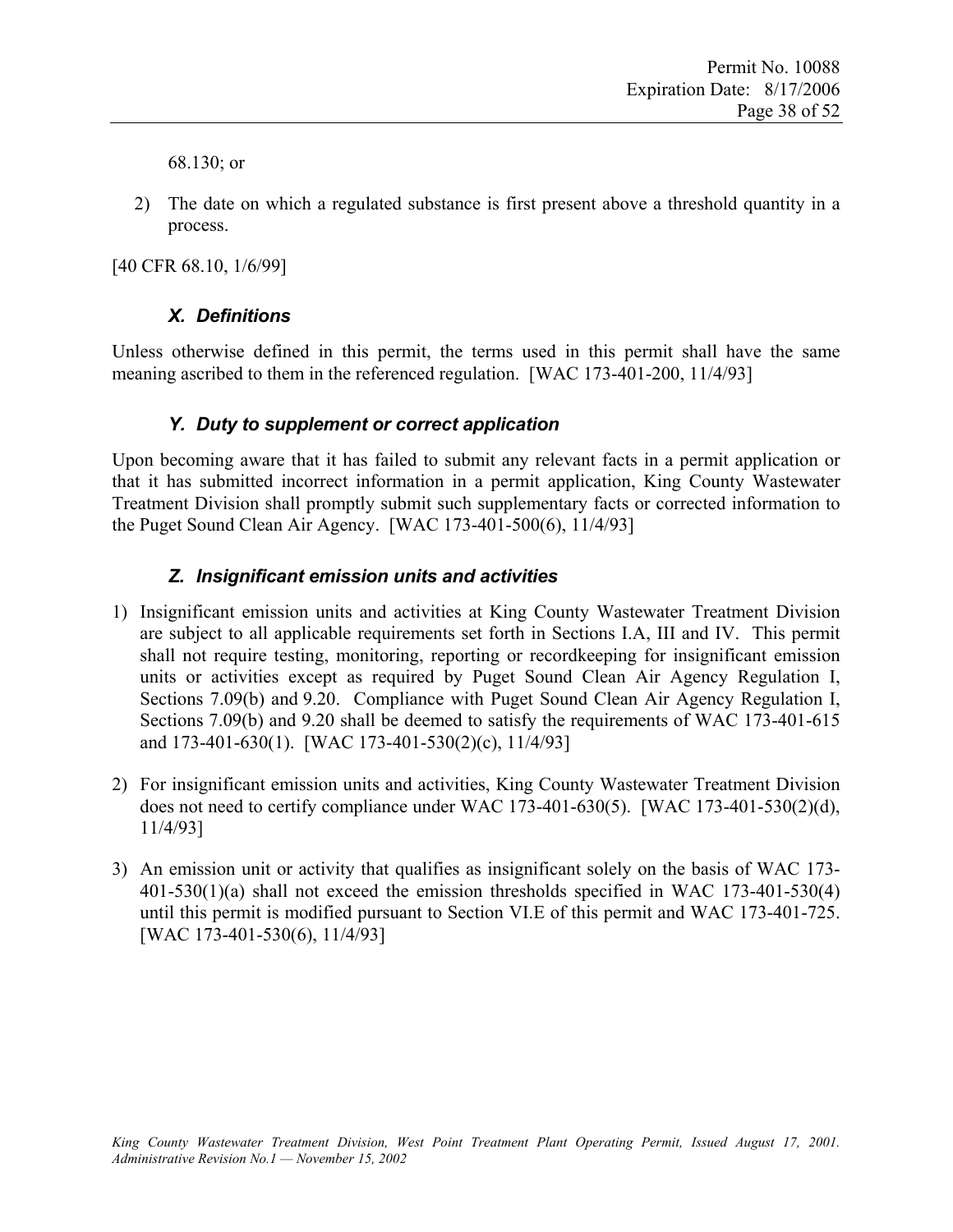68.130; or

2) The date on which a regulated substance is first present above a threshold quantity in a process.

[40 CFR 68.10, 1/6/99]

### *X. Definitions*

Unless otherwise defined in this permit, the terms used in this permit shall have the same meaning ascribed to them in the referenced regulation. [WAC 173-401-200, 11/4/93]

### *Y. Duty to supplement or correct application*

Upon becoming aware that it has failed to submit any relevant facts in a permit application or that it has submitted incorrect information in a permit application, King County Wastewater Treatment Division shall promptly submit such supplementary facts or corrected information to the Puget Sound Clean Air Agency. [WAC 173-401-500(6), 11/4/93]

#### *Z. Insignificant emission units and activities*

- 1) Insignificant emission units and activities at King County Wastewater Treatment Division are subject to all applicable requirements set forth in Sections I.A, III and IV. This permit shall not require testing, monitoring, reporting or recordkeeping for insignificant emission units or activities except as required by Puget Sound Clean Air Agency Regulation I, Sections 7.09(b) and 9.20. Compliance with Puget Sound Clean Air Agency Regulation I, Sections 7.09(b) and 9.20 shall be deemed to satisfy the requirements of WAC 173-401-615 and 173-401-630(1). [WAC 173-401-530(2)(c), 11/4/93]
- 2) For insignificant emission units and activities, King County Wastewater Treatment Division does not need to certify compliance under WAC 173-401-630(5). [WAC 173-401-530(2)(d), 11/4/93]
- 3) An emission unit or activity that qualifies as insignificant solely on the basis of WAC 173- 401-530(1)(a) shall not exceed the emission thresholds specified in WAC 173-401-530(4) until this permit is modified pursuant to Section VI.E of this permit and WAC 173-401-725. [WAC 173-401-530(6), 11/4/93]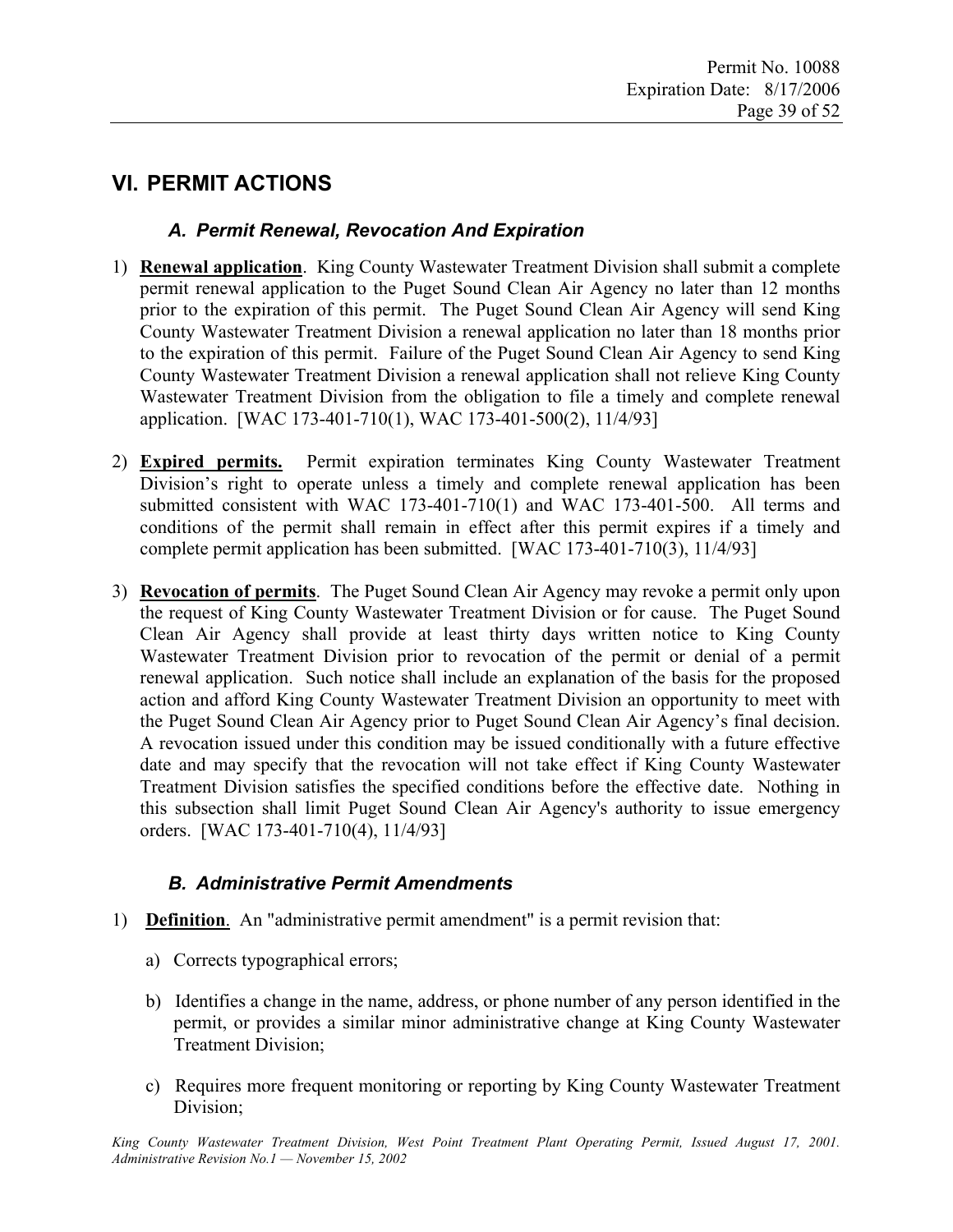# **VI. PERMIT ACTIONS**

# *A. Permit Renewal, Revocation And Expiration*

- 1) **Renewal application**. King County Wastewater Treatment Division shall submit a complete permit renewal application to the Puget Sound Clean Air Agency no later than 12 months prior to the expiration of this permit. The Puget Sound Clean Air Agency will send King County Wastewater Treatment Division a renewal application no later than 18 months prior to the expiration of this permit. Failure of the Puget Sound Clean Air Agency to send King County Wastewater Treatment Division a renewal application shall not relieve King County Wastewater Treatment Division from the obligation to file a timely and complete renewal application. [WAC 173-401-710(1), WAC 173-401-500(2), 11/4/93]
- 2) **Expired permits.** Permit expiration terminates King County Wastewater Treatment Division's right to operate unless a timely and complete renewal application has been submitted consistent with WAC 173-401-710(1) and WAC 173-401-500. All terms and conditions of the permit shall remain in effect after this permit expires if a timely and complete permit application has been submitted. [WAC 173-401-710(3), 11/4/93]
- 3) **Revocation of permits**. The Puget Sound Clean Air Agency may revoke a permit only upon the request of King County Wastewater Treatment Division or for cause. The Puget Sound Clean Air Agency shall provide at least thirty days written notice to King County Wastewater Treatment Division prior to revocation of the permit or denial of a permit renewal application. Such notice shall include an explanation of the basis for the proposed action and afford King County Wastewater Treatment Division an opportunity to meet with the Puget Sound Clean Air Agency prior to Puget Sound Clean Air Agency's final decision. A revocation issued under this condition may be issued conditionally with a future effective date and may specify that the revocation will not take effect if King County Wastewater Treatment Division satisfies the specified conditions before the effective date. Nothing in this subsection shall limit Puget Sound Clean Air Agency's authority to issue emergency orders. [WAC 173-401-710(4), 11/4/93]

# *B. Administrative Permit Amendments*

- 1) **Definition**. An "administrative permit amendment" is a permit revision that:
	- a) Corrects typographical errors;
	- b) Identifies a change in the name, address, or phone number of any person identified in the permit, or provides a similar minor administrative change at King County Wastewater Treatment Division;
	- c) Requires more frequent monitoring or reporting by King County Wastewater Treatment Division;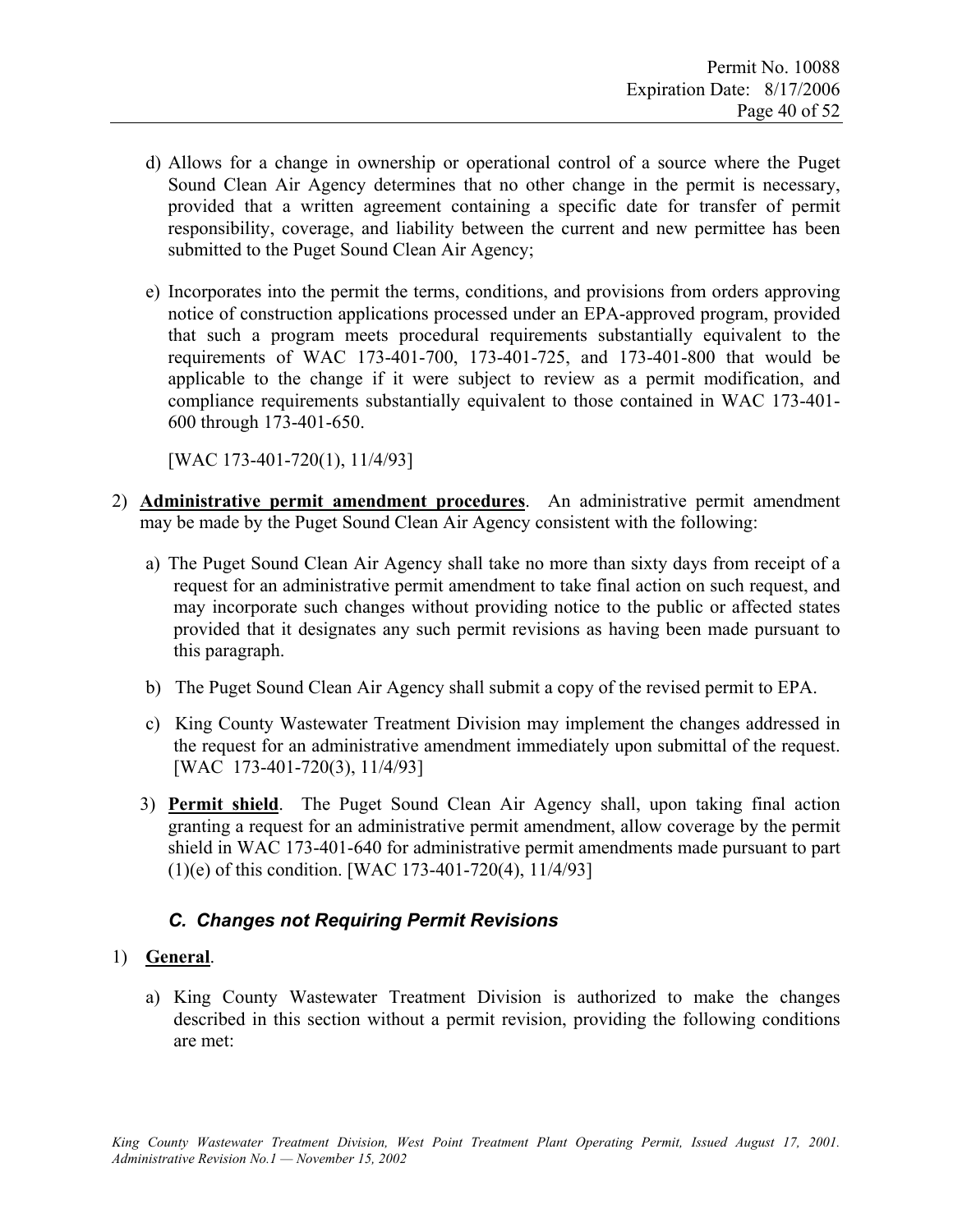- d) Allows for a change in ownership or operational control of a source where the Puget Sound Clean Air Agency determines that no other change in the permit is necessary, provided that a written agreement containing a specific date for transfer of permit responsibility, coverage, and liability between the current and new permittee has been submitted to the Puget Sound Clean Air Agency;
- e) Incorporates into the permit the terms, conditions, and provisions from orders approving notice of construction applications processed under an EPA-approved program, provided that such a program meets procedural requirements substantially equivalent to the requirements of WAC 173-401-700, 173-401-725, and 173-401-800 that would be applicable to the change if it were subject to review as a permit modification, and compliance requirements substantially equivalent to those contained in WAC 173-401- 600 through 173-401-650.

[WAC 173-401-720(1), 11/4/93]

- 2) **Administrative permit amendment procedures**. An administrative permit amendment may be made by the Puget Sound Clean Air Agency consistent with the following:
	- a) The Puget Sound Clean Air Agency shall take no more than sixty days from receipt of a request for an administrative permit amendment to take final action on such request, and may incorporate such changes without providing notice to the public or affected states provided that it designates any such permit revisions as having been made pursuant to this paragraph.
	- b) The Puget Sound Clean Air Agency shall submit a copy of the revised permit to EPA.
	- c) King County Wastewater Treatment Division may implement the changes addressed in the request for an administrative amendment immediately upon submittal of the request. [WAC 173-401-720(3), 11/4/93]
	- 3) **Permit shield**. The Puget Sound Clean Air Agency shall, upon taking final action granting a request for an administrative permit amendment, allow coverage by the permit shield in WAC 173-401-640 for administrative permit amendments made pursuant to part (1)(e) of this condition. [WAC 173-401-720(4), 11/4/93]

# *C. Changes not Requiring Permit Revisions*

# 1) **General**.

a) King County Wastewater Treatment Division is authorized to make the changes described in this section without a permit revision, providing the following conditions are met: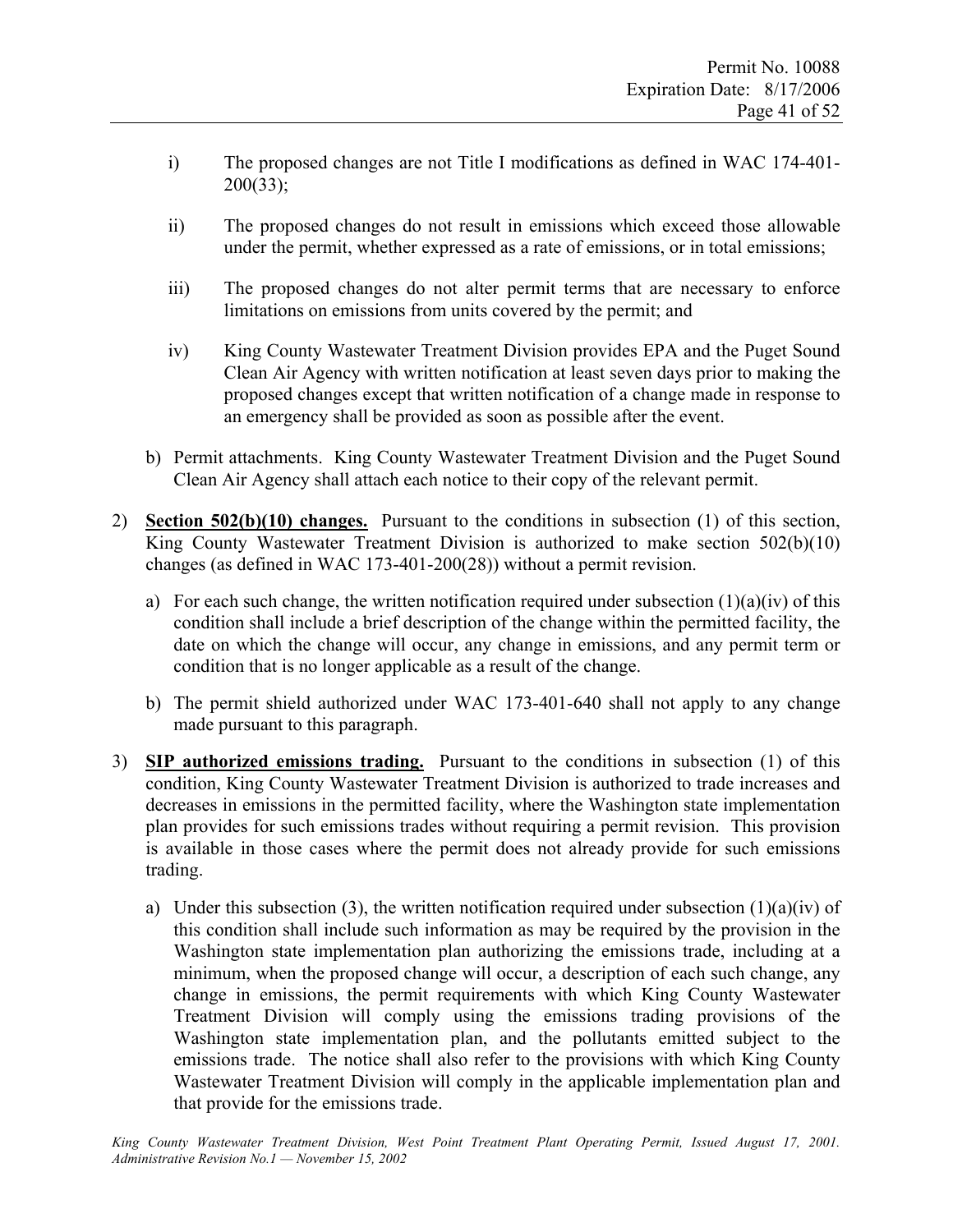- i) The proposed changes are not Title I modifications as defined in WAC 174-401- 200(33);
- ii) The proposed changes do not result in emissions which exceed those allowable under the permit, whether expressed as a rate of emissions, or in total emissions;
- iii) The proposed changes do not alter permit terms that are necessary to enforce limitations on emissions from units covered by the permit; and
- iv) King County Wastewater Treatment Division provides EPA and the Puget Sound Clean Air Agency with written notification at least seven days prior to making the proposed changes except that written notification of a change made in response to an emergency shall be provided as soon as possible after the event.
- b) Permit attachments. King County Wastewater Treatment Division and the Puget Sound Clean Air Agency shall attach each notice to their copy of the relevant permit.
- 2) **Section 502(b)(10) changes.** Pursuant to the conditions in subsection (1) of this section, King County Wastewater Treatment Division is authorized to make section 502(b)(10) changes (as defined in WAC 173-401-200(28)) without a permit revision.
	- a) For each such change, the written notification required under subsection  $(1)(a)(iv)$  of this condition shall include a brief description of the change within the permitted facility, the date on which the change will occur, any change in emissions, and any permit term or condition that is no longer applicable as a result of the change.
	- b) The permit shield authorized under WAC 173-401-640 shall not apply to any change made pursuant to this paragraph.
- 3) **SIP authorized emissions trading.** Pursuant to the conditions in subsection (1) of this condition, King County Wastewater Treatment Division is authorized to trade increases and decreases in emissions in the permitted facility, where the Washington state implementation plan provides for such emissions trades without requiring a permit revision. This provision is available in those cases where the permit does not already provide for such emissions trading.
	- a) Under this subsection (3), the written notification required under subsection (1)(a)(iv) of this condition shall include such information as may be required by the provision in the Washington state implementation plan authorizing the emissions trade, including at a minimum, when the proposed change will occur, a description of each such change, any change in emissions, the permit requirements with which King County Wastewater Treatment Division will comply using the emissions trading provisions of the Washington state implementation plan, and the pollutants emitted subject to the emissions trade. The notice shall also refer to the provisions with which King County Wastewater Treatment Division will comply in the applicable implementation plan and that provide for the emissions trade.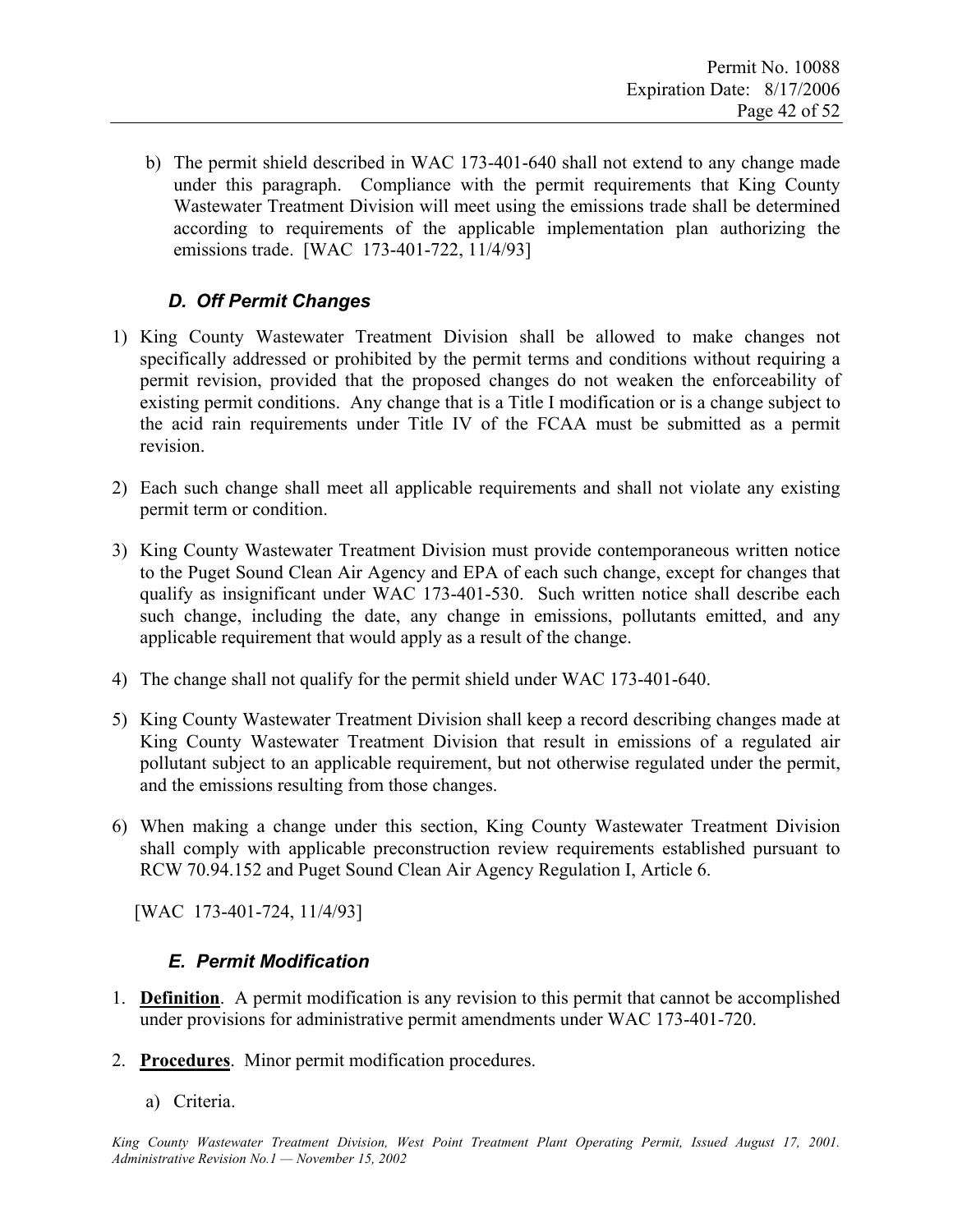b) The permit shield described in WAC 173-401-640 shall not extend to any change made under this paragraph. Compliance with the permit requirements that King County Wastewater Treatment Division will meet using the emissions trade shall be determined according to requirements of the applicable implementation plan authorizing the emissions trade. [WAC 173-401-722, 11/4/93]

# *D. Off Permit Changes*

- 1) King County Wastewater Treatment Division shall be allowed to make changes not specifically addressed or prohibited by the permit terms and conditions without requiring a permit revision, provided that the proposed changes do not weaken the enforceability of existing permit conditions. Any change that is a Title I modification or is a change subject to the acid rain requirements under Title IV of the FCAA must be submitted as a permit revision.
- 2) Each such change shall meet all applicable requirements and shall not violate any existing permit term or condition.
- 3) King County Wastewater Treatment Division must provide contemporaneous written notice to the Puget Sound Clean Air Agency and EPA of each such change, except for changes that qualify as insignificant under WAC 173-401-530. Such written notice shall describe each such change, including the date, any change in emissions, pollutants emitted, and any applicable requirement that would apply as a result of the change.
- 4) The change shall not qualify for the permit shield under WAC 173-401-640.
- 5) King County Wastewater Treatment Division shall keep a record describing changes made at King County Wastewater Treatment Division that result in emissions of a regulated air pollutant subject to an applicable requirement, but not otherwise regulated under the permit, and the emissions resulting from those changes.
- 6) When making a change under this section, King County Wastewater Treatment Division shall comply with applicable preconstruction review requirements established pursuant to RCW 70.94.152 and Puget Sound Clean Air Agency Regulation I, Article 6.

[WAC 173-401-724, 11/4/93]

# *E. Permit Modification*

- 1. **Definition**. A permit modification is any revision to this permit that cannot be accomplished under provisions for administrative permit amendments under WAC 173-401-720.
- 2. **Procedures**. Minor permit modification procedures.
	- a) Criteria.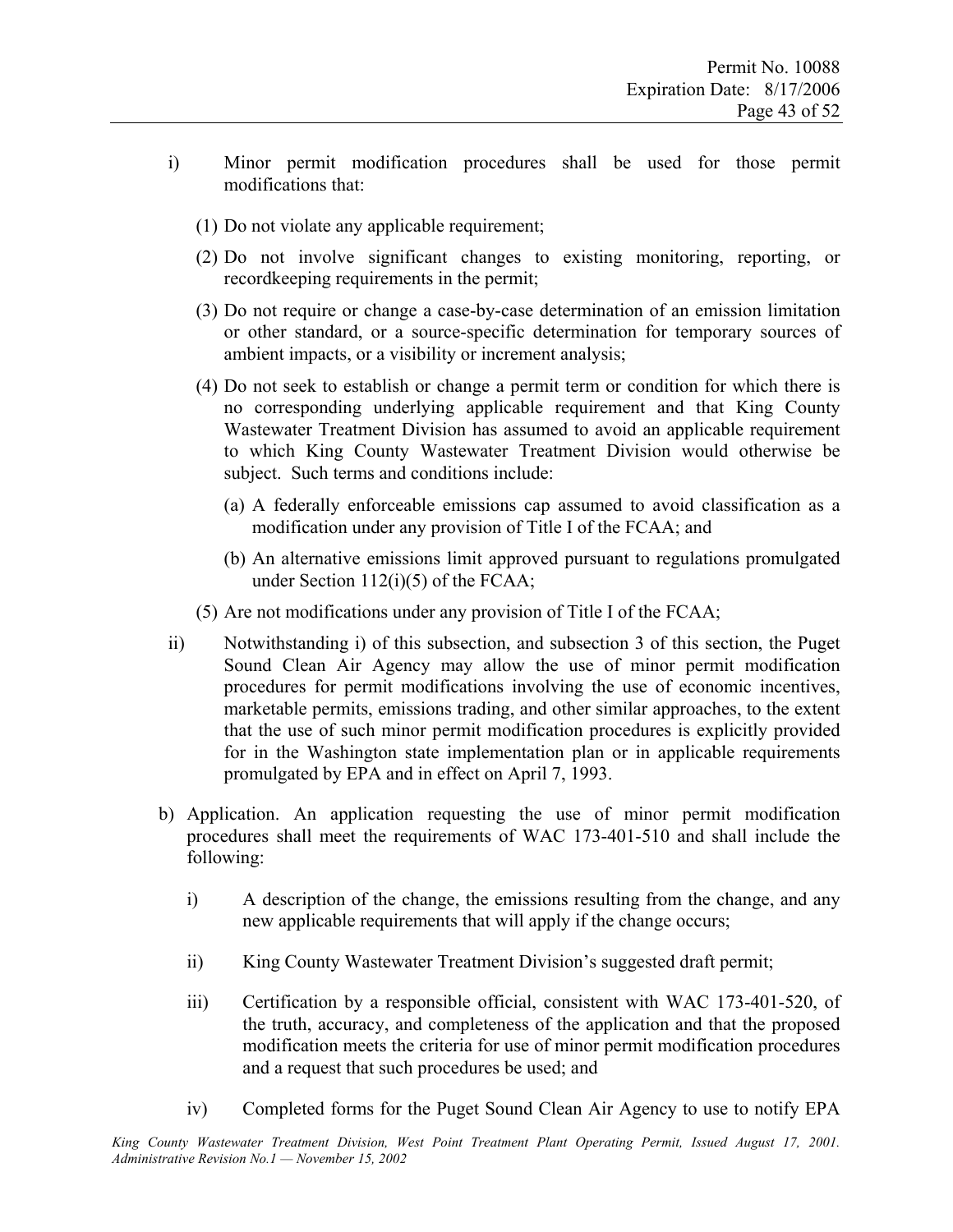- i) Minor permit modification procedures shall be used for those permit modifications that:
	- (1) Do not violate any applicable requirement;
	- (2) Do not involve significant changes to existing monitoring, reporting, or recordkeeping requirements in the permit;
	- (3) Do not require or change a case-by-case determination of an emission limitation or other standard, or a source-specific determination for temporary sources of ambient impacts, or a visibility or increment analysis;
	- (4) Do not seek to establish or change a permit term or condition for which there is no corresponding underlying applicable requirement and that King County Wastewater Treatment Division has assumed to avoid an applicable requirement to which King County Wastewater Treatment Division would otherwise be subject. Such terms and conditions include:
		- (a) A federally enforceable emissions cap assumed to avoid classification as a modification under any provision of Title I of the FCAA; and
		- (b) An alternative emissions limit approved pursuant to regulations promulgated under Section 112(i)(5) of the FCAA;
	- (5) Are not modifications under any provision of Title I of the FCAA;
- ii) Notwithstanding i) of this subsection, and subsection 3 of this section, the Puget Sound Clean Air Agency may allow the use of minor permit modification procedures for permit modifications involving the use of economic incentives, marketable permits, emissions trading, and other similar approaches, to the extent that the use of such minor permit modification procedures is explicitly provided for in the Washington state implementation plan or in applicable requirements promulgated by EPA and in effect on April 7, 1993.
- b) Application. An application requesting the use of minor permit modification procedures shall meet the requirements of WAC 173-401-510 and shall include the following:
	- i) A description of the change, the emissions resulting from the change, and any new applicable requirements that will apply if the change occurs;
	- ii) King County Wastewater Treatment Division's suggested draft permit;
	- iii) Certification by a responsible official, consistent with WAC 173-401-520, of the truth, accuracy, and completeness of the application and that the proposed modification meets the criteria for use of minor permit modification procedures and a request that such procedures be used; and
	- iv) Completed forms for the Puget Sound Clean Air Agency to use to notify EPA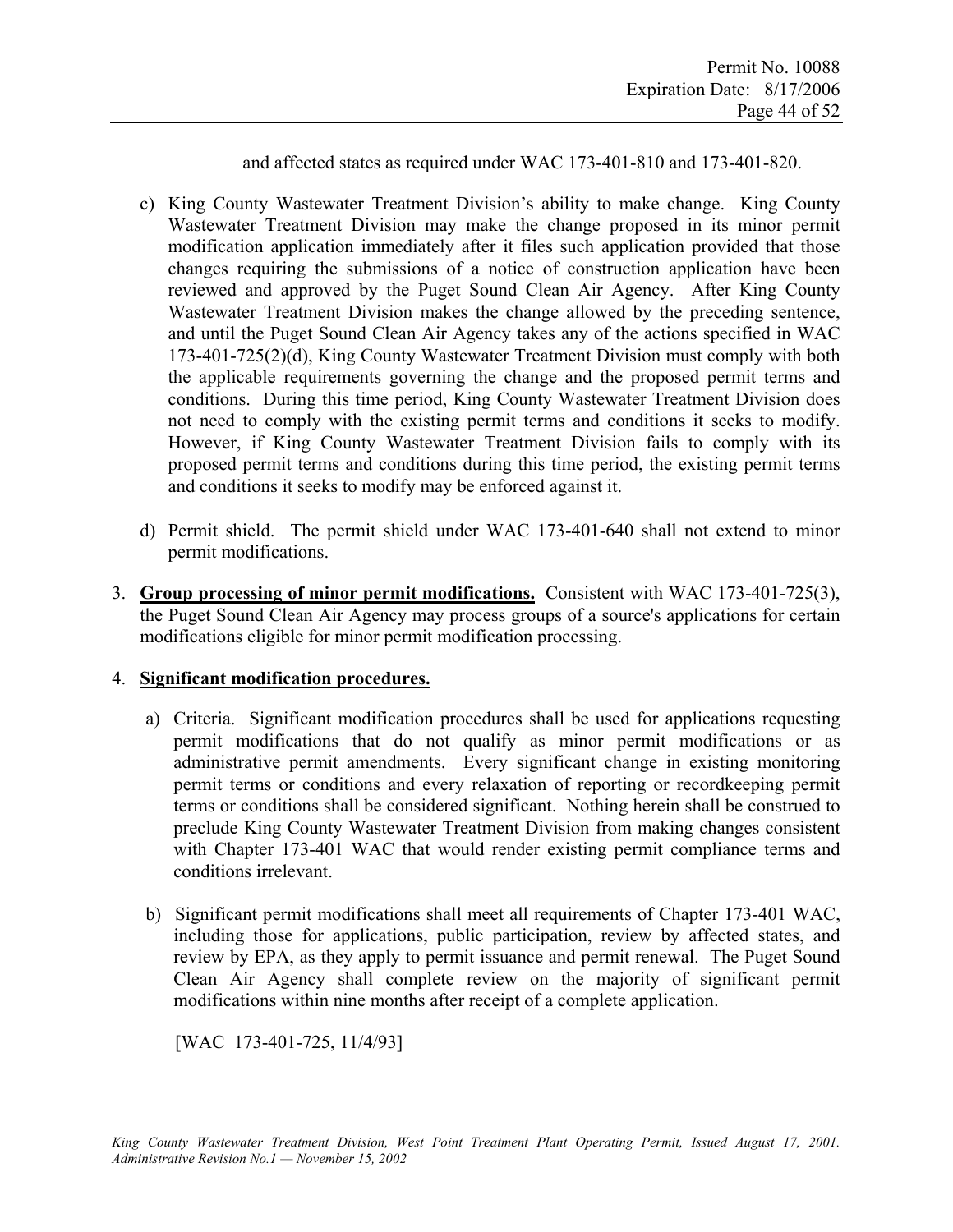and affected states as required under WAC 173-401-810 and 173-401-820.

- c) King County Wastewater Treatment Division's ability to make change. King County Wastewater Treatment Division may make the change proposed in its minor permit modification application immediately after it files such application provided that those changes requiring the submissions of a notice of construction application have been reviewed and approved by the Puget Sound Clean Air Agency. After King County Wastewater Treatment Division makes the change allowed by the preceding sentence, and until the Puget Sound Clean Air Agency takes any of the actions specified in WAC 173-401-725(2)(d), King County Wastewater Treatment Division must comply with both the applicable requirements governing the change and the proposed permit terms and conditions. During this time period, King County Wastewater Treatment Division does not need to comply with the existing permit terms and conditions it seeks to modify. However, if King County Wastewater Treatment Division fails to comply with its proposed permit terms and conditions during this time period, the existing permit terms and conditions it seeks to modify may be enforced against it.
- d) Permit shield. The permit shield under WAC 173-401-640 shall not extend to minor permit modifications.
- 3. **Group processing of minor permit modifications.** Consistent with WAC 173-401-725(3), the Puget Sound Clean Air Agency may process groups of a source's applications for certain modifications eligible for minor permit modification processing.

#### 4. **Significant modification procedures.**

- a) Criteria. Significant modification procedures shall be used for applications requesting permit modifications that do not qualify as minor permit modifications or as administrative permit amendments. Every significant change in existing monitoring permit terms or conditions and every relaxation of reporting or recordkeeping permit terms or conditions shall be considered significant. Nothing herein shall be construed to preclude King County Wastewater Treatment Division from making changes consistent with Chapter 173-401 WAC that would render existing permit compliance terms and conditions irrelevant.
- b) Significant permit modifications shall meet all requirements of Chapter 173-401 WAC, including those for applications, public participation, review by affected states, and review by EPA, as they apply to permit issuance and permit renewal. The Puget Sound Clean Air Agency shall complete review on the majority of significant permit modifications within nine months after receipt of a complete application.

[WAC 173-401-725, 11/4/93]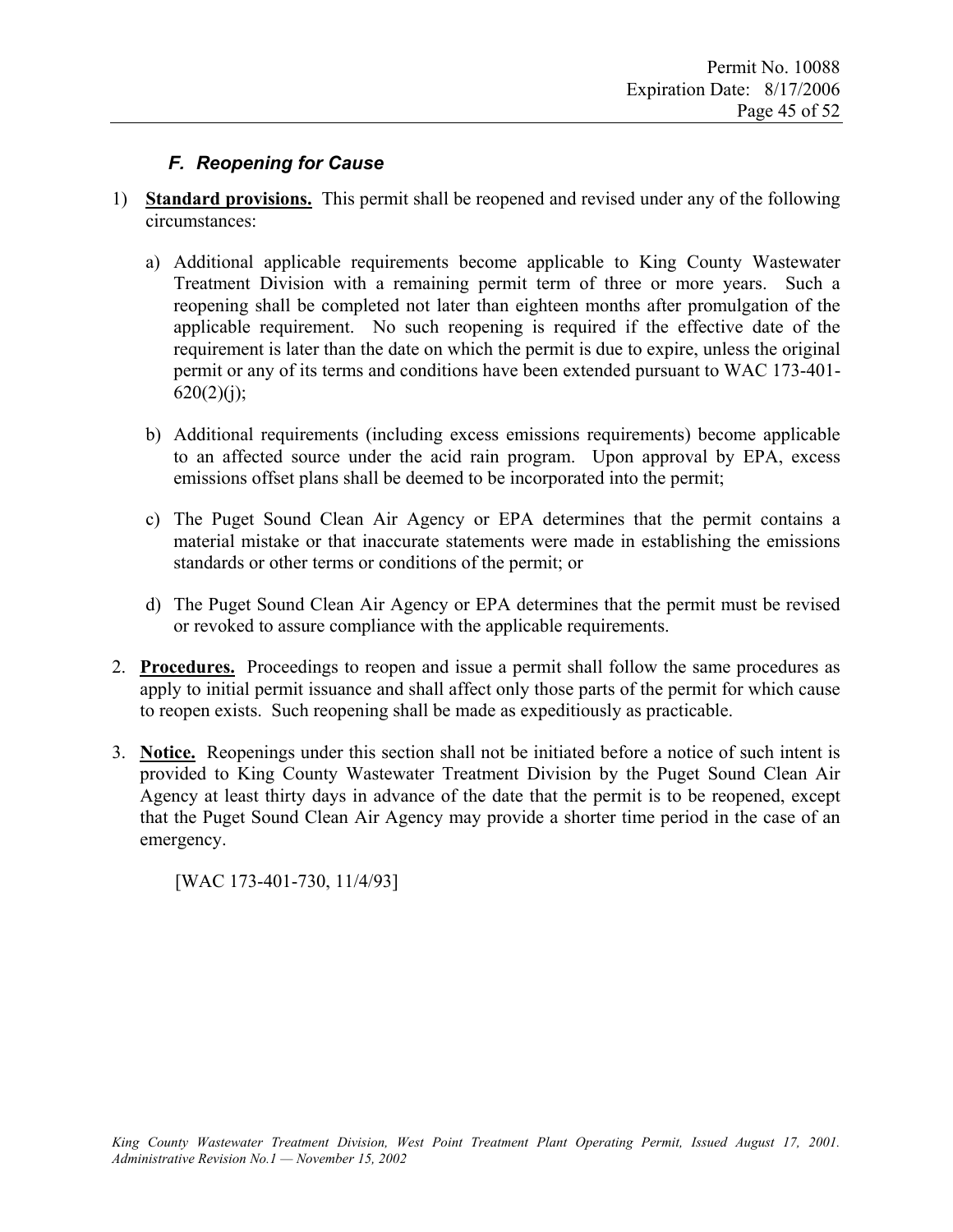# *F. Reopening for Cause*

- 1) **Standard provisions.** This permit shall be reopened and revised under any of the following circumstances:
	- a) Additional applicable requirements become applicable to King County Wastewater Treatment Division with a remaining permit term of three or more years. Such a reopening shall be completed not later than eighteen months after promulgation of the applicable requirement. No such reopening is required if the effective date of the requirement is later than the date on which the permit is due to expire, unless the original permit or any of its terms and conditions have been extended pursuant to WAC 173-401-  $620(2)(j);$
	- b) Additional requirements (including excess emissions requirements) become applicable to an affected source under the acid rain program. Upon approval by EPA, excess emissions offset plans shall be deemed to be incorporated into the permit;
	- c) The Puget Sound Clean Air Agency or EPA determines that the permit contains a material mistake or that inaccurate statements were made in establishing the emissions standards or other terms or conditions of the permit; or
	- d) The Puget Sound Clean Air Agency or EPA determines that the permit must be revised or revoked to assure compliance with the applicable requirements.
- 2. **Procedures.** Proceedings to reopen and issue a permit shall follow the same procedures as apply to initial permit issuance and shall affect only those parts of the permit for which cause to reopen exists. Such reopening shall be made as expeditiously as practicable.
- 3. **Notice.** Reopenings under this section shall not be initiated before a notice of such intent is provided to King County Wastewater Treatment Division by the Puget Sound Clean Air Agency at least thirty days in advance of the date that the permit is to be reopened, except that the Puget Sound Clean Air Agency may provide a shorter time period in the case of an emergency.

[WAC 173-401-730, 11/4/93]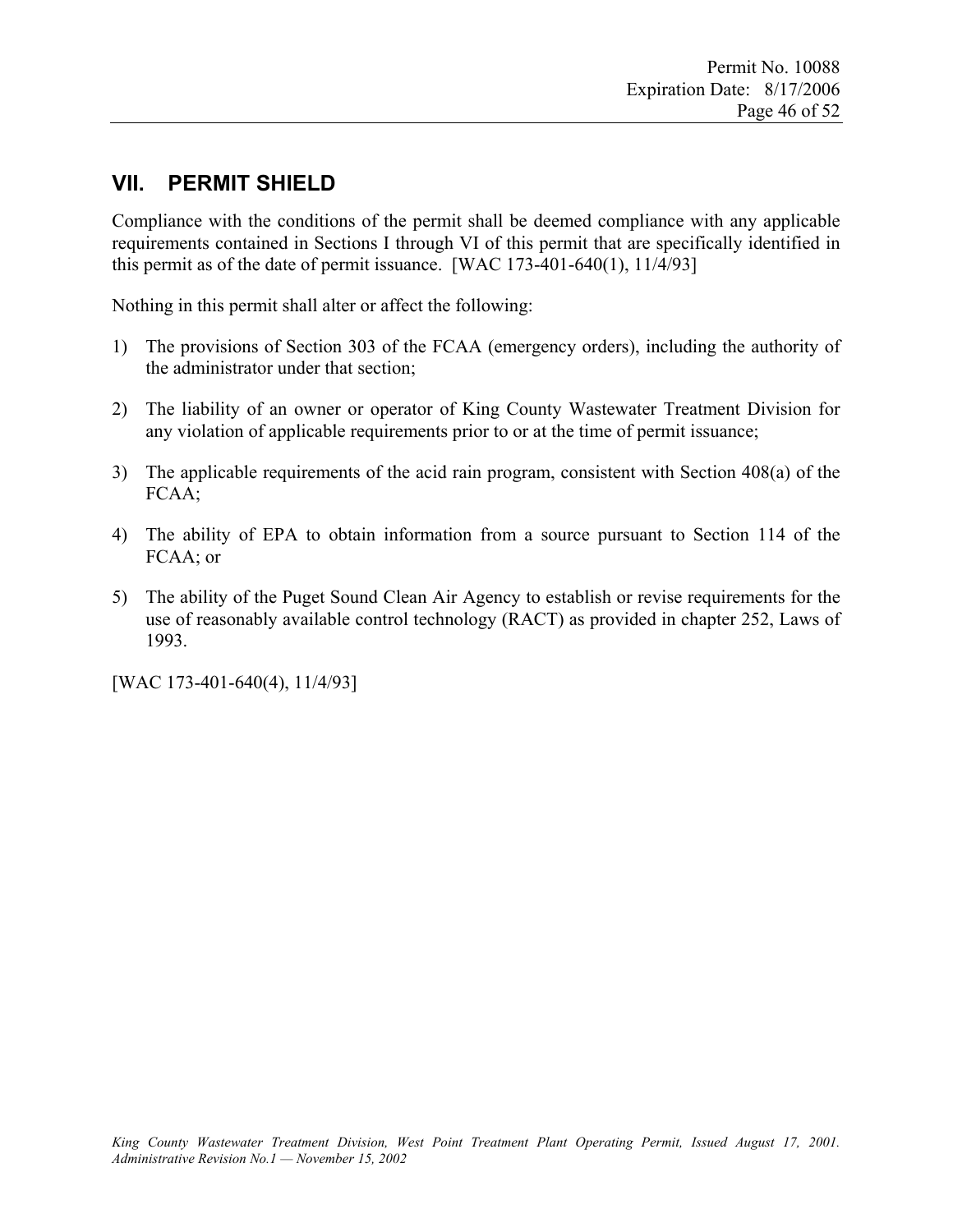# **VII. PERMIT SHIELD**

Compliance with the conditions of the permit shall be deemed compliance with any applicable requirements contained in Sections I through VI of this permit that are specifically identified in this permit as of the date of permit issuance.  $[WAC 173-401-640(1), 11/4/93]$ 

Nothing in this permit shall alter or affect the following:

- 1) The provisions of Section 303 of the FCAA (emergency orders), including the authority of the administrator under that section;
- 2) The liability of an owner or operator of King County Wastewater Treatment Division for any violation of applicable requirements prior to or at the time of permit issuance;
- 3) The applicable requirements of the acid rain program, consistent with Section 408(a) of the FCAA;
- 4) The ability of EPA to obtain information from a source pursuant to Section 114 of the FCAA; or
- 5) The ability of the Puget Sound Clean Air Agency to establish or revise requirements for the use of reasonably available control technology (RACT) as provided in chapter 252, Laws of 1993.

[WAC 173-401-640(4), 11/4/93]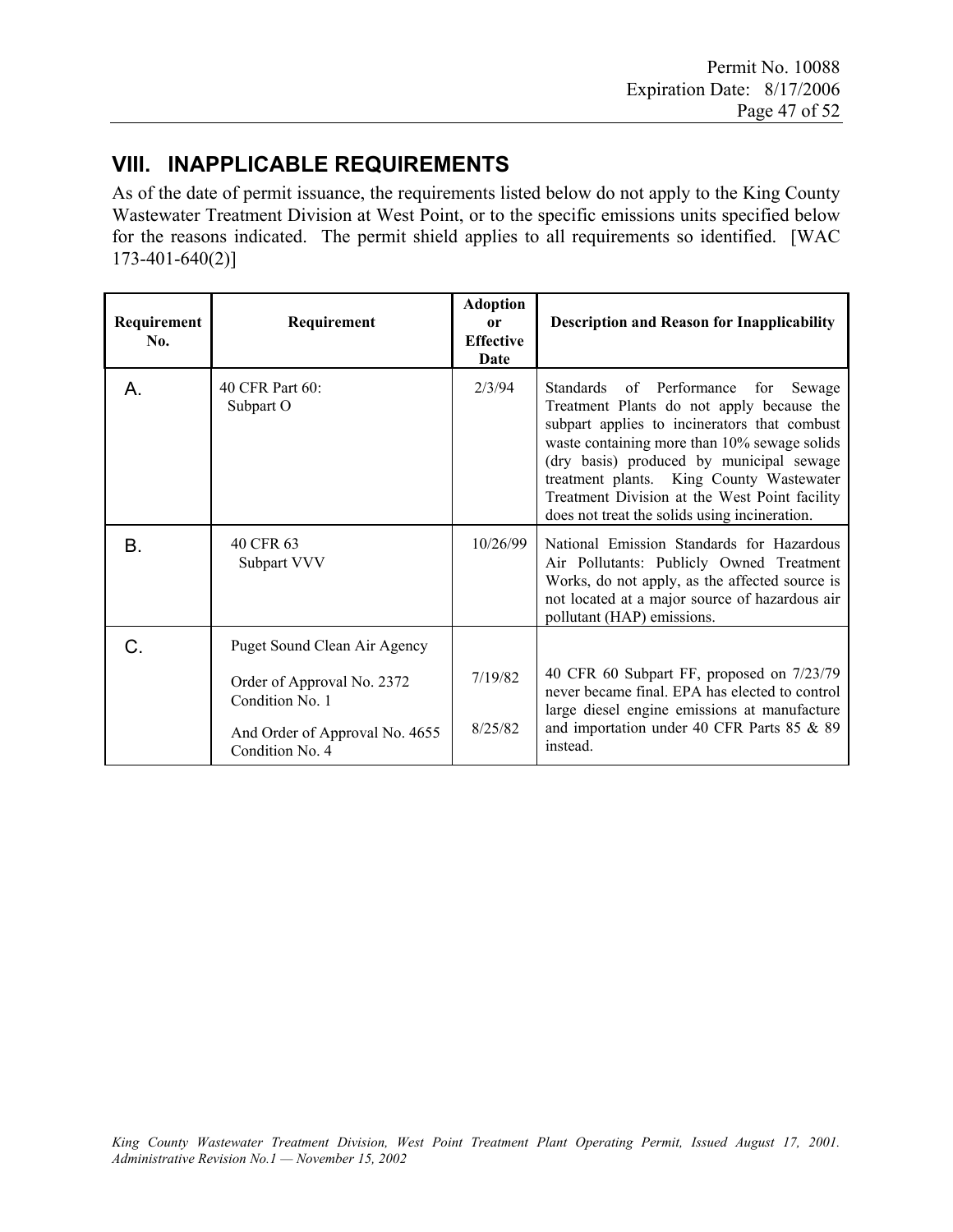# **VIII. INAPPLICABLE REQUIREMENTS**

As of the date of permit issuance, the requirements listed below do not apply to the King County Wastewater Treatment Division at West Point, or to the specific emissions units specified below for the reasons indicated. The permit shield applies to all requirements so identified. [WAC  $173-401-640(2)$ ]

| Requirement<br>No. | Requirement                                       | <b>Adoption</b><br><sub>or</sub><br><b>Effective</b><br>Date | <b>Description and Reason for Inapplicability</b>                                                                                                                                                                                                                                                                                                                             |
|--------------------|---------------------------------------------------|--------------------------------------------------------------|-------------------------------------------------------------------------------------------------------------------------------------------------------------------------------------------------------------------------------------------------------------------------------------------------------------------------------------------------------------------------------|
| А.                 | 40 CFR Part 60:<br>Subpart O                      | 2/3/94                                                       | Standards of Performance for<br>Sewage<br>Treatment Plants do not apply because the<br>subpart applies to incinerators that combust<br>waste containing more than 10% sewage solids<br>(dry basis) produced by municipal sewage<br>treatment plants. King County Wastewater<br>Treatment Division at the West Point facility<br>does not treat the solids using incineration. |
| B.                 | 40 CFR 63<br>Subpart VVV                          | 10/26/99                                                     | National Emission Standards for Hazardous<br>Air Pollutants: Publicly Owned Treatment<br>Works, do not apply, as the affected source is<br>not located at a major source of hazardous air<br>pollutant (HAP) emissions.                                                                                                                                                       |
| C.                 | Puget Sound Clean Air Agency                      |                                                              |                                                                                                                                                                                                                                                                                                                                                                               |
|                    | Order of Approval No. 2372<br>Condition No. 1     | 7/19/82                                                      | 40 CFR 60 Subpart FF, proposed on 7/23/79<br>never became final. EPA has elected to control<br>large diesel engine emissions at manufacture                                                                                                                                                                                                                                   |
|                    | And Order of Approval No. 4655<br>Condition No. 4 | 8/25/82                                                      | and importation under 40 CFR Parts 85 & 89<br>instead.                                                                                                                                                                                                                                                                                                                        |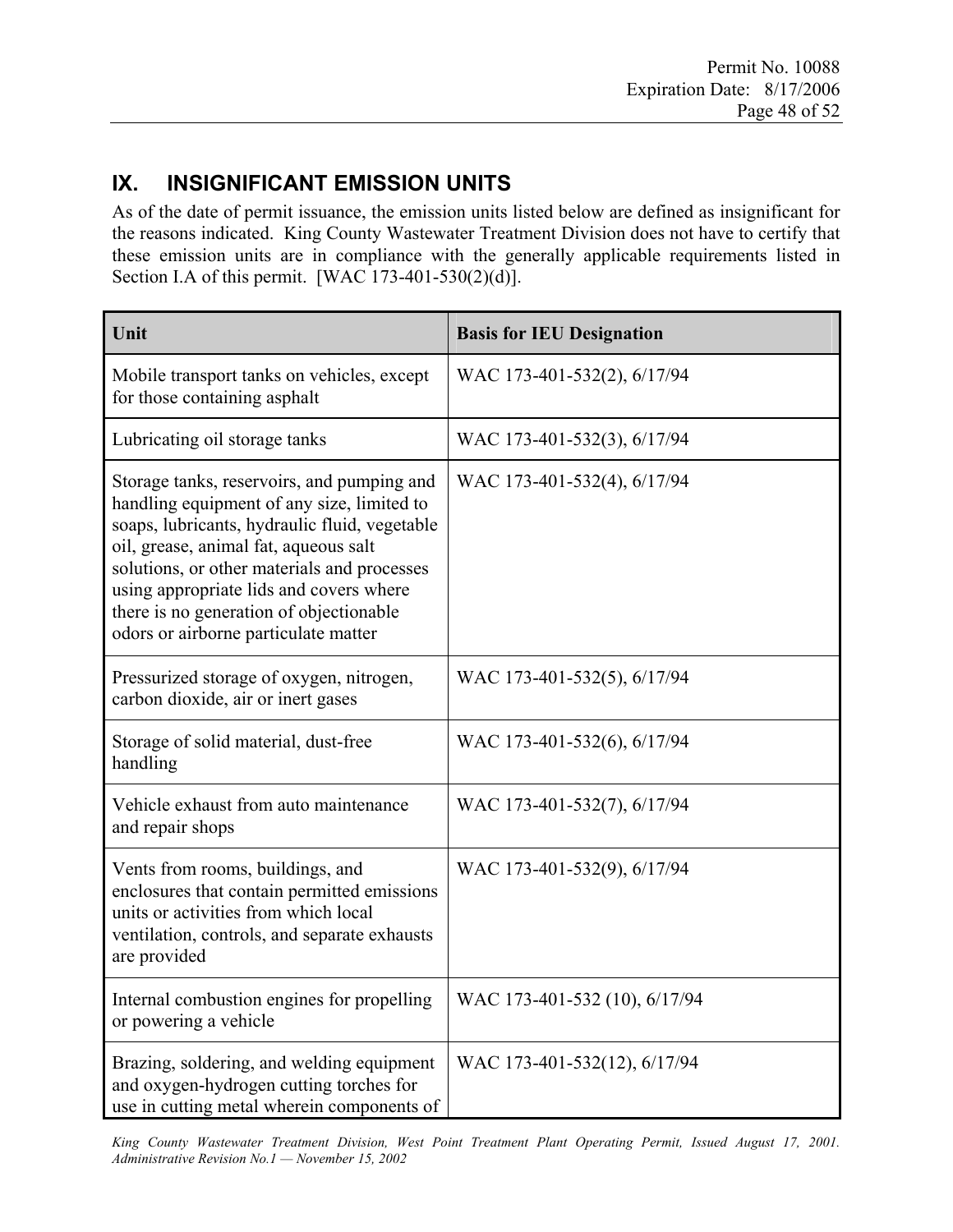# **IX. INSIGNIFICANT EMISSION UNITS**

As of the date of permit issuance, the emission units listed below are defined as insignificant for the reasons indicated. King County Wastewater Treatment Division does not have to certify that these emission units are in compliance with the generally applicable requirements listed in Section I.A of this permit. [WAC 173-401-530(2)(d)].

| Unit                                                                                                                                                                                                                                                                                                                                                            | <b>Basis for IEU Designation</b> |
|-----------------------------------------------------------------------------------------------------------------------------------------------------------------------------------------------------------------------------------------------------------------------------------------------------------------------------------------------------------------|----------------------------------|
| Mobile transport tanks on vehicles, except<br>for those containing asphalt                                                                                                                                                                                                                                                                                      | WAC 173-401-532(2), 6/17/94      |
| Lubricating oil storage tanks                                                                                                                                                                                                                                                                                                                                   | WAC 173-401-532(3), 6/17/94      |
| Storage tanks, reservoirs, and pumping and<br>handling equipment of any size, limited to<br>soaps, lubricants, hydraulic fluid, vegetable<br>oil, grease, animal fat, aqueous salt<br>solutions, or other materials and processes<br>using appropriate lids and covers where<br>there is no generation of objectionable<br>odors or airborne particulate matter | WAC 173-401-532(4), 6/17/94      |
| Pressurized storage of oxygen, nitrogen,<br>carbon dioxide, air or inert gases                                                                                                                                                                                                                                                                                  | WAC 173-401-532(5), 6/17/94      |
| Storage of solid material, dust-free<br>handling                                                                                                                                                                                                                                                                                                                | WAC 173-401-532(6), 6/17/94      |
| Vehicle exhaust from auto maintenance<br>and repair shops                                                                                                                                                                                                                                                                                                       | WAC 173-401-532(7), 6/17/94      |
| Vents from rooms, buildings, and<br>enclosures that contain permitted emissions<br>units or activities from which local<br>ventilation, controls, and separate exhausts<br>are provided                                                                                                                                                                         | WAC 173-401-532(9), 6/17/94      |
| Internal combustion engines for propelling<br>or powering a vehicle                                                                                                                                                                                                                                                                                             | WAC 173-401-532 (10), 6/17/94    |
| Brazing, soldering, and welding equipment<br>and oxygen-hydrogen cutting torches for<br>use in cutting metal wherein components of                                                                                                                                                                                                                              | WAC 173-401-532(12), 6/17/94     |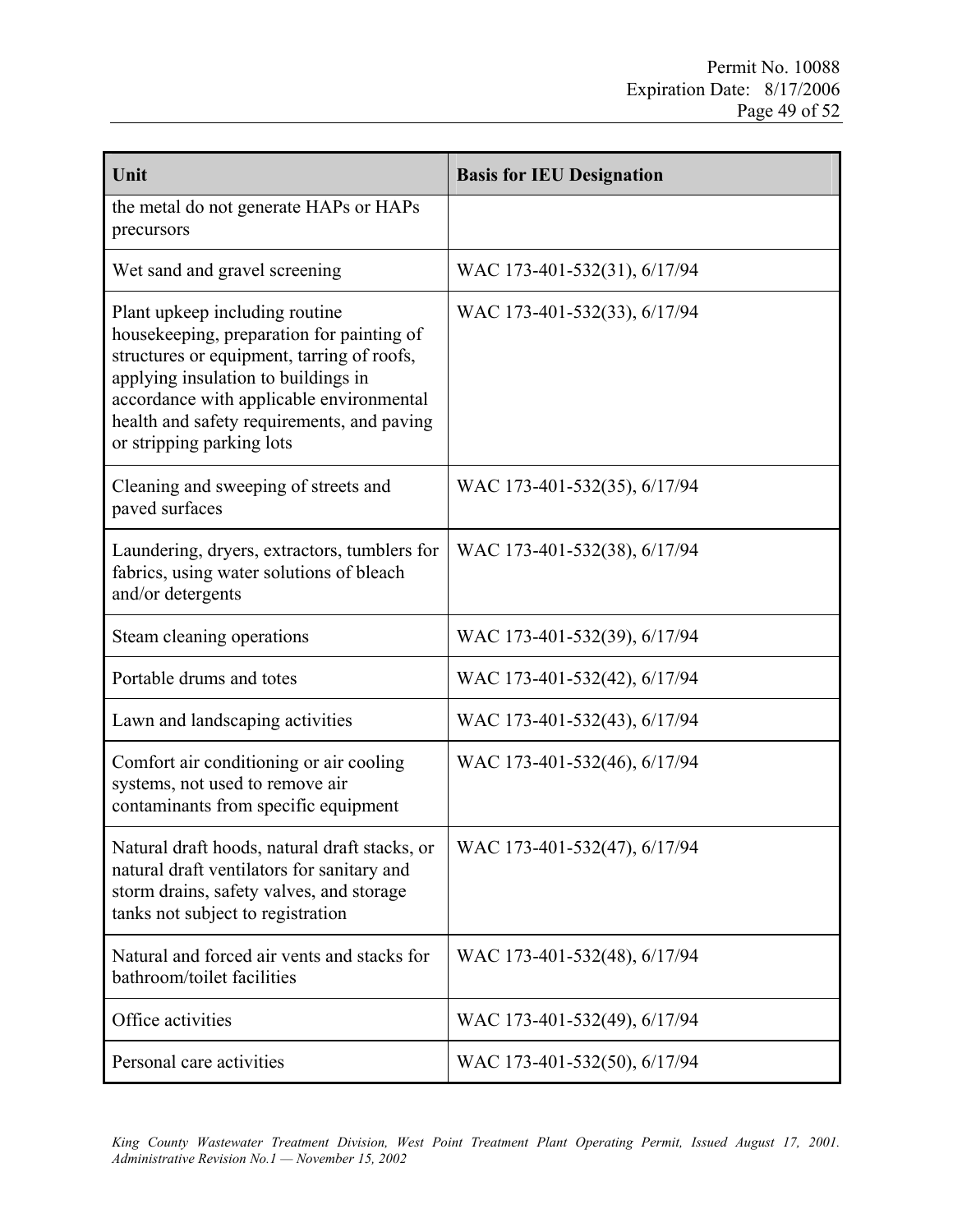| Unit                                                                                                                                                                                                                                                                                    | <b>Basis for IEU Designation</b> |
|-----------------------------------------------------------------------------------------------------------------------------------------------------------------------------------------------------------------------------------------------------------------------------------------|----------------------------------|
| the metal do not generate HAPs or HAPs<br>precursors                                                                                                                                                                                                                                    |                                  |
| Wet sand and gravel screening                                                                                                                                                                                                                                                           | WAC 173-401-532(31), 6/17/94     |
| Plant upkeep including routine<br>housekeeping, preparation for painting of<br>structures or equipment, tarring of roofs,<br>applying insulation to buildings in<br>accordance with applicable environmental<br>health and safety requirements, and paving<br>or stripping parking lots | WAC 173-401-532(33), 6/17/94     |
| Cleaning and sweeping of streets and<br>paved surfaces                                                                                                                                                                                                                                  | WAC 173-401-532(35), 6/17/94     |
| Laundering, dryers, extractors, tumblers for<br>fabrics, using water solutions of bleach<br>and/or detergents                                                                                                                                                                           | WAC 173-401-532(38), 6/17/94     |
| Steam cleaning operations                                                                                                                                                                                                                                                               | WAC 173-401-532(39), 6/17/94     |
| Portable drums and totes                                                                                                                                                                                                                                                                | WAC 173-401-532(42), 6/17/94     |
| Lawn and landscaping activities                                                                                                                                                                                                                                                         | WAC 173-401-532(43), 6/17/94     |
| Comfort air conditioning or air cooling<br>systems, not used to remove air<br>contaminants from specific equipment                                                                                                                                                                      | WAC 173-401-532(46), 6/17/94     |
| Natural draft hoods, natural draft stacks, or<br>natural draft ventilators for sanitary and<br>storm drains, safety valves, and storage<br>tanks not subject to registration                                                                                                            | WAC 173-401-532(47), 6/17/94     |
| Natural and forced air vents and stacks for<br>bathroom/toilet facilities                                                                                                                                                                                                               | WAC 173-401-532(48), 6/17/94     |
| Office activities                                                                                                                                                                                                                                                                       | WAC 173-401-532(49), 6/17/94     |
| Personal care activities                                                                                                                                                                                                                                                                | WAC 173-401-532(50), 6/17/94     |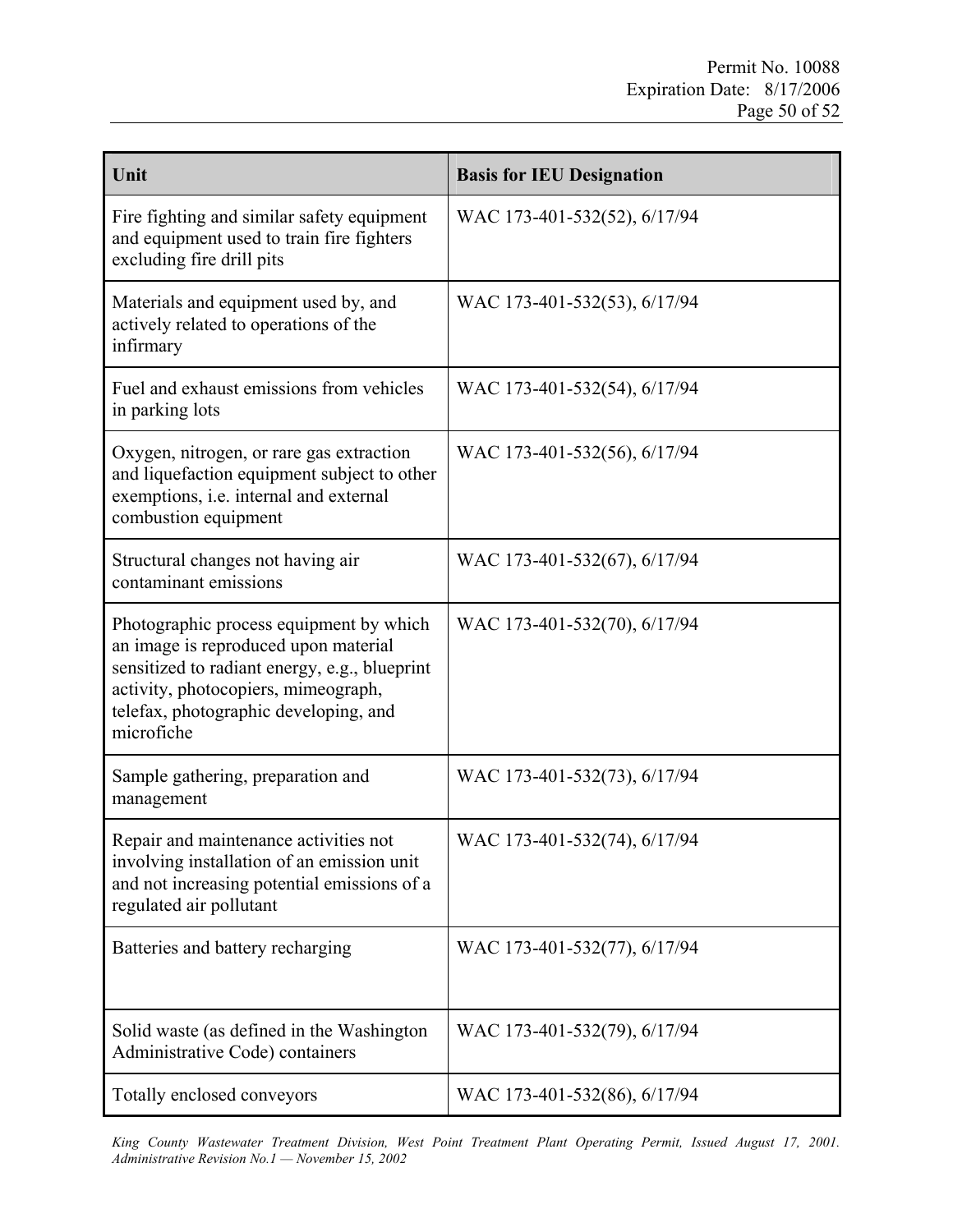| Unit                                                                                                                                                                                                                           | <b>Basis for IEU Designation</b> |
|--------------------------------------------------------------------------------------------------------------------------------------------------------------------------------------------------------------------------------|----------------------------------|
| Fire fighting and similar safety equipment<br>and equipment used to train fire fighters<br>excluding fire drill pits                                                                                                           | WAC 173-401-532(52), 6/17/94     |
| Materials and equipment used by, and<br>actively related to operations of the<br>infirmary                                                                                                                                     | WAC 173-401-532(53), 6/17/94     |
| Fuel and exhaust emissions from vehicles<br>in parking lots                                                                                                                                                                    | WAC 173-401-532(54), 6/17/94     |
| Oxygen, nitrogen, or rare gas extraction<br>and liquefaction equipment subject to other<br>exemptions, i.e. internal and external<br>combustion equipment                                                                      | WAC 173-401-532(56), 6/17/94     |
| Structural changes not having air<br>contaminant emissions                                                                                                                                                                     | WAC 173-401-532(67), 6/17/94     |
| Photographic process equipment by which<br>an image is reproduced upon material<br>sensitized to radiant energy, e.g., blueprint<br>activity, photocopiers, mimeograph,<br>telefax, photographic developing, and<br>microfiche | WAC 173-401-532(70), 6/17/94     |
| Sample gathering, preparation and<br>management                                                                                                                                                                                | WAC 173-401-532(73), 6/17/94     |
| Repair and maintenance activities not<br>involving installation of an emission unit<br>and not increasing potential emissions of a<br>regulated air pollutant                                                                  | WAC 173-401-532(74), 6/17/94     |
| Batteries and battery recharging                                                                                                                                                                                               | WAC 173-401-532(77), 6/17/94     |
| Solid waste (as defined in the Washington<br>Administrative Code) containers                                                                                                                                                   | WAC 173-401-532(79), 6/17/94     |
| Totally enclosed conveyors                                                                                                                                                                                                     | WAC 173-401-532(86), 6/17/94     |

*King County Wastewater Treatment Division, West Point Treatment Plant Operating Permit, Issued August 17, 2001. Administrative Revision No.1 — November 15, 2002*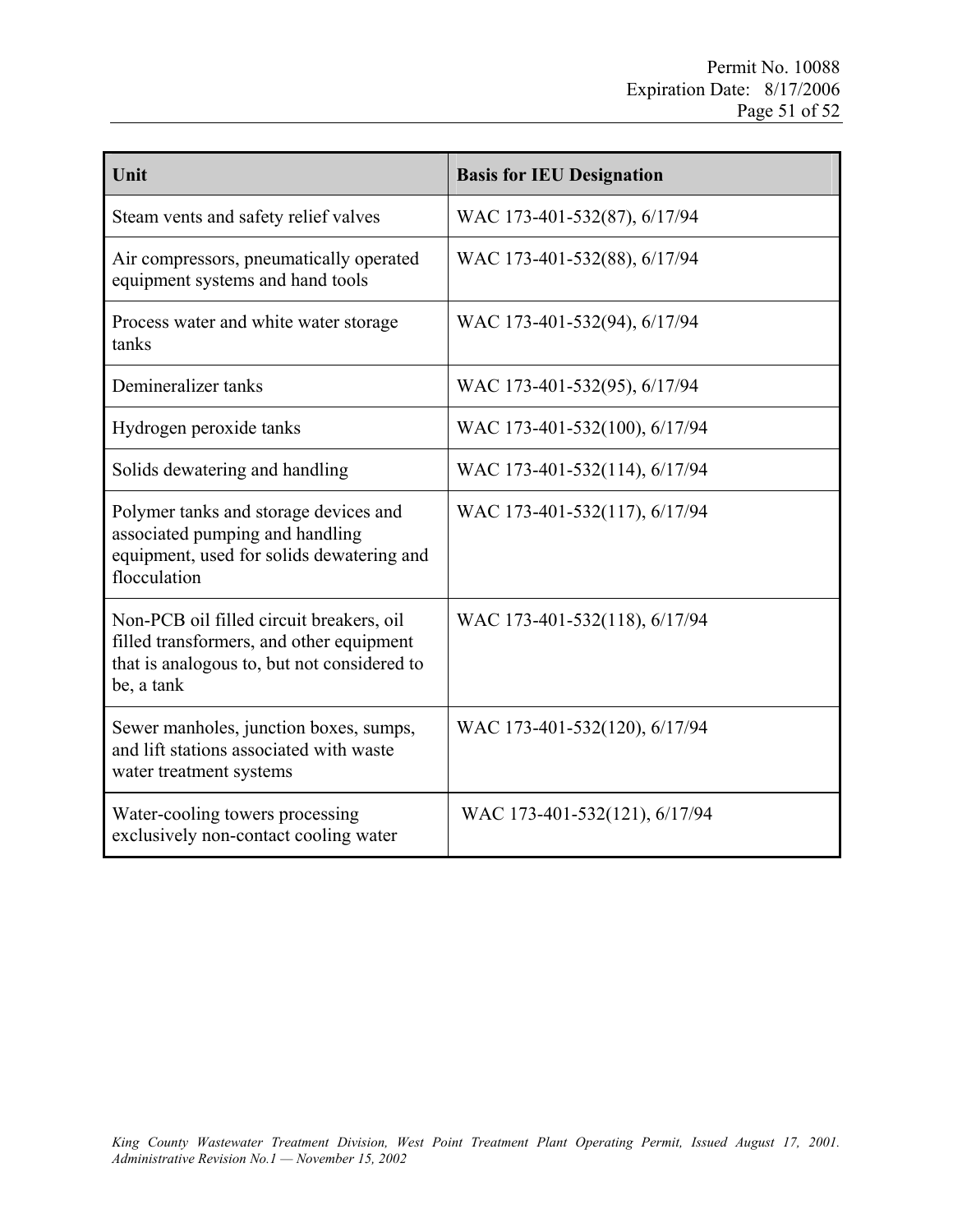| Unit                                                                                                                                              | <b>Basis for IEU Designation</b> |
|---------------------------------------------------------------------------------------------------------------------------------------------------|----------------------------------|
| Steam vents and safety relief valves                                                                                                              | WAC 173-401-532(87), 6/17/94     |
| Air compressors, pneumatically operated<br>equipment systems and hand tools                                                                       | WAC 173-401-532(88), 6/17/94     |
| Process water and white water storage<br>tanks                                                                                                    | WAC 173-401-532(94), 6/17/94     |
| Demineralizer tanks                                                                                                                               | WAC 173-401-532(95), 6/17/94     |
| Hydrogen peroxide tanks                                                                                                                           | WAC 173-401-532(100), 6/17/94    |
| Solids dewatering and handling                                                                                                                    | WAC 173-401-532(114), 6/17/94    |
| Polymer tanks and storage devices and<br>associated pumping and handling<br>equipment, used for solids dewatering and<br>flocculation             | WAC 173-401-532(117), 6/17/94    |
| Non-PCB oil filled circuit breakers, oil<br>filled transformers, and other equipment<br>that is analogous to, but not considered to<br>be, a tank | WAC 173-401-532(118), 6/17/94    |
| Sewer manholes, junction boxes, sumps,<br>and lift stations associated with waste<br>water treatment systems                                      | WAC 173-401-532(120), 6/17/94    |
| Water-cooling towers processing<br>exclusively non-contact cooling water                                                                          | WAC 173-401-532(121), 6/17/94    |